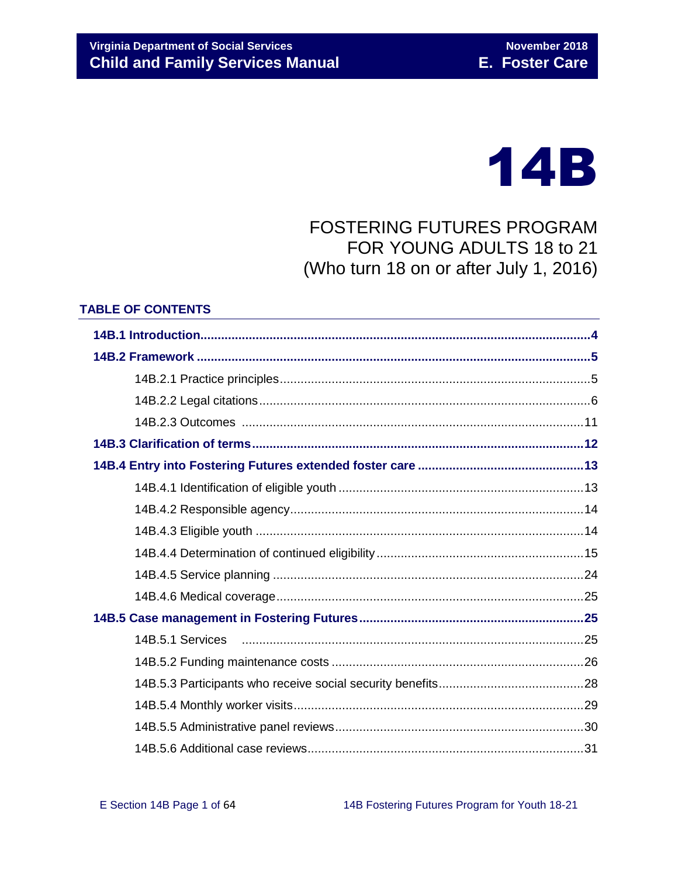

FOSTERING FUTURES PROGRAM FOR YOUNG ADULTS 18 to 21 (Who turn 18 on or after July 1, 2016)

#### **TABLE OF CONTENTS**

| 14B.5.1 Services |  |
|------------------|--|
|                  |  |
|                  |  |
|                  |  |
|                  |  |
|                  |  |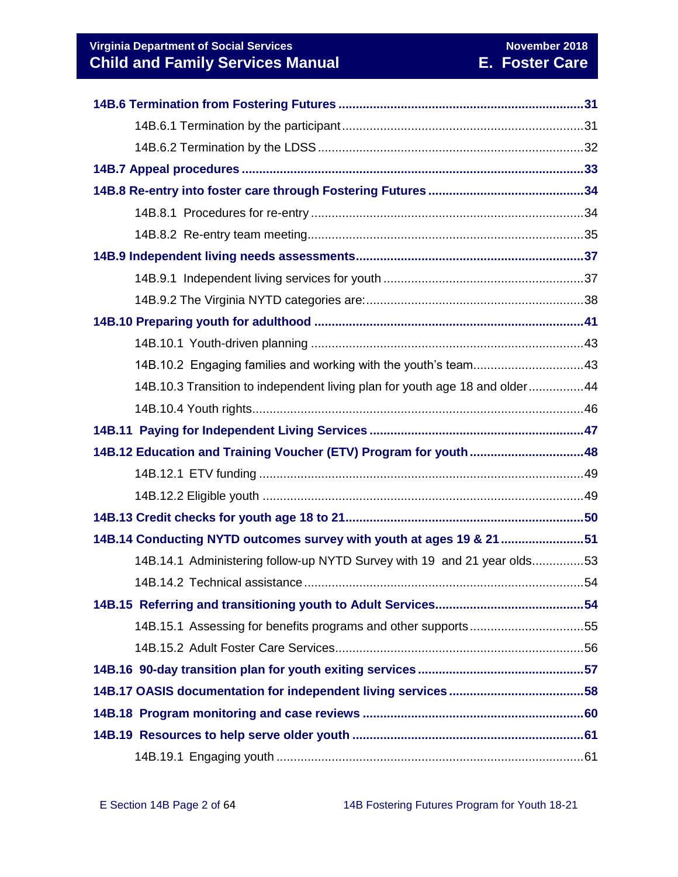| 14B.10.2 Engaging families and working with the youth's team43              |  |
|-----------------------------------------------------------------------------|--|
| 14B.10.3 Transition to independent living plan for youth age 18 and older44 |  |
|                                                                             |  |
|                                                                             |  |
| 14B.12 Education and Training Voucher (ETV) Program for youth48             |  |
|                                                                             |  |
|                                                                             |  |
|                                                                             |  |
| 14B.14 Conducting NYTD outcomes survey with youth at ages 19 & 21 51        |  |
| 14B.14.1 Administering follow-up NYTD Survey with 19 and 21 year olds53     |  |
|                                                                             |  |
|                                                                             |  |
| 14B.15.1 Assessing for benefits programs and other supports55               |  |
|                                                                             |  |
|                                                                             |  |
|                                                                             |  |
|                                                                             |  |
|                                                                             |  |
|                                                                             |  |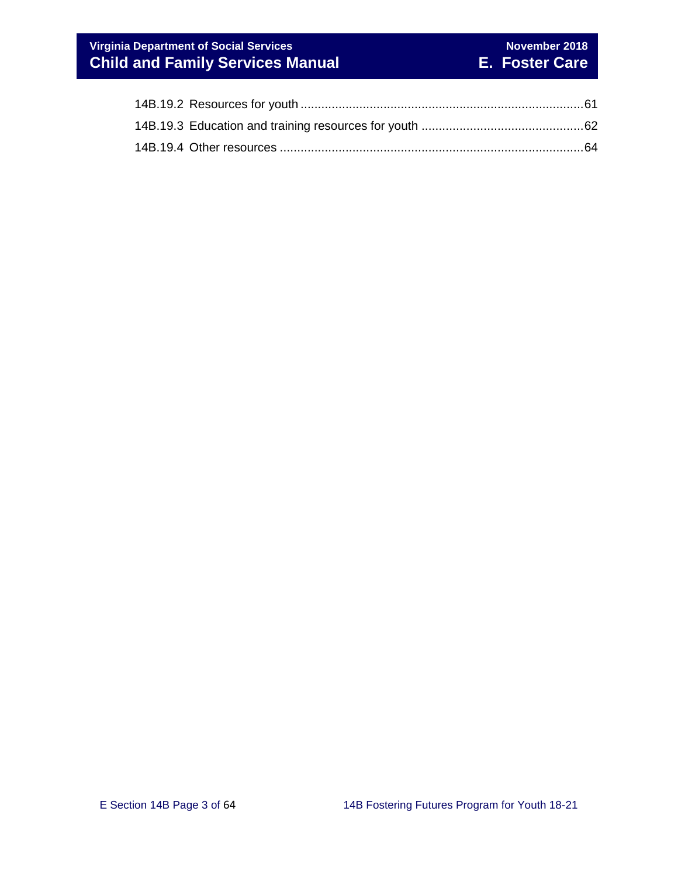# **Virginia Department of Social Services** November 2018<br> **Virginia Department of Social Services Child and Family Services Manual E. Foster Care**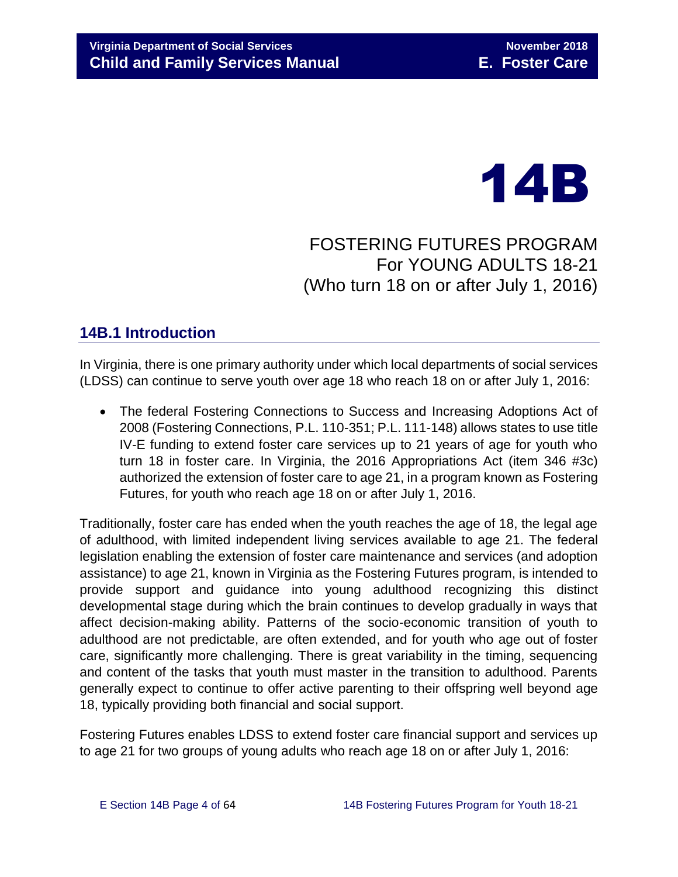

FOSTERING FUTURES PROGRAM For YOUNG ADULTS 18-21 (Who turn 18 on or after July 1, 2016)

# <span id="page-3-0"></span>**14B.1 Introduction**

In Virginia, there is one primary authority under which local departments of social services (LDSS) can continue to serve youth over age 18 who reach 18 on or after July 1, 2016:

 The federal Fostering Connections to Success and Increasing Adoptions Act of 2008 (Fostering Connections, P.L. 110-351; P.L. 111-148) allows states to use title IV-E funding to extend foster care services up to 21 years of age for youth who turn 18 in foster care. In Virginia, the 2016 Appropriations Act (item 346 #3c) authorized the extension of foster care to age 21, in a program known as Fostering Futures, for youth who reach age 18 on or after July 1, 2016.

Traditionally, foster care has ended when the youth reaches the age of 18, the legal age of adulthood, with limited independent living services available to age 21. The federal legislation enabling the extension of foster care maintenance and services (and adoption assistance) to age 21, known in Virginia as the Fostering Futures program, is intended to provide support and guidance into young adulthood recognizing this distinct developmental stage during which the brain continues to develop gradually in ways that affect decision-making ability. Patterns of the socio-economic transition of youth to adulthood are not predictable, are often extended, and for youth who age out of foster care, significantly more challenging. There is great variability in the timing, sequencing and content of the tasks that youth must master in the transition to adulthood. Parents generally expect to continue to offer active parenting to their offspring well beyond age 18, typically providing both financial and social support.

Fostering Futures enables LDSS to extend foster care financial support and services up to age 21 for two groups of young adults who reach age 18 on or after July 1, 2016: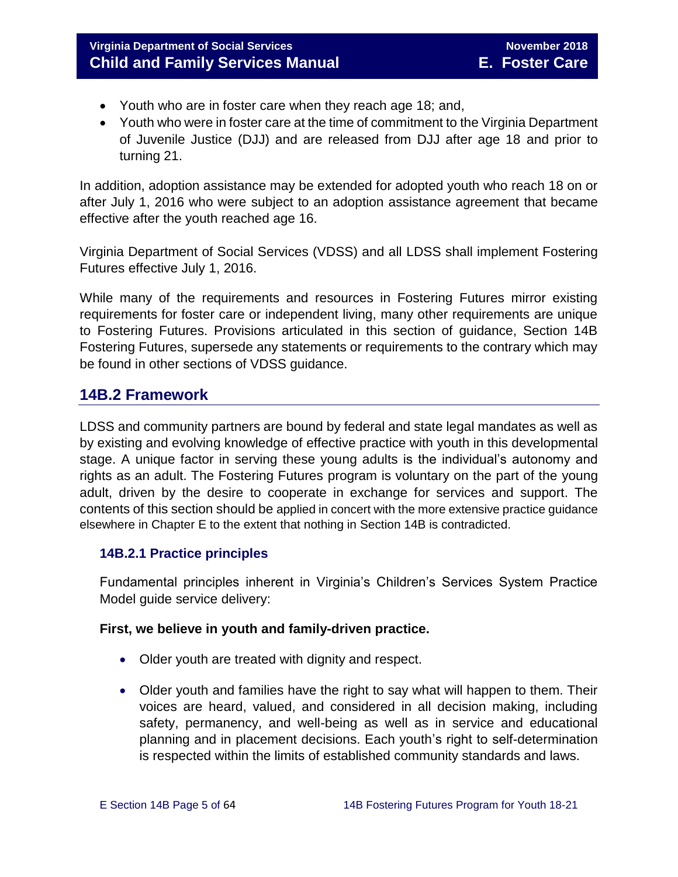- Youth who are in foster care when they reach age 18; and,
- Youth who were in foster care at the time of commitment to the Virginia Department of Juvenile Justice (DJJ) and are released from DJJ after age 18 and prior to turning 21.

In addition, adoption assistance may be extended for adopted youth who reach 18 on or after July 1, 2016 who were subject to an adoption assistance agreement that became effective after the youth reached age 16.

Virginia Department of Social Services (VDSS) and all LDSS shall implement Fostering Futures effective July 1, 2016.

While many of the requirements and resources in Fostering Futures mirror existing requirements for foster care or independent living, many other requirements are unique to Fostering Futures. Provisions articulated in this section of guidance, Section 14B Fostering Futures, supersede any statements or requirements to the contrary which may be found in other sections of VDSS guidance.

# <span id="page-4-0"></span>**14B.2 Framework**

LDSS and community partners are bound by federal and state legal mandates as well as by existing and evolving knowledge of effective practice with youth in this developmental stage. A unique factor in serving these young adults is the individual's autonomy and rights as an adult. The Fostering Futures program is voluntary on the part of the young adult, driven by the desire to cooperate in exchange for services and support. The contents of this section should be applied in concert with the more extensive practice guidance elsewhere in Chapter E to the extent that nothing in Section 14B is contradicted.

## <span id="page-4-1"></span>**14B.2.1 Practice principles**

Fundamental principles inherent in Virginia's Children's Services System Practice Model guide service delivery:

## **First, we believe in youth and family-driven practice.**

- Older youth are treated with dignity and respect.
- Older youth and families have the right to say what will happen to them. Their voices are heard, valued, and considered in all decision making, including safety, permanency, and well-being as well as in service and educational planning and in placement decisions. Each youth's right to self-determination is respected within the limits of established community standards and laws.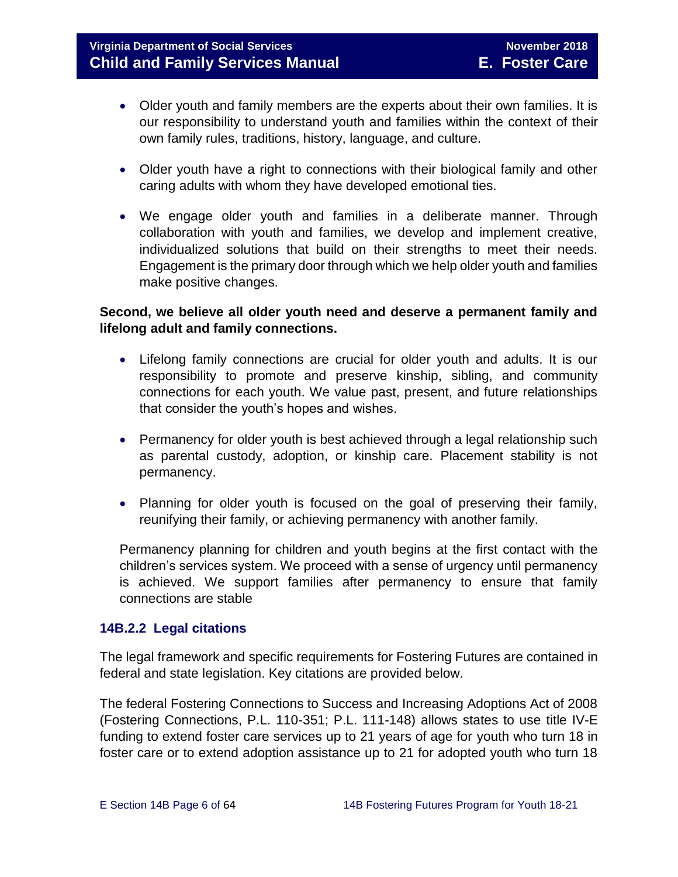- Older youth and family members are the experts about their own families. It is our responsibility to understand youth and families within the context of their own family rules, traditions, history, language, and culture.
- Older youth have a right to connections with their biological family and other caring adults with whom they have developed emotional ties.
- We engage older youth and families in a deliberate manner. Through collaboration with youth and families, we develop and implement creative, individualized solutions that build on their strengths to meet their needs. Engagement is the primary door through which we help older youth and families make positive changes.

## **Second, we believe all older youth need and deserve a permanent family and lifelong adult and family connections.**

- Lifelong family connections are crucial for older youth and adults. It is our responsibility to promote and preserve kinship, sibling, and community connections for each youth. We value past, present, and future relationships that consider the youth's hopes and wishes.
- Permanency for older youth is best achieved through a legal relationship such as parental custody, adoption, or kinship care. Placement stability is not permanency.
- Planning for older youth is focused on the goal of preserving their family, reunifying their family, or achieving permanency with another family.

Permanency planning for children and youth begins at the first contact with the children's services system. We proceed with a sense of urgency until permanency is achieved. We support families after permanency to ensure that family connections are stable

## <span id="page-5-0"></span>**14B.2.2 Legal citations**

The legal framework and specific requirements for Fostering Futures are contained in federal and state legislation. Key citations are provided below.

The federal Fostering Connections to Success and Increasing Adoptions Act of 2008 (Fostering Connections, P.L. 110-351; P.L. 111-148) allows states to use title IV-E funding to extend foster care services up to 21 years of age for youth who turn 18 in foster care or to extend adoption assistance up to 21 for adopted youth who turn 18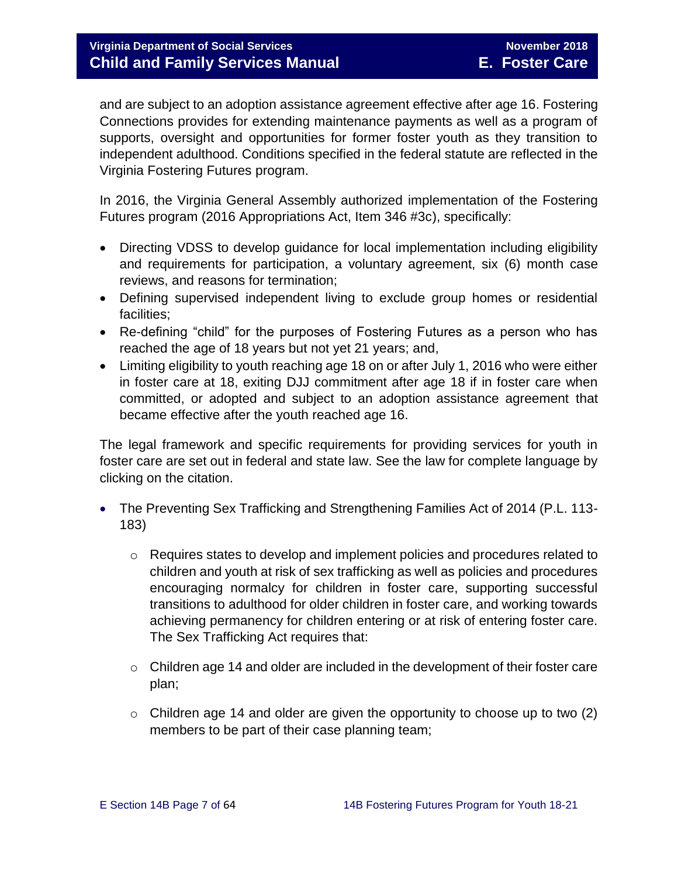and are subject to an adoption assistance agreement effective after age 16. Fostering Connections provides for extending maintenance payments as well as a program of supports, oversight and opportunities for former foster youth as they transition to independent adulthood. Conditions specified in the federal statute are reflected in the Virginia Fostering Futures program.

In 2016, the Virginia General Assembly authorized implementation of the Fostering Futures program (2016 Appropriations Act, Item 346 #3c), specifically:

- Directing VDSS to develop guidance for local implementation including eligibility and requirements for participation, a voluntary agreement, six (6) month case reviews, and reasons for termination;
- Defining supervised independent living to exclude group homes or residential facilities;
- Re-defining "child" for the purposes of Fostering Futures as a person who has reached the age of 18 years but not yet 21 years; and,
- Limiting eligibility to youth reaching age 18 on or after July 1, 2016 who were either in foster care at 18, exiting DJJ commitment after age 18 if in foster care when committed, or adopted and subject to an adoption assistance agreement that became effective after the youth reached age 16.

The legal framework and specific requirements for providing services for youth in foster care are set out in federal and state law. See the law for complete language by clicking on the citation.

- The Preventing Sex Trafficking and Strengthening Families Act of 2014 (P.L. 113- 183)
	- $\circ$  Requires states to develop and implement policies and procedures related to children and youth at risk of sex trafficking as well as policies and procedures encouraging normalcy for children in foster care, supporting successful transitions to adulthood for older children in foster care, and working towards achieving permanency for children entering or at risk of entering foster care. The Sex Trafficking Act requires that:
	- o Children age 14 and older are included in the development of their foster care plan;
	- $\circ$  Children age 14 and older are given the opportunity to choose up to two (2) members to be part of their case planning team;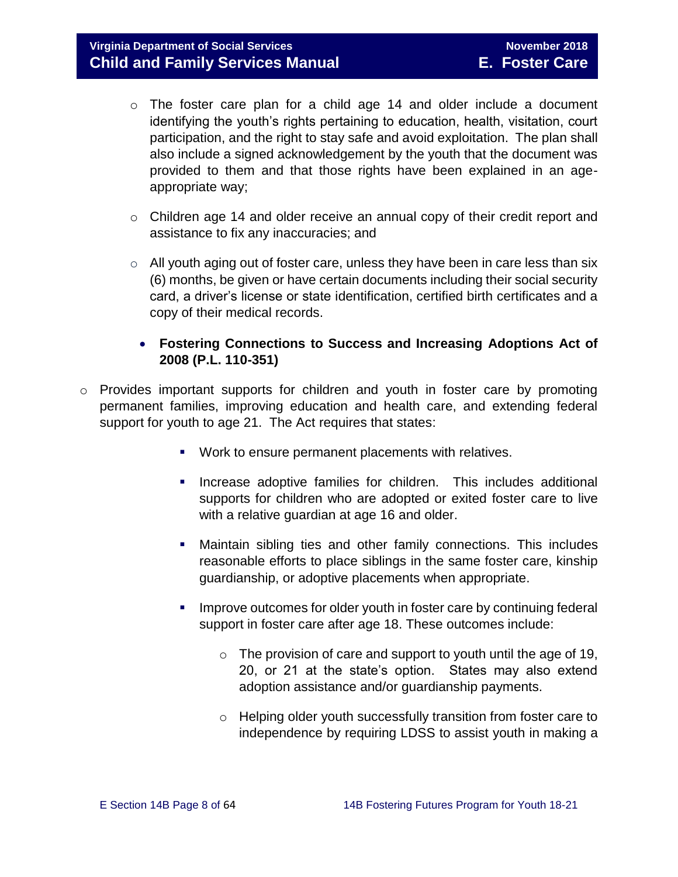- o The foster care plan for a child age 14 and older include a document identifying the youth's rights pertaining to education, health, visitation, court participation, and the right to stay safe and avoid exploitation. The plan shall also include a signed acknowledgement by the youth that the document was provided to them and that those rights have been explained in an ageappropriate way;
- $\circ$  Children age 14 and older receive an annual copy of their credit report and assistance to fix any inaccuracies; and
- $\circ$  All youth aging out of foster care, unless they have been in care less than six (6) months, be given or have certain documents including their social security card, a driver's license or state identification, certified birth certificates and a copy of their medical records.

## **Fostering Connections to Success and Increasing Adoptions Act of 2008 (P.L. 110-351)**

- o Provides important supports for children and youth in foster care by promoting permanent families, improving education and health care, and extending federal support for youth to age 21. The Act requires that states:
	- **Work to ensure permanent placements with relatives.**
	- **Increase adoptive families for children.** This includes additional supports for children who are adopted or exited foster care to live with a relative guardian at age 16 and older.
	- Maintain sibling ties and other family connections. This includes reasonable efforts to place siblings in the same foster care, kinship guardianship, or adoptive placements when appropriate.
	- Improve outcomes for older youth in foster care by continuing federal support in foster care after age 18. These outcomes include:
		- $\circ$  The provision of care and support to youth until the age of 19, 20, or 21 at the state's option. States may also extend adoption assistance and/or guardianship payments.
		- o Helping older youth successfully transition from foster care to independence by requiring LDSS to assist youth in making a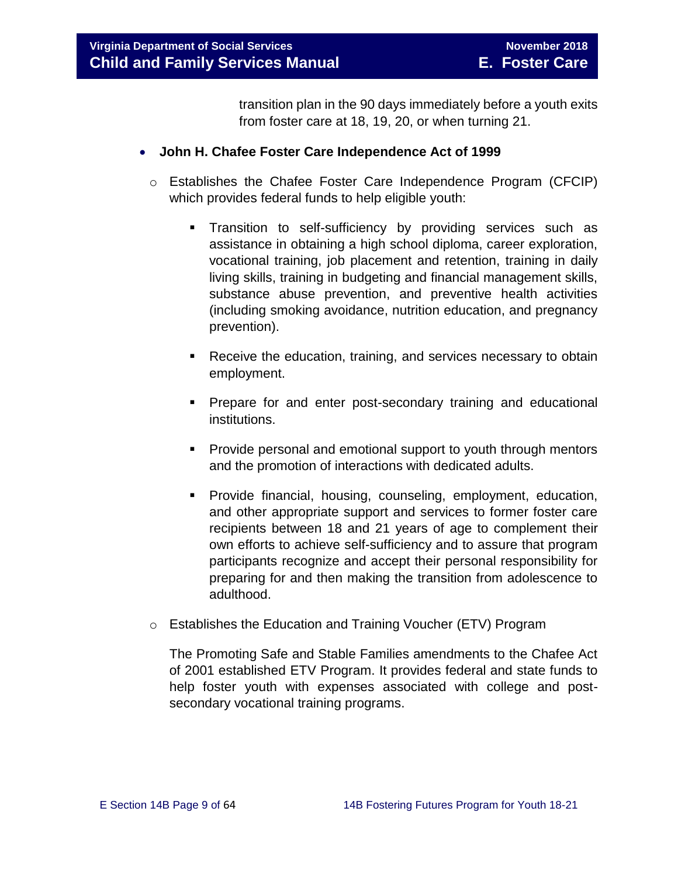transition plan in the 90 days immediately before a youth exits from foster care at 18, 19, 20, or when turning 21.

## **John H. Chafee Foster Care Independence Act of 1999**

- o Establishes the Chafee Foster Care Independence Program (CFCIP) which provides federal funds to help eligible youth:
	- **Transition to self-sufficiency by providing services such as** assistance in obtaining a high school diploma, career exploration, vocational training, job placement and retention, training in daily living skills, training in budgeting and financial management skills, substance abuse prevention, and preventive health activities (including smoking avoidance, nutrition education, and pregnancy prevention).
	- **Receive the education, training, and services necessary to obtain** employment.
	- **Prepare for and enter post-secondary training and educational** institutions.
	- **Provide personal and emotional support to youth through mentors** and the promotion of interactions with dedicated adults.
	- **Provide financial, housing, counseling, employment, education,** and other appropriate support and services to former foster care recipients between 18 and 21 years of age to complement their own efforts to achieve self-sufficiency and to assure that program participants recognize and accept their personal responsibility for preparing for and then making the transition from adolescence to adulthood.
- o Establishes the Education and Training Voucher (ETV) Program

The Promoting Safe and Stable Families amendments to the Chafee Act of 2001 established ETV Program. It provides federal and state funds to help foster youth with expenses associated with college and postsecondary vocational training programs.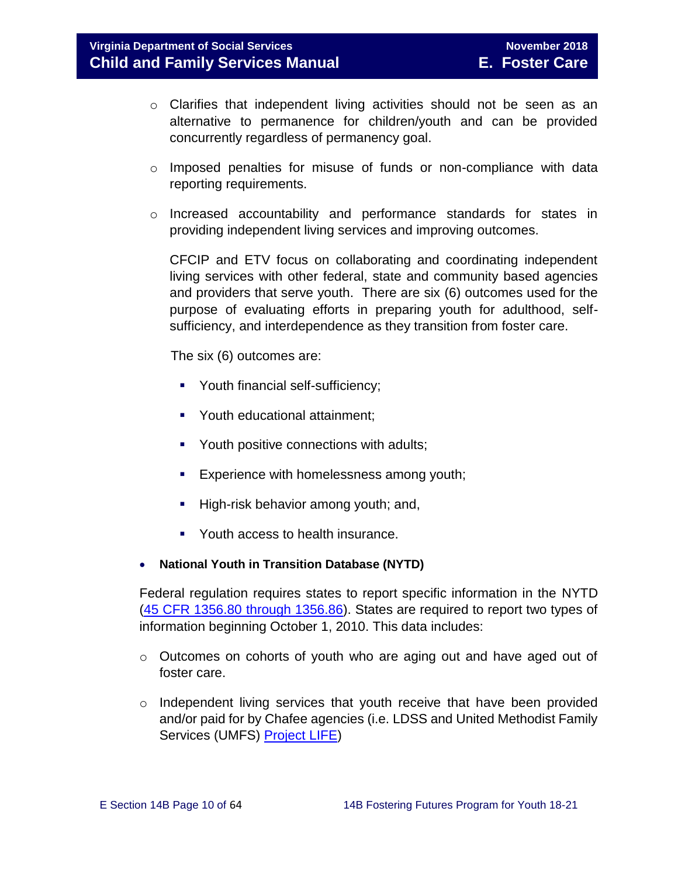- o Clarifies that independent living activities should not be seen as an alternative to permanence for children/youth and can be provided concurrently regardless of permanency goal.
- o Imposed penalties for misuse of funds or non-compliance with data reporting requirements.
- o Increased accountability and performance standards for states in providing independent living services and improving outcomes.

CFCIP and ETV focus on collaborating and coordinating independent living services with other federal, state and community based agencies and providers that serve youth. There are six (6) outcomes used for the purpose of evaluating efforts in preparing youth for adulthood, selfsufficiency, and interdependence as they transition from foster care.

The six (6) outcomes are:

- Youth financial self-sufficiency;
- **•** Youth educational attainment;
- **Youth positive connections with adults;**
- Experience with homelessness among youth;
- High-risk behavior among youth; and,
- Youth access to health insurance.
- **National Youth in Transition Database (NYTD)**

Federal regulation requires states to report specific information in the NYTD [\(45 CFR 1356.80 through 1356.86\)](http://www.ecfr.gov/cgi-bin/retrieveECFR?gp=1&SID=3d9be8b33d08994a45cff8aaff9f9476&ty=HTML&h=L&mc=true&r=PART&n=pt45.4.1356). States are required to report two types of information beginning October 1, 2010. This data includes:

- o Outcomes on cohorts of youth who are aging out and have aged out of foster care.
- $\circ$  Independent living services that youth receive that have been provided and/or paid for by Chafee agencies (i.e. LDSS and United Methodist Family Services (UMFS) [Project LIFE\)](http://www.vaprojectlife.org/)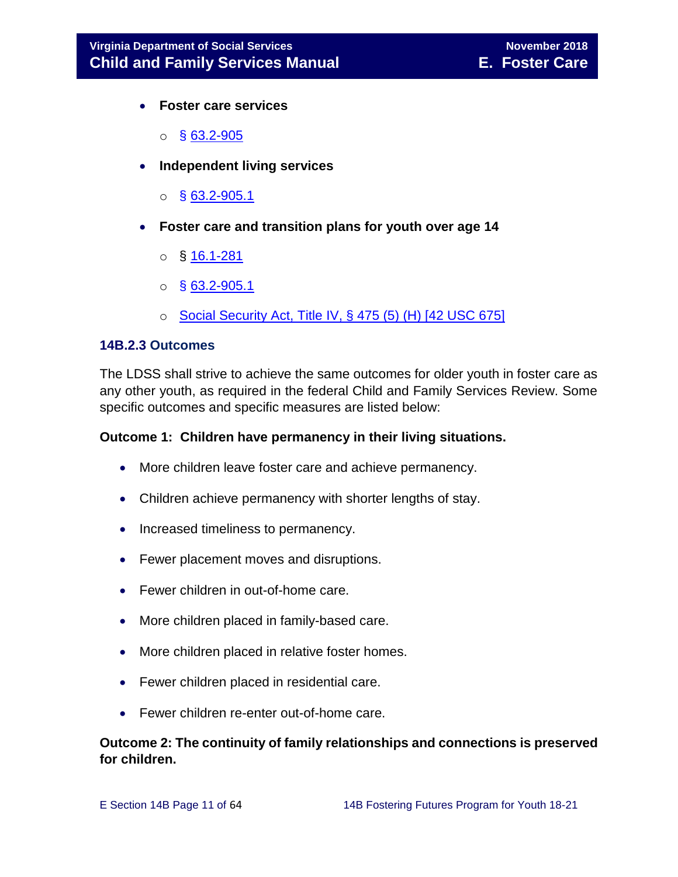- **Foster care services** 
	- $\circ$  § [63.2-905](http://law.lis.virginia.gov/vacode/title63.2/chapter9/section63.2-905/)
- **Independent living services** 
	- $\circ$  § [63.2-905.1](http://law.lis.virginia.gov/vacode/title63.2/chapter9/section63.2-905.1/)
- **Foster care and transition plans for youth over age 14** 
	- $\circ$  § [16.1-281](http://law.lis.virginia.gov/vacode/title16.1/chapter11/section16.1-281/)
	- $\circ$  § [63.2-905.1](http://law.lis.virginia.gov/vacode/title63.2/chapter9/section63.2-905.1/)
	- $\circ$  [Social Security Act, Title IV, § 475 \(5\) \(H\) \[42 USC 675\]](http://www.ssa.gov/OP_Home/ssact/title04/0475.htm)

## <span id="page-10-0"></span>**14B.2.3 Outcomes**

The LDSS shall strive to achieve the same outcomes for older youth in foster care as any other youth, as required in the federal Child and Family Services Review. Some specific outcomes and specific measures are listed below:

## **Outcome 1: Children have permanency in their living situations.**

- More children leave foster care and achieve permanency.
- Children achieve permanency with shorter lengths of stay.
- Increased timeliness to permanency.
- Fewer placement moves and disruptions.
- Fewer children in out-of-home care.
- More children placed in family-based care.
- More children placed in relative foster homes.
- Fewer children placed in residential care.
- Fewer children re-enter out-of-home care.

## **Outcome 2: The continuity of family relationships and connections is preserved for children.**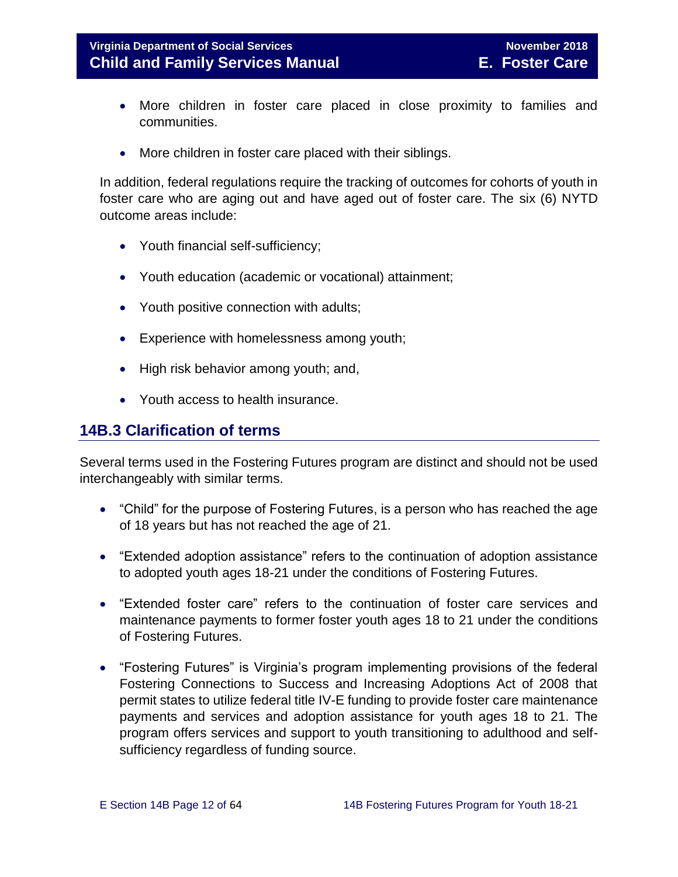- More children in foster care placed in close proximity to families and communities.
- More children in foster care placed with their siblings.

In addition, federal regulations require the tracking of outcomes for cohorts of youth in foster care who are aging out and have aged out of foster care. The six (6) NYTD outcome areas include:

- Youth financial self-sufficiency;
- Youth education (academic or vocational) attainment;
- Youth positive connection with adults;
- Experience with homelessness among youth;
- High risk behavior among youth; and,
- Youth access to health insurance.

# <span id="page-11-0"></span>**14B.3 Clarification of terms**

Several terms used in the Fostering Futures program are distinct and should not be used interchangeably with similar terms.

- "Child" for the purpose of Fostering Futures, is a person who has reached the age of 18 years but has not reached the age of 21.
- "Extended adoption assistance" refers to the continuation of adoption assistance to adopted youth ages 18-21 under the conditions of Fostering Futures.
- "Extended foster care" refers to the continuation of foster care services and maintenance payments to former foster youth ages 18 to 21 under the conditions of Fostering Futures.
- "Fostering Futures" is Virginia's program implementing provisions of the federal Fostering Connections to Success and Increasing Adoptions Act of 2008 that permit states to utilize federal title IV-E funding to provide foster care maintenance payments and services and adoption assistance for youth ages 18 to 21. The program offers services and support to youth transitioning to adulthood and selfsufficiency regardless of funding source.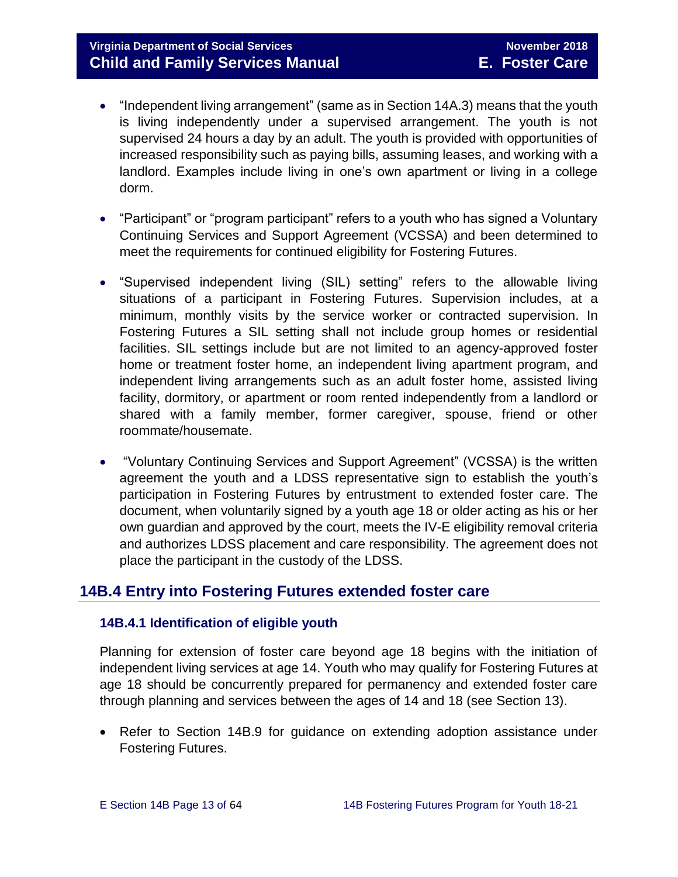# **Virginia Department of Social Services** November 2018 **Child and Family Services Manual E. Foster Care**

- "Independent living arrangement" (same as in Section 14A.3) means that the youth is living independently under a supervised arrangement. The youth is not supervised 24 hours a day by an adult. The youth is provided with opportunities of increased responsibility such as paying bills, assuming leases, and working with a landlord. Examples include living in one's own apartment or living in a college dorm.
- "Participant" or "program participant" refers to a youth who has signed a Voluntary Continuing Services and Support Agreement (VCSSA) and been determined to meet the requirements for continued eligibility for Fostering Futures.
- "Supervised independent living (SIL) setting" refers to the allowable living situations of a participant in Fostering Futures. Supervision includes, at a minimum, monthly visits by the service worker or contracted supervision. In Fostering Futures a SIL setting shall not include group homes or residential facilities. SIL settings include but are not limited to an agency-approved foster home or treatment foster home, an independent living apartment program, and independent living arrangements such as an adult foster home, assisted living facility, dormitory, or apartment or room rented independently from a landlord or shared with a family member, former caregiver, spouse, friend or other roommate/housemate.
- "Voluntary Continuing Services and Support Agreement" (VCSSA) is the written agreement the youth and a LDSS representative sign to establish the youth's participation in Fostering Futures by entrustment to extended foster care. The document, when voluntarily signed by a youth age 18 or older acting as his or her own guardian and approved by the court, meets the IV-E eligibility removal criteria and authorizes LDSS placement and care responsibility. The agreement does not place the participant in the custody of the LDSS.

# <span id="page-12-0"></span>**14B.4 Entry into Fostering Futures extended foster care**

## <span id="page-12-1"></span>**14B.4.1 Identification of eligible youth**

Planning for extension of foster care beyond age 18 begins with the initiation of independent living services at age 14. Youth who may qualify for Fostering Futures at age 18 should be concurrently prepared for permanency and extended foster care through planning and services between the ages of 14 and 18 (see Section 13).

• Refer to Section 14B.9 for guidance on extending adoption assistance under Fostering Futures.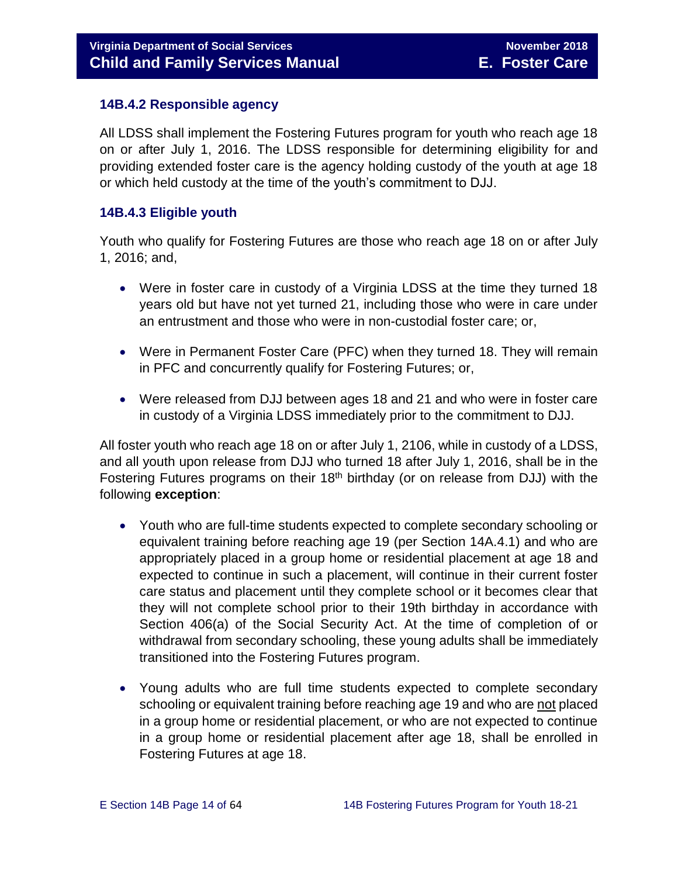## <span id="page-13-0"></span>**14B.4.2 Responsible agency**

All LDSS shall implement the Fostering Futures program for youth who reach age 18 on or after July 1, 2016. The LDSS responsible for determining eligibility for and providing extended foster care is the agency holding custody of the youth at age 18 or which held custody at the time of the youth's commitment to DJJ.

## <span id="page-13-1"></span>**14B.4.3 Eligible youth**

Youth who qualify for Fostering Futures are those who reach age 18 on or after July 1, 2016; and,

- Were in foster care in custody of a Virginia LDSS at the time they turned 18 years old but have not yet turned 21, including those who were in care under an entrustment and those who were in non-custodial foster care; or,
- Were in Permanent Foster Care (PFC) when they turned 18. They will remain in PFC and concurrently qualify for Fostering Futures; or,
- Were released from DJJ between ages 18 and 21 and who were in foster care in custody of a Virginia LDSS immediately prior to the commitment to DJJ.

All foster youth who reach age 18 on or after July 1, 2106, while in custody of a LDSS, and all youth upon release from DJJ who turned 18 after July 1, 2016, shall be in the Fostering Futures programs on their  $18<sup>th</sup>$  birthday (or on release from DJJ) with the following **exception**:

- Youth who are full-time students expected to complete secondary schooling or equivalent training before reaching age 19 (per Section 14A.4.1) and who are appropriately placed in a group home or residential placement at age 18 and expected to continue in such a placement, will continue in their current foster care status and placement until they complete school or it becomes clear that they will not complete school prior to their 19th birthday in accordance with Section 406(a) of the Social Security Act. At the time of completion of or withdrawal from secondary schooling, these young adults shall be immediately transitioned into the Fostering Futures program.
- Young adults who are full time students expected to complete secondary schooling or equivalent training before reaching age 19 and who are not placed in a group home or residential placement, or who are not expected to continue in a group home or residential placement after age 18, shall be enrolled in Fostering Futures at age 18.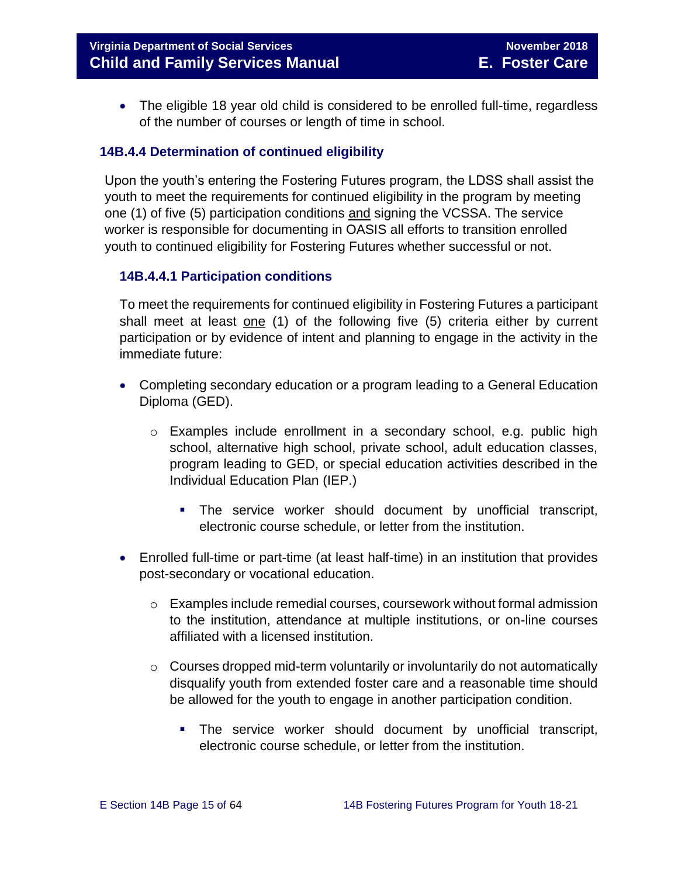**Virginia Department of Social Services** November 2018 **Child and Family Services Manual E. Foster Care**

• The eligible 18 year old child is considered to be enrolled full-time, regardless of the number of courses or length of time in school.

## <span id="page-14-0"></span>**14B.4.4 Determination of continued eligibility**

Upon the youth's entering the Fostering Futures program, the LDSS shall assist the youth to meet the requirements for continued eligibility in the program by meeting one (1) of five (5) participation conditions and signing the VCSSA. The service worker is responsible for documenting in OASIS all efforts to transition enrolled youth to continued eligibility for Fostering Futures whether successful or not.

## **14B.4.4.1 Participation conditions**

To meet the requirements for continued eligibility in Fostering Futures a participant shall meet at least one (1) of the following five (5) criteria either by current participation or by evidence of intent and planning to engage in the activity in the immediate future:

- Completing secondary education or a program leading to a General Education Diploma (GED).
	- o Examples include enrollment in a secondary school, e.g. public high school, alternative high school, private school, adult education classes, program leading to GED, or special education activities described in the Individual Education Plan (IEP.)
		- The service worker should document by unofficial transcript, electronic course schedule, or letter from the institution.
- Enrolled full-time or part-time (at least half-time) in an institution that provides post-secondary or vocational education.
	- $\circ$  Examples include remedial courses, coursework without formal admission to the institution, attendance at multiple institutions, or on-line courses affiliated with a licensed institution.
	- $\circ$  Courses dropped mid-term voluntarily or involuntarily do not automatically disqualify youth from extended foster care and a reasonable time should be allowed for the youth to engage in another participation condition.
		- The service worker should document by unofficial transcript, electronic course schedule, or letter from the institution.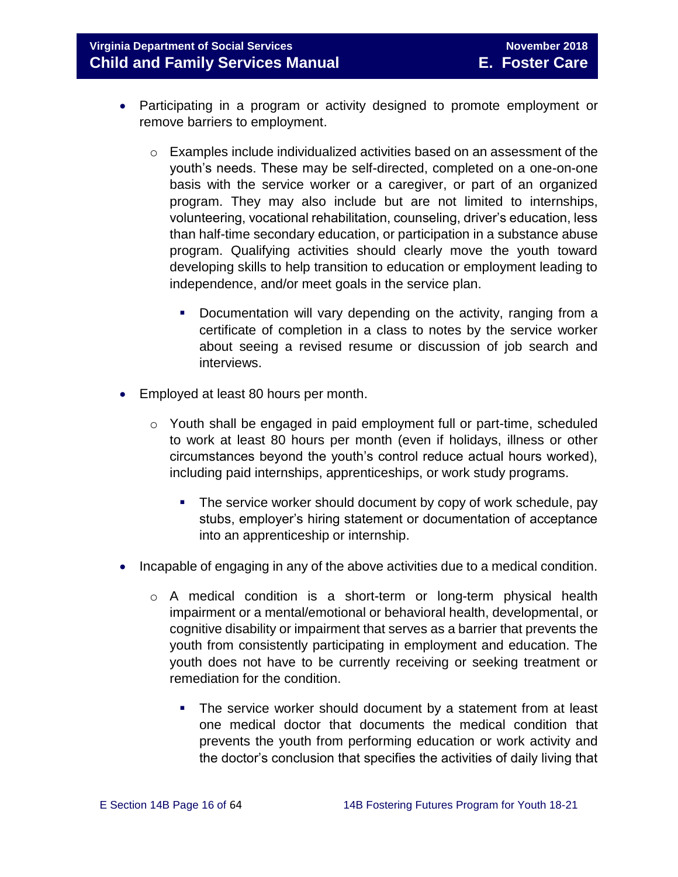## **Virginia Department of Social Services** November 2018 November 2018 **Child and Family Services Manual E. Foster Care**

- Participating in a program or activity designed to promote employment or remove barriers to employment.
	- o Examples include individualized activities based on an assessment of the youth's needs. These may be self-directed, completed on a one-on-one basis with the service worker or a caregiver, or part of an organized program. They may also include but are not limited to internships, volunteering, vocational rehabilitation, counseling, driver's education, less than half-time secondary education, or participation in a substance abuse program. Qualifying activities should clearly move the youth toward developing skills to help transition to education or employment leading to independence, and/or meet goals in the service plan.
		- Documentation will vary depending on the activity, ranging from a certificate of completion in a class to notes by the service worker about seeing a revised resume or discussion of job search and interviews.
- Employed at least 80 hours per month.
	- $\circ$  Youth shall be engaged in paid employment full or part-time, scheduled to work at least 80 hours per month (even if holidays, illness or other circumstances beyond the youth's control reduce actual hours worked), including paid internships, apprenticeships, or work study programs.
		- The service worker should document by copy of work schedule, pay stubs, employer's hiring statement or documentation of acceptance into an apprenticeship or internship.
- Incapable of engaging in any of the above activities due to a medical condition.
	- o A medical condition is a short-term or long-term physical health impairment or a mental/emotional or behavioral health, developmental, or cognitive disability or impairment that serves as a barrier that prevents the youth from consistently participating in employment and education. The youth does not have to be currently receiving or seeking treatment or remediation for the condition.
		- The service worker should document by a statement from at least one medical doctor that documents the medical condition that prevents the youth from performing education or work activity and the doctor's conclusion that specifies the activities of daily living that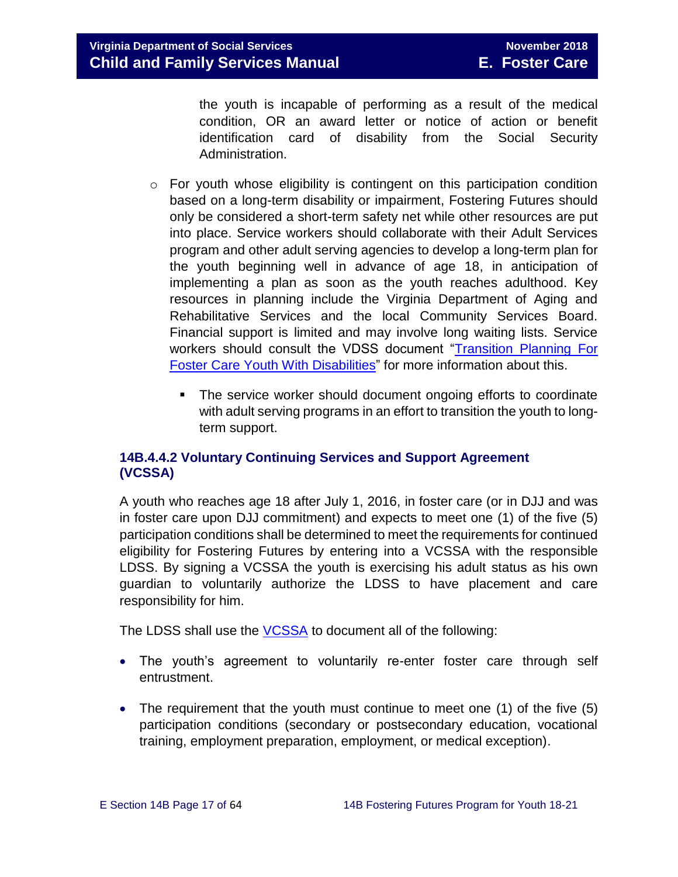the youth is incapable of performing as a result of the medical condition, OR an award letter or notice of action or benefit identification card of disability from the Social Security Administration.

- $\circ$  For youth whose eligibility is contingent on this participation condition based on a long-term disability or impairment, Fostering Futures should only be considered a short-term safety net while other resources are put into place. Service workers should collaborate with their Adult Services program and other adult serving agencies to develop a long-term plan for the youth beginning well in advance of age 18, in anticipation of implementing a plan as soon as the youth reaches adulthood. Key resources in planning include the Virginia Department of Aging and Rehabilitative Services and the local Community Services Board. Financial support is limited and may involve long waiting lists. Service workers should consult the VDSS document ["Transition Planning](http://spark.dss.virginia.gov/divisions/dfs/fc/files/guidance_procedures_faq/guidance_procedures/tranistion_plan_disabilities.pdf) For [Foster Care Youth With Disabilities"](http://spark.dss.virginia.gov/divisions/dfs/fc/files/guidance_procedures_faq/guidance_procedures/tranistion_plan_disabilities.pdf) for more information about this.
	- The service worker should document ongoing efforts to coordinate with adult serving programs in an effort to transition the youth to longterm support.

## **14B.4.4.2 Voluntary Continuing Services and Support Agreement (VCSSA)**

A youth who reaches age 18 after July 1, 2016, in foster care (or in DJJ and was in foster care upon DJJ commitment) and expects to meet one (1) of the five (5) participation conditions shall be determined to meet the requirements for continued eligibility for Fostering Futures by entering into a VCSSA with the responsible LDSS. By signing a VCSSA the youth is exercising his adult status as his own guardian to voluntarily authorize the LDSS to have placement and care responsibility for him.

The LDSS shall use the **VCSSA** to document all of the following:

- The youth's agreement to voluntarily re-enter foster care through self entrustment.
- The requirement that the youth must continue to meet one (1) of the five (5) participation conditions (secondary or postsecondary education, vocational training, employment preparation, employment, or medical exception).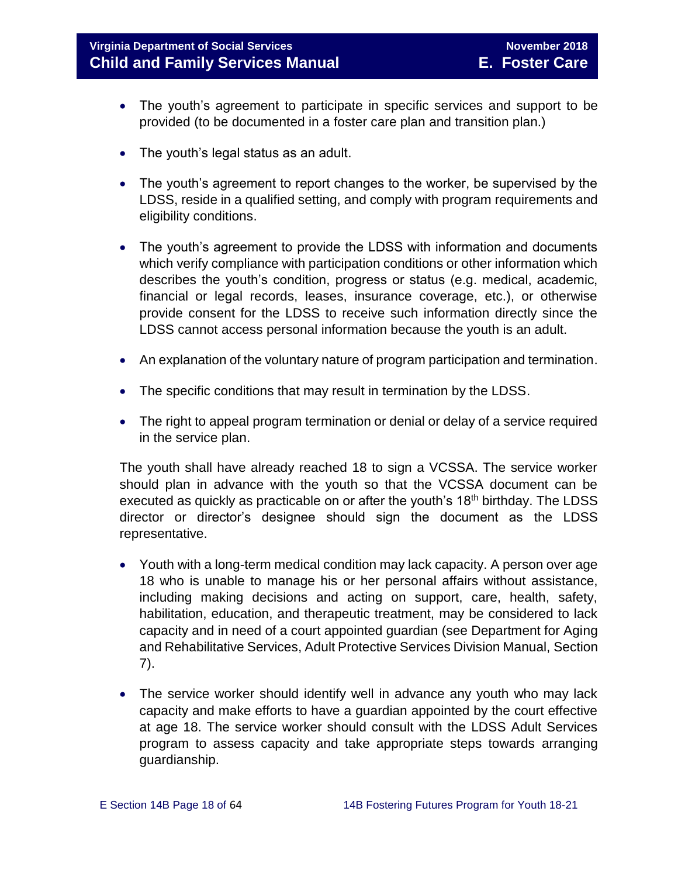# **Virginia Department of Social Services** November 2018 **Child and Family Services Manual E. Foster Care**

- The youth's agreement to participate in specific services and support to be provided (to be documented in a foster care plan and transition plan.)
- The youth's legal status as an adult.
- The youth's agreement to report changes to the worker, be supervised by the LDSS, reside in a qualified setting, and comply with program requirements and eligibility conditions.
- The youth's agreement to provide the LDSS with information and documents which verify compliance with participation conditions or other information which describes the youth's condition, progress or status (e.g. medical, academic, financial or legal records, leases, insurance coverage, etc.), or otherwise provide consent for the LDSS to receive such information directly since the LDSS cannot access personal information because the youth is an adult.
- An explanation of the voluntary nature of program participation and termination.
- The specific conditions that may result in termination by the LDSS.
- The right to appeal program termination or denial or delay of a service required in the service plan.

The youth shall have already reached 18 to sign a VCSSA. The service worker should plan in advance with the youth so that the VCSSA document can be executed as quickly as practicable on or after the youth's 18<sup>th</sup> birthday. The LDSS director or director's designee should sign the document as the LDSS representative.

- Youth with a long-term medical condition may lack capacity. A person over age 18 who is unable to manage his or her personal affairs without assistance, including making decisions and acting on support, care, health, safety, habilitation, education, and therapeutic treatment, may be considered to lack capacity and in need of a court appointed guardian (see Department for Aging and Rehabilitative Services, Adult Protective Services Division Manual, Section 7).
- The service worker should identify well in advance any youth who may lack capacity and make efforts to have a guardian appointed by the court effective at age 18. The service worker should consult with the LDSS Adult Services program to assess capacity and take appropriate steps towards arranging guardianship.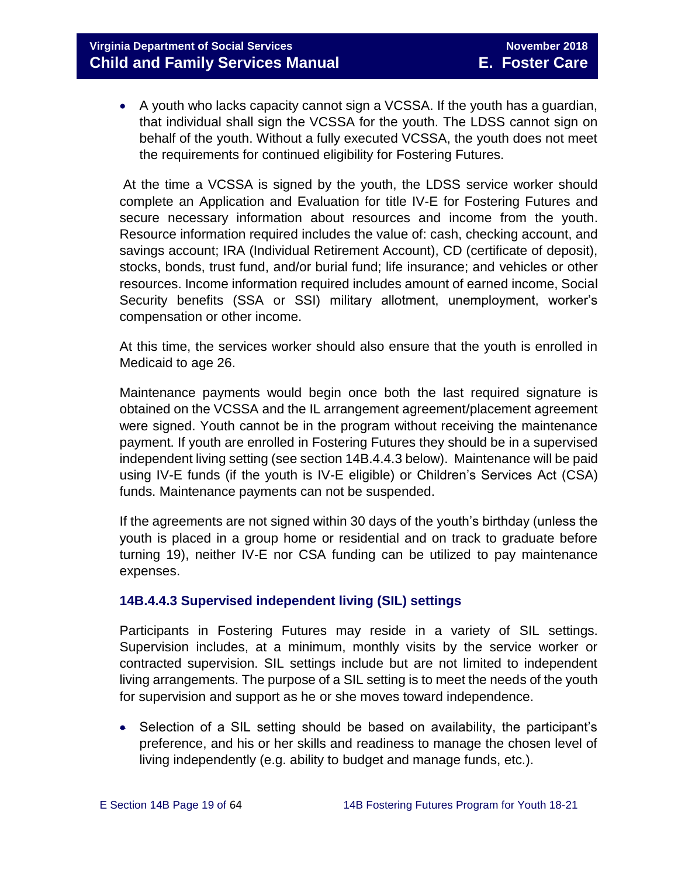A youth who lacks capacity cannot sign a VCSSA. If the youth has a guardian, that individual shall sign the VCSSA for the youth. The LDSS cannot sign on behalf of the youth. Without a fully executed VCSSA, the youth does not meet the requirements for continued eligibility for Fostering Futures.

At the time a VCSSA is signed by the youth, the LDSS service worker should complete an Application and Evaluation for title IV-E for Fostering Futures and secure necessary information about resources and income from the youth. Resource information required includes the value of: cash, checking account, and savings account; IRA (Individual Retirement Account), CD (certificate of deposit), stocks, bonds, trust fund, and/or burial fund; life insurance; and vehicles or other resources. Income information required includes amount of earned income, Social Security benefits (SSA or SSI) military allotment, unemployment, worker's compensation or other income.

At this time, the services worker should also ensure that the youth is enrolled in Medicaid to age 26.

Maintenance payments would begin once both the last required signature is obtained on the VCSSA and the IL arrangement agreement/placement agreement were signed. Youth cannot be in the program without receiving the maintenance payment. If youth are enrolled in Fostering Futures they should be in a supervised independent living setting (see section 14B.4.4.3 below). Maintenance will be paid using IV-E funds (if the youth is IV-E eligible) or Children's Services Act (CSA) funds. Maintenance payments can not be suspended.

If the agreements are not signed within 30 days of the youth's birthday (unless the youth is placed in a group home or residential and on track to graduate before turning 19), neither IV-E nor CSA funding can be utilized to pay maintenance expenses.

## **14B.4.4.3 Supervised independent living (SIL) settings**

Participants in Fostering Futures may reside in a variety of SIL settings. Supervision includes, at a minimum, monthly visits by the service worker or contracted supervision. SIL settings include but are not limited to independent living arrangements. The purpose of a SIL setting is to meet the needs of the youth for supervision and support as he or she moves toward independence.

 Selection of a SIL setting should be based on availability, the participant's preference, and his or her skills and readiness to manage the chosen level of living independently (e.g. ability to budget and manage funds, etc.).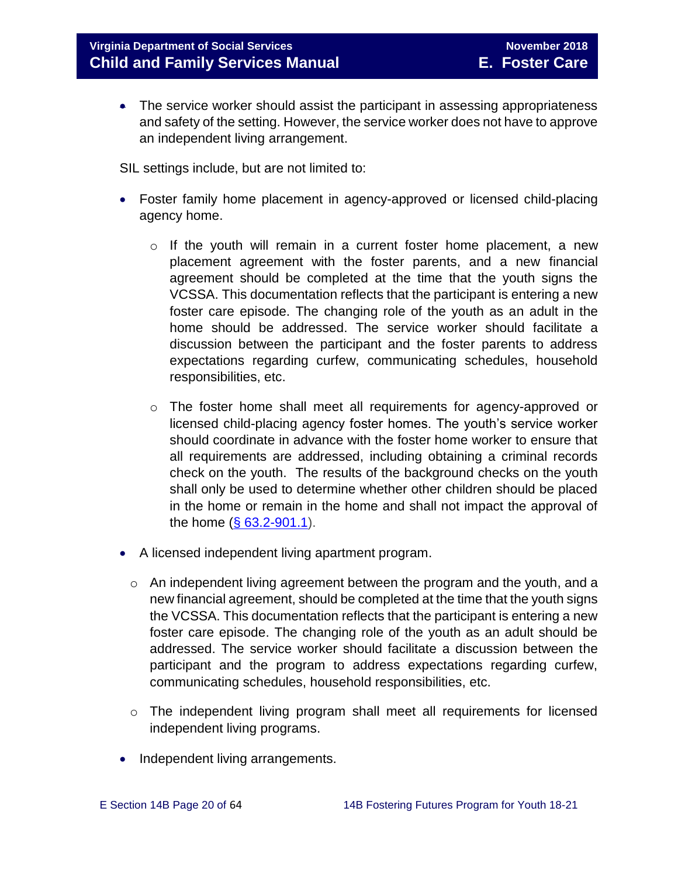• The service worker should assist the participant in assessing appropriateness and safety of the setting. However, the service worker does not have to approve an independent living arrangement.

SIL settings include, but are not limited to:

- Foster family home placement in agency-approved or licensed child-placing agency home.
	- o If the youth will remain in a current foster home placement, a new placement agreement with the foster parents, and a new financial agreement should be completed at the time that the youth signs the VCSSA. This documentation reflects that the participant is entering a new foster care episode. The changing role of the youth as an adult in the home should be addressed. The service worker should facilitate a discussion between the participant and the foster parents to address expectations regarding curfew, communicating schedules, household responsibilities, etc.
	- $\circ$  The foster home shall meet all requirements for agency-approved or licensed child-placing agency foster homes. The youth's service worker should coordinate in advance with the foster home worker to ensure that all requirements are addressed, including obtaining a criminal records check on the youth. The results of the background checks on the youth shall only be used to determine whether other children should be placed in the home or remain in the home and shall not impact the approval of the home  $(\S 63.2 - 901.1)$ .
- A licensed independent living apartment program.
	- o An independent living agreement between the program and the youth, and a new financial agreement, should be completed at the time that the youth signs the VCSSA. This documentation reflects that the participant is entering a new foster care episode. The changing role of the youth as an adult should be addressed. The service worker should facilitate a discussion between the participant and the program to address expectations regarding curfew, communicating schedules, household responsibilities, etc.
	- o The independent living program shall meet all requirements for licensed independent living programs.
- Independent living arrangements.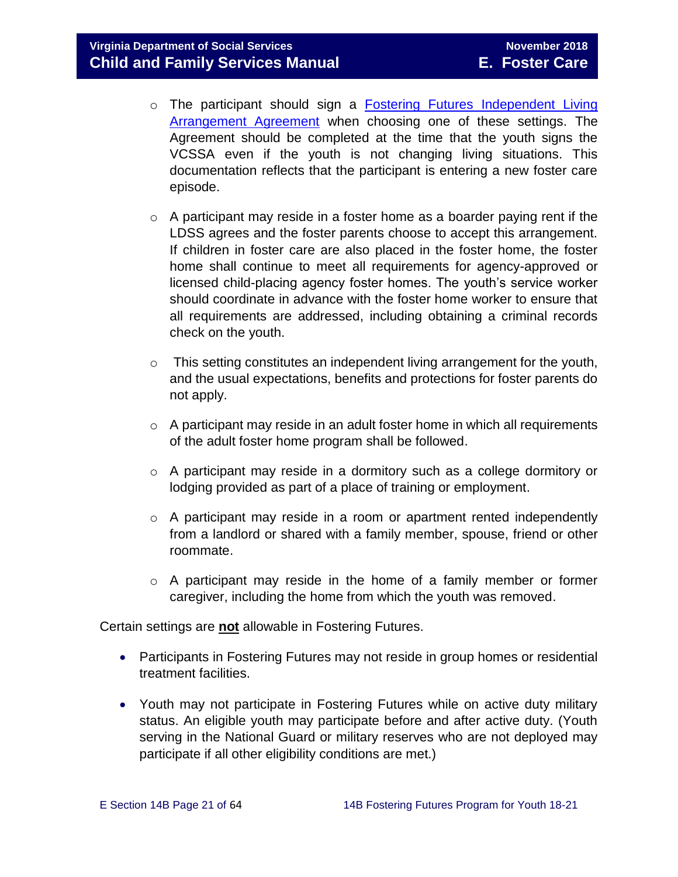- o The participant should sign a Fostering Futures [Independent Living](http://spark.dss.virginia.gov/divisions/dfs/fc/files/foster_future_forms/032-25-003-00-eng.pdf) [Arrangement Agreement](http://spark.dss.virginia.gov/divisions/dfs/fc/files/foster_future_forms/032-25-003-00-eng.pdf) when choosing one of these settings. The Agreement should be completed at the time that the youth signs the VCSSA even if the youth is not changing living situations. This documentation reflects that the participant is entering a new foster care episode.
- $\circ$  A participant may reside in a foster home as a boarder paying rent if the LDSS agrees and the foster parents choose to accept this arrangement. If children in foster care are also placed in the foster home, the foster home shall continue to meet all requirements for agency-approved or licensed child-placing agency foster homes. The youth's service worker should coordinate in advance with the foster home worker to ensure that all requirements are addressed, including obtaining a criminal records check on the youth.
- o This setting constitutes an independent living arrangement for the youth, and the usual expectations, benefits and protections for foster parents do not apply.
- o A participant may reside in an adult foster home in which all requirements of the adult foster home program shall be followed.
- o A participant may reside in a dormitory such as a college dormitory or lodging provided as part of a place of training or employment.
- o A participant may reside in a room or apartment rented independently from a landlord or shared with a family member, spouse, friend or other roommate.
- o A participant may reside in the home of a family member or former caregiver, including the home from which the youth was removed.

Certain settings are **not** allowable in Fostering Futures.

- Participants in Fostering Futures may not reside in group homes or residential treatment facilities.
- Youth may not participate in Fostering Futures while on active duty military status. An eligible youth may participate before and after active duty. (Youth serving in the National Guard or military reserves who are not deployed may participate if all other eligibility conditions are met.)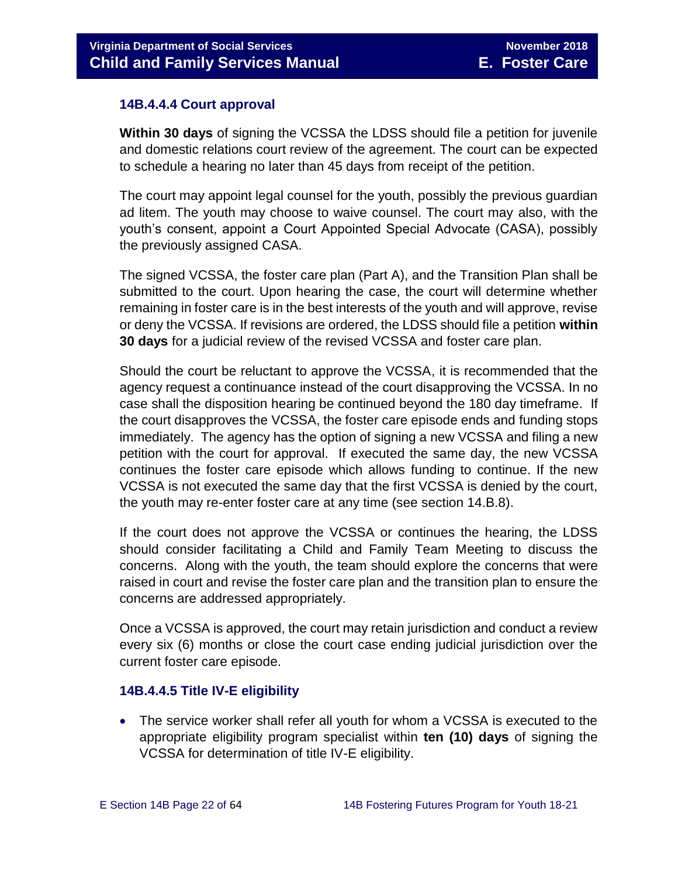## **14B.4.4.4 Court approval**

**Within 30 days** of signing the VCSSA the LDSS should file a petition for juvenile and domestic relations court review of the agreement. The court can be expected to schedule a hearing no later than 45 days from receipt of the petition.

The court may appoint legal counsel for the youth, possibly the previous guardian ad litem. The youth may choose to waive counsel. The court may also, with the youth's consent, appoint a Court Appointed Special Advocate (CASA), possibly the previously assigned CASA.

The signed VCSSA, the foster care plan (Part A), and the Transition Plan shall be submitted to the court. Upon hearing the case, the court will determine whether remaining in foster care is in the best interests of the youth and will approve, revise or deny the VCSSA. If revisions are ordered, the LDSS should file a petition **within 30 days** for a judicial review of the revised VCSSA and foster care plan.

Should the court be reluctant to approve the VCSSA, it is recommended that the agency request a continuance instead of the court disapproving the VCSSA. In no case shall the disposition hearing be continued beyond the 180 day timeframe. If the court disapproves the VCSSA, the foster care episode ends and funding stops immediately. The agency has the option of signing a new VCSSA and filing a new petition with the court for approval. If executed the same day, the new VCSSA continues the foster care episode which allows funding to continue. If the new VCSSA is not executed the same day that the first VCSSA is denied by the court, the youth may re-enter foster care at any time (see section 14.B.8).

If the court does not approve the VCSSA or continues the hearing, the LDSS should consider facilitating a Child and Family Team Meeting to discuss the concerns. Along with the youth, the team should explore the concerns that were raised in court and revise the foster care plan and the transition plan to ensure the concerns are addressed appropriately.

Once a VCSSA is approved, the court may retain jurisdiction and conduct a review every six (6) months or close the court case ending judicial jurisdiction over the current foster care episode.

## **14B.4.4.5 Title IV-E eligibility**

 The service worker shall refer all youth for whom a VCSSA is executed to the appropriate eligibility program specialist within **ten (10) days** of signing the VCSSA for determination of title IV-E eligibility.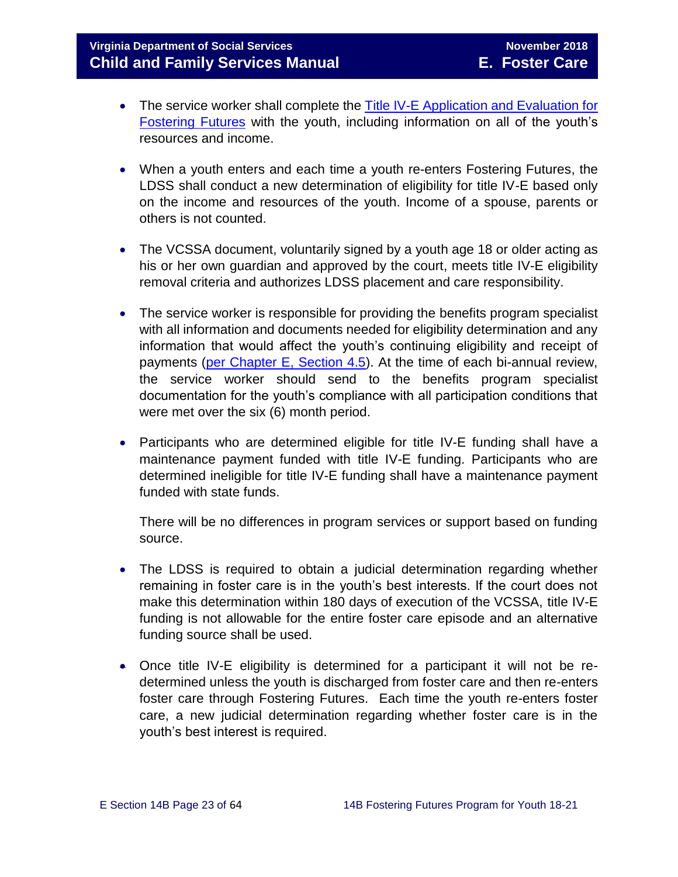- The service worker shall complete the Title IV-E Application and Evaluation for [Fostering Futures](http://spark.dss.virginia.gov/divisions/dfs/iv_e/files/intro_page/forms/Title_IV-E_Application_and_Evaluation_for_Fostering_Futures.xlsx) with the youth, including information on all of the youth's resources and income.
- When a youth enters and each time a youth re-enters Fostering Futures, the LDSS shall conduct a new determination of eligibility for title IV-E based only on the income and resources of the youth. Income of a spouse, parents or others is not counted.
- The VCSSA document, voluntarily signed by a youth age 18 or older acting as his or her own guardian and approved by the court, meets title IV-E eligibility removal criteria and authorizes LDSS placement and care responsibility.
- The service worker is responsible for providing the benefits program specialist with all information and documents needed for eligibility determination and any information that would affect the youth's continuing eligibility and receipt of payments (per Chapter [E, Section 4.5\)](http://spark.dss.virginia.gov/divisions/dfs/fc/files/manual/fc_manual/07_2015/Section_04_Opening_and_Maintaining_Case.pdf). At the time of each bi-annual review, the service worker should send to the benefits program specialist documentation for the youth's compliance with all participation conditions that were met over the six (6) month period.
- Participants who are determined eligible for title IV-E funding shall have a maintenance payment funded with title IV-E funding. Participants who are determined ineligible for title IV-E funding shall have a maintenance payment funded with state funds.

There will be no differences in program services or support based on funding source.

- The LDSS is required to obtain a judicial determination regarding whether remaining in foster care is in the youth's best interests. If the court does not make this determination within 180 days of execution of the VCSSA, title IV-E funding is not allowable for the entire foster care episode and an alternative funding source shall be used.
- Once title IV-E eligibility is determined for a participant it will not be redetermined unless the youth is discharged from foster care and then re-enters foster care through Fostering Futures. Each time the youth re-enters foster care, a new judicial determination regarding whether foster care is in the youth's best interest is required.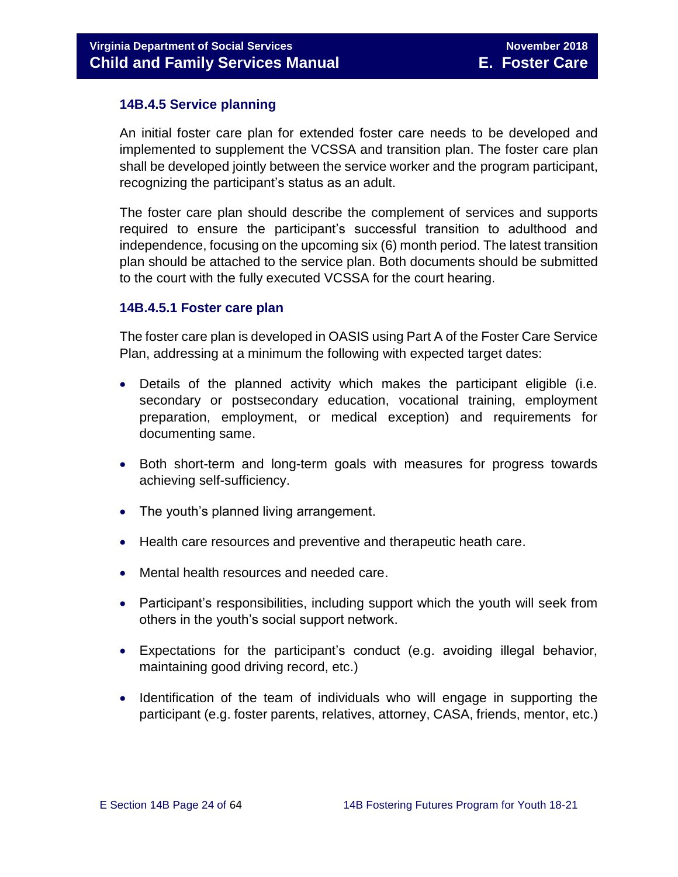## <span id="page-23-0"></span>**14B.4.5 Service planning**

An initial foster care plan for extended foster care needs to be developed and implemented to supplement the VCSSA and transition plan. The foster care plan shall be developed jointly between the service worker and the program participant, recognizing the participant's status as an adult.

The foster care plan should describe the complement of services and supports required to ensure the participant's successful transition to adulthood and independence, focusing on the upcoming six (6) month period. The latest transition plan should be attached to the service plan. Both documents should be submitted to the court with the fully executed VCSSA for the court hearing.

#### **14B.4.5.1 Foster care plan**

The foster care plan is developed in OASIS using Part A of the Foster Care Service Plan, addressing at a minimum the following with expected target dates:

- Details of the planned activity which makes the participant eligible (i.e. secondary or postsecondary education, vocational training, employment preparation, employment, or medical exception) and requirements for documenting same.
- Both short-term and long-term goals with measures for progress towards achieving self-sufficiency.
- The youth's planned living arrangement.
- Health care resources and preventive and therapeutic heath care.
- Mental health resources and needed care.
- Participant's responsibilities, including support which the youth will seek from others in the youth's social support network.
- Expectations for the participant's conduct (e.g. avoiding illegal behavior, maintaining good driving record, etc.)
- Identification of the team of individuals who will engage in supporting the participant (e.g. foster parents, relatives, attorney, CASA, friends, mentor, etc.)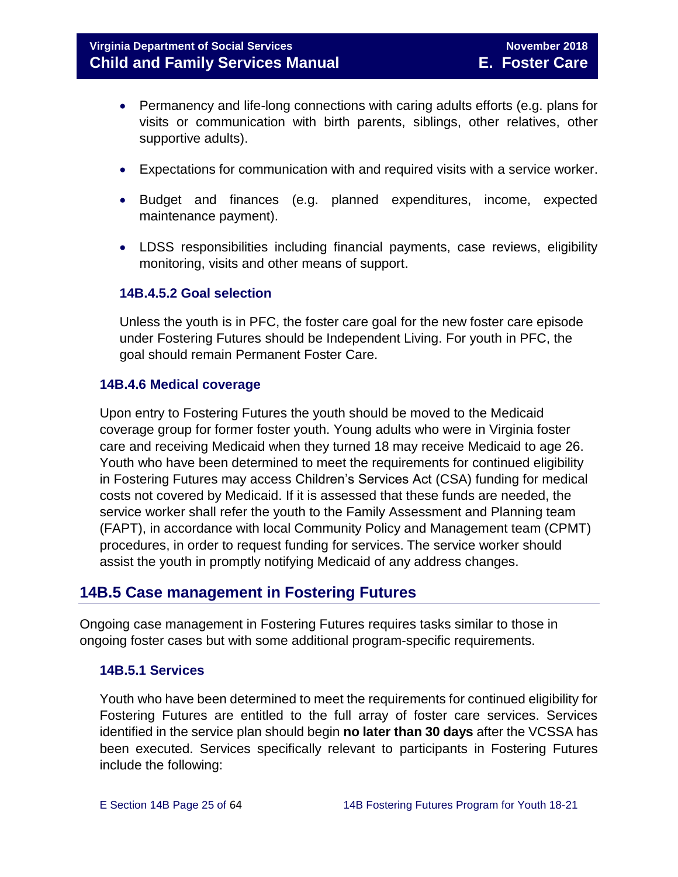- Permanency and life-long connections with caring adults efforts (e.g. plans for visits or communication with birth parents, siblings, other relatives, other supportive adults).
- Expectations for communication with and required visits with a service worker.
- Budget and finances (e.g. planned expenditures, income, expected maintenance payment).
- LDSS responsibilities including financial payments, case reviews, eligibility monitoring, visits and other means of support.

#### **14B.4.5.2 Goal selection**

Unless the youth is in PFC, the foster care goal for the new foster care episode under Fostering Futures should be Independent Living. For youth in PFC, the goal should remain Permanent Foster Care.

#### <span id="page-24-0"></span>**14B.4.6 Medical coverage**

Upon entry to Fostering Futures the youth should be moved to the Medicaid coverage group for former foster youth. Young adults who were in Virginia foster care and receiving Medicaid when they turned 18 may receive Medicaid to age 26. Youth who have been determined to meet the requirements for continued eligibility in Fostering Futures may access Children's Services Act (CSA) funding for medical costs not covered by Medicaid. If it is assessed that these funds are needed, the service worker shall refer the youth to the Family Assessment and Planning team (FAPT), in accordance with local Community Policy and Management team (CPMT) procedures, in order to request funding for services. The service worker should assist the youth in promptly notifying Medicaid of any address changes.

# <span id="page-24-1"></span>**14B.5 Case management in Fostering Futures**

Ongoing case management in Fostering Futures requires tasks similar to those in ongoing foster cases but with some additional program-specific requirements.

## <span id="page-24-2"></span>**14B.5.1 Services**

Youth who have been determined to meet the requirements for continued eligibility for Fostering Futures are entitled to the full array of foster care services. Services identified in the service plan should begin **no later than 30 days** after the VCSSA has been executed. Services specifically relevant to participants in Fostering Futures include the following: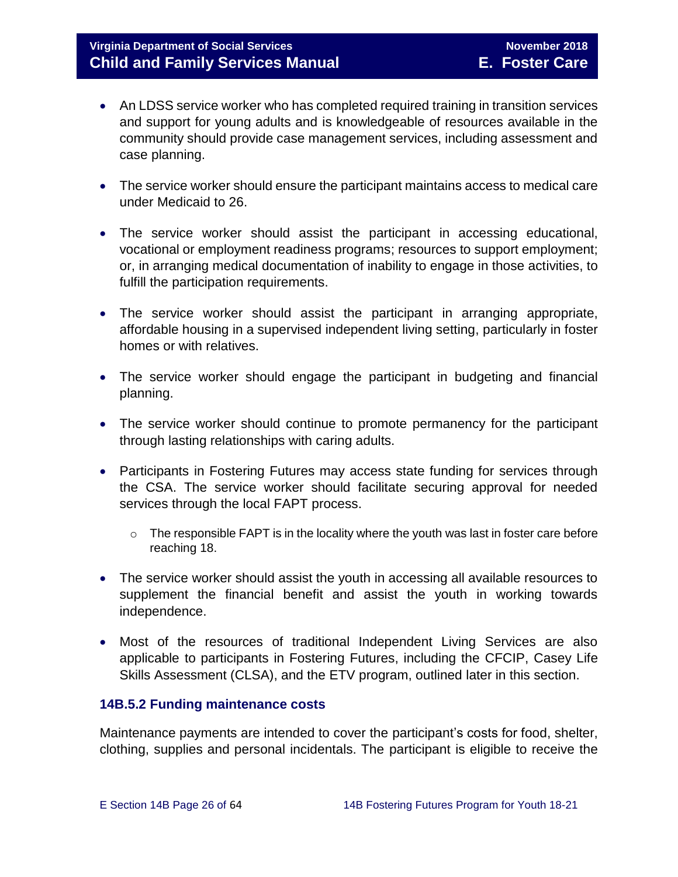# **Virginia Department of Social Services** November 2018 **Child and Family Services Manual E. Foster Care**

- An LDSS service worker who has completed required training in transition services and support for young adults and is knowledgeable of resources available in the community should provide case management services, including assessment and case planning.
- The service worker should ensure the participant maintains access to medical care under Medicaid to 26.
- The service worker should assist the participant in accessing educational, vocational or employment readiness programs; resources to support employment; or, in arranging medical documentation of inability to engage in those activities, to fulfill the participation requirements.
- The service worker should assist the participant in arranging appropriate, affordable housing in a supervised independent living setting, particularly in foster homes or with relatives.
- The service worker should engage the participant in budgeting and financial planning.
- The service worker should continue to promote permanency for the participant through lasting relationships with caring adults.
- Participants in Fostering Futures may access state funding for services through the CSA. The service worker should facilitate securing approval for needed services through the local FAPT process.
	- o The responsible FAPT is in the locality where the youth was last in foster care before reaching 18.
- The service worker should assist the youth in accessing all available resources to supplement the financial benefit and assist the youth in working towards independence.
- Most of the resources of traditional Independent Living Services are also applicable to participants in Fostering Futures, including the CFCIP, Casey Life Skills Assessment (CLSA), and the ETV program, outlined later in this section.

## <span id="page-25-0"></span>**14B.5.2 Funding maintenance costs**

Maintenance payments are intended to cover the participant's costs for food, shelter, clothing, supplies and personal incidentals. The participant is eligible to receive the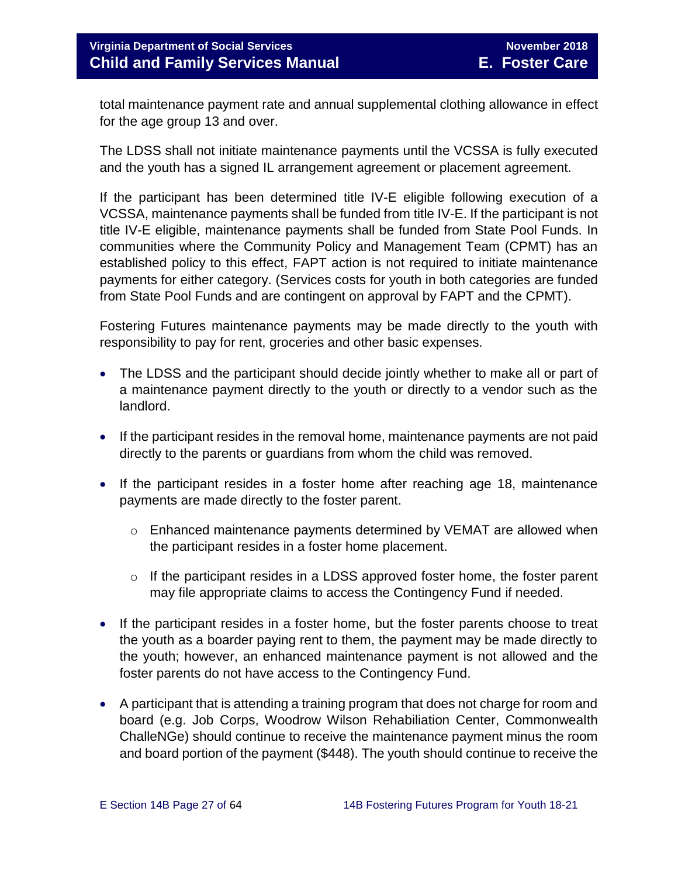total maintenance payment rate and annual supplemental clothing allowance in effect for the age group 13 and over.

The LDSS shall not initiate maintenance payments until the VCSSA is fully executed and the youth has a signed IL arrangement agreement or placement agreement.

If the participant has been determined title IV-E eligible following execution of a VCSSA, maintenance payments shall be funded from title IV-E. If the participant is not title IV-E eligible, maintenance payments shall be funded from State Pool Funds. In communities where the Community Policy and Management Team (CPMT) has an established policy to this effect, FAPT action is not required to initiate maintenance payments for either category. (Services costs for youth in both categories are funded from State Pool Funds and are contingent on approval by FAPT and the CPMT).

Fostering Futures maintenance payments may be made directly to the youth with responsibility to pay for rent, groceries and other basic expenses.

- The LDSS and the participant should decide jointly whether to make all or part of a maintenance payment directly to the youth or directly to a vendor such as the landlord.
- If the participant resides in the removal home, maintenance payments are not paid directly to the parents or guardians from whom the child was removed.
- If the participant resides in a foster home after reaching age 18, maintenance payments are made directly to the foster parent.
	- o Enhanced maintenance payments determined by VEMAT are allowed when the participant resides in a foster home placement.
	- $\circ$  If the participant resides in a LDSS approved foster home, the foster parent may file appropriate claims to access the Contingency Fund if needed.
- If the participant resides in a foster home, but the foster parents choose to treat the youth as a boarder paying rent to them, the payment may be made directly to the youth; however, an enhanced maintenance payment is not allowed and the foster parents do not have access to the Contingency Fund.
- A participant that is attending a training program that does not charge for room and board (e.g. Job Corps, Woodrow Wilson Rehabiliation Center, Commonwealth ChalleNGe) should continue to receive the maintenance payment minus the room and board portion of the payment (\$448). The youth should continue to receive the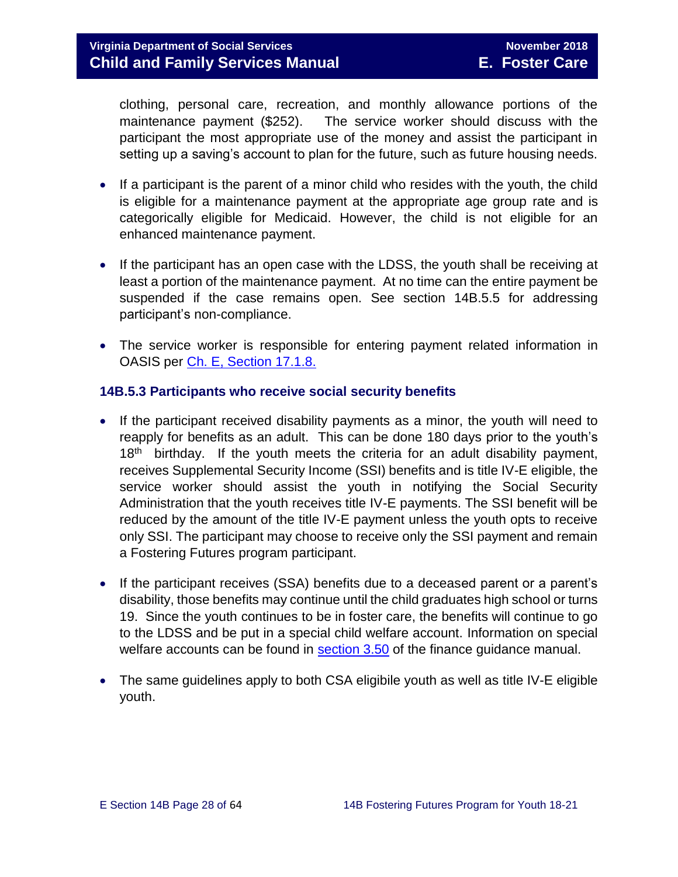clothing, personal care, recreation, and monthly allowance portions of the maintenance payment (\$252). The service worker should discuss with the participant the most appropriate use of the money and assist the participant in setting up a saving's account to plan for the future, such as future housing needs.

- If a participant is the parent of a minor child who resides with the youth, the child is eligible for a maintenance payment at the appropriate age group rate and is categorically eligible for Medicaid. However, the child is not eligible for an enhanced maintenance payment.
- If the participant has an open case with the LDSS, the youth shall be receiving at least a portion of the maintenance payment. At no time can the entire payment be suspended if the case remains open. See section 14B.5.5 for addressing participant's non-compliance.
- The service worker is responsible for entering payment related information in OASIS per [Ch. E, Section](http://spark.dss.virginia.gov/divisions/dfs/fc/files/manual/fc_manual/07_2015/Section_17_Funding_Maintenance_Costs.pdf) 17.1.8.

## <span id="page-27-0"></span>**14B.5.3 Participants who receive social security benefits**

- If the participant received disability payments as a minor, the youth will need to reapply for benefits as an adult. This can be done 180 days prior to the youth's  $18<sup>th</sup>$  birthday. If the youth meets the criteria for an adult disability payment, receives Supplemental Security Income (SSI) benefits and is title IV-E eligible, the service worker should assist the youth in notifying the Social Security Administration that the youth receives title IV-E payments. The SSI benefit will be reduced by the amount of the title IV-E payment unless the youth opts to receive only SSI. The participant may choose to receive only the SSI payment and remain a Fostering Futures program participant.
- If the participant receives (SSA) benefits due to a deceased parent or a parent's disability, those benefits may continue until the child graduates high school or turns 19. Since the youth continues to be in foster care, the benefits will continue to go to the LDSS and be put in a special child welfare account. Information on special welfare accounts can be found in [section 3.50](http://spark.dss.virginia.gov/divisions/dof/files/local_support/finance_guidelines_manual/by_section/reimbursement/Section_3.50_-_Special_Welfare.pdf) of the finance guidance manual.
- The same guidelines apply to both CSA eligibile youth as well as title IV-E eligible youth.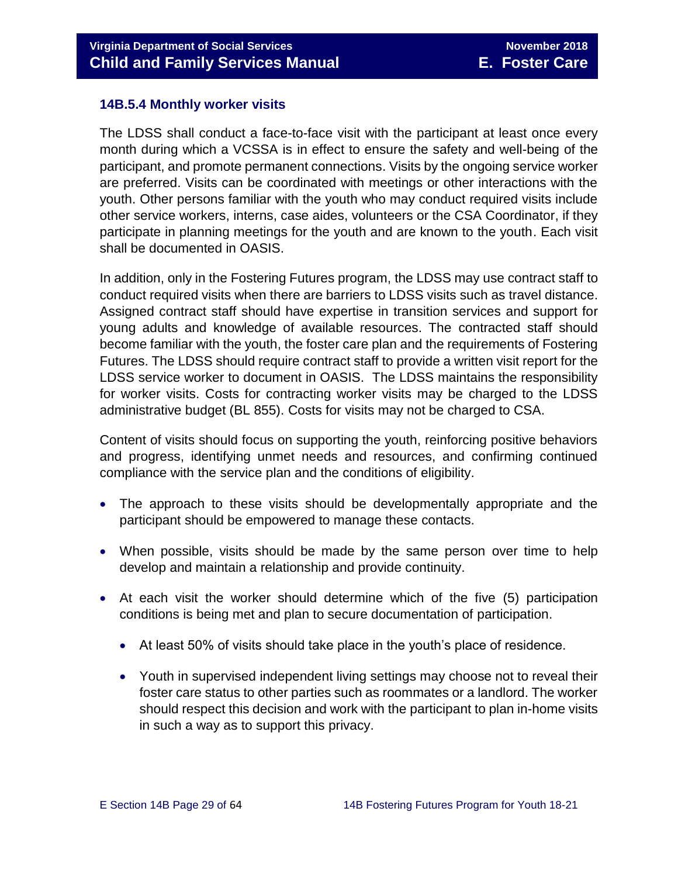## <span id="page-28-0"></span>**14B.5.4 Monthly worker visits**

The LDSS shall conduct a face-to-face visit with the participant at least once every month during which a VCSSA is in effect to ensure the safety and well-being of the participant, and promote permanent connections. Visits by the ongoing service worker are preferred. Visits can be coordinated with meetings or other interactions with the youth. Other persons familiar with the youth who may conduct required visits include other service workers, interns, case aides, volunteers or the CSA Coordinator, if they participate in planning meetings for the youth and are known to the youth. Each visit shall be documented in OASIS.

In addition, only in the Fostering Futures program, the LDSS may use contract staff to conduct required visits when there are barriers to LDSS visits such as travel distance. Assigned contract staff should have expertise in transition services and support for young adults and knowledge of available resources. The contracted staff should become familiar with the youth, the foster care plan and the requirements of Fostering Futures. The LDSS should require contract staff to provide a written visit report for the LDSS service worker to document in OASIS. The LDSS maintains the responsibility for worker visits. Costs for contracting worker visits may be charged to the LDSS administrative budget (BL 855). Costs for visits may not be charged to CSA.

Content of visits should focus on supporting the youth, reinforcing positive behaviors and progress, identifying unmet needs and resources, and confirming continued compliance with the service plan and the conditions of eligibility.

- The approach to these visits should be developmentally appropriate and the participant should be empowered to manage these contacts.
- When possible, visits should be made by the same person over time to help develop and maintain a relationship and provide continuity.
- At each visit the worker should determine which of the five (5) participation conditions is being met and plan to secure documentation of participation.
	- At least 50% of visits should take place in the youth's place of residence.
	- Youth in supervised independent living settings may choose not to reveal their foster care status to other parties such as roommates or a landlord. The worker should respect this decision and work with the participant to plan in-home visits in such a way as to support this privacy.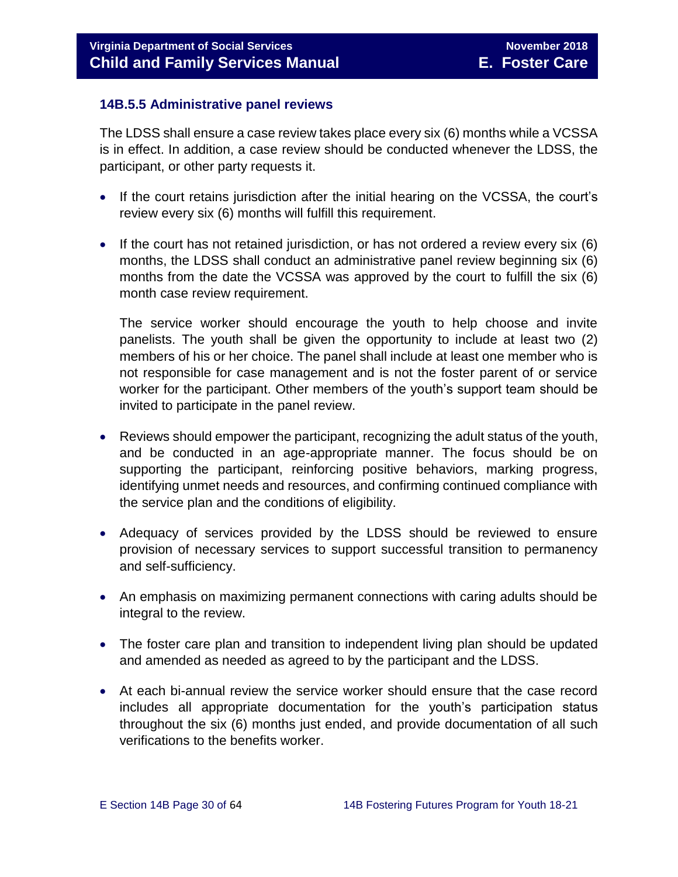## <span id="page-29-0"></span>**14B.5.5 Administrative panel reviews**

The LDSS shall ensure a case review takes place every six (6) months while a VCSSA is in effect. In addition, a case review should be conducted whenever the LDSS, the participant, or other party requests it.

- If the court retains jurisdiction after the initial hearing on the VCSSA, the court's review every six (6) months will fulfill this requirement.
- If the court has not retained jurisdiction, or has not ordered a review every six (6) months, the LDSS shall conduct an administrative panel review beginning six (6) months from the date the VCSSA was approved by the court to fulfill the six (6) month case review requirement.

The service worker should encourage the youth to help choose and invite panelists. The youth shall be given the opportunity to include at least two (2) members of his or her choice. The panel shall include at least one member who is not responsible for case management and is not the foster parent of or service worker for the participant. Other members of the youth's support team should be invited to participate in the panel review.

- Reviews should empower the participant, recognizing the adult status of the youth, and be conducted in an age-appropriate manner. The focus should be on supporting the participant, reinforcing positive behaviors, marking progress, identifying unmet needs and resources, and confirming continued compliance with the service plan and the conditions of eligibility.
- Adequacy of services provided by the LDSS should be reviewed to ensure provision of necessary services to support successful transition to permanency and self-sufficiency.
- An emphasis on maximizing permanent connections with caring adults should be integral to the review.
- The foster care plan and transition to independent living plan should be updated and amended as needed as agreed to by the participant and the LDSS.
- At each bi-annual review the service worker should ensure that the case record includes all appropriate documentation for the youth's participation status throughout the six (6) months just ended, and provide documentation of all such verifications to the benefits worker.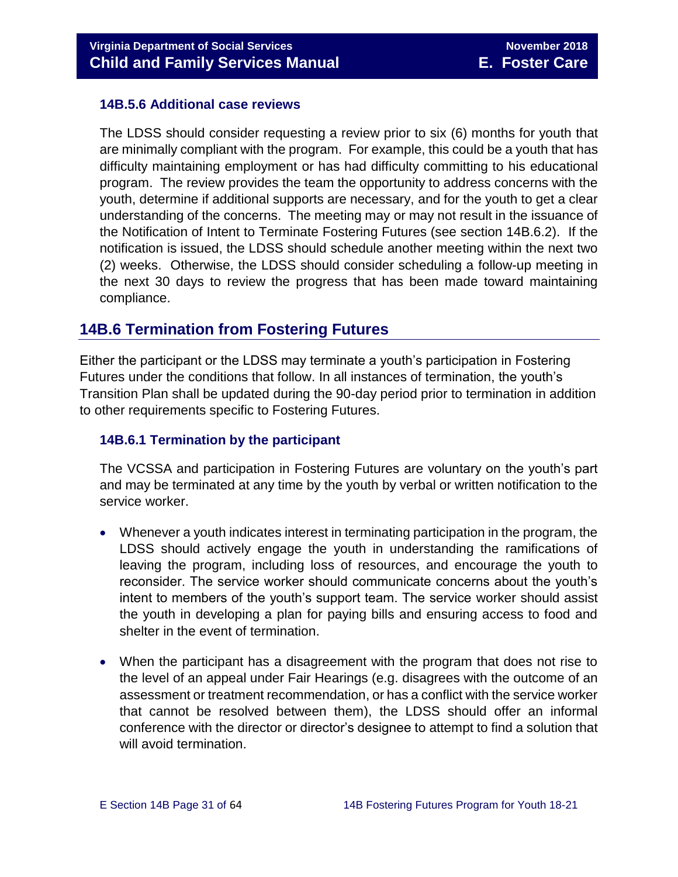### <span id="page-30-0"></span>**14B.5.6 Additional case reviews**

The LDSS should consider requesting a review prior to six (6) months for youth that are minimally compliant with the program. For example, this could be a youth that has difficulty maintaining employment or has had difficulty committing to his educational program. The review provides the team the opportunity to address concerns with the youth, determine if additional supports are necessary, and for the youth to get a clear understanding of the concerns. The meeting may or may not result in the issuance of the Notification of Intent to Terminate Fostering Futures (see section 14B.6.2). If the notification is issued, the LDSS should schedule another meeting within the next two (2) weeks. Otherwise, the LDSS should consider scheduling a follow-up meeting in the next 30 days to review the progress that has been made toward maintaining compliance.

# <span id="page-30-1"></span>**14B.6 Termination from Fostering Futures**

Either the participant or the LDSS may terminate a youth's participation in Fostering Futures under the conditions that follow. In all instances of termination, the youth's Transition Plan shall be updated during the 90-day period prior to termination in addition to other requirements specific to Fostering Futures.

#### <span id="page-30-2"></span>**14B.6.1 Termination by the participant**

The VCSSA and participation in Fostering Futures are voluntary on the youth's part and may be terminated at any time by the youth by verbal or written notification to the service worker.

- Whenever a youth indicates interest in terminating participation in the program, the LDSS should actively engage the youth in understanding the ramifications of leaving the program, including loss of resources, and encourage the youth to reconsider. The service worker should communicate concerns about the youth's intent to members of the youth's support team. The service worker should assist the youth in developing a plan for paying bills and ensuring access to food and shelter in the event of termination.
- When the participant has a disagreement with the program that does not rise to the level of an appeal under Fair Hearings (e.g. disagrees with the outcome of an assessment or treatment recommendation, or has a conflict with the service worker that cannot be resolved between them), the LDSS should offer an informal conference with the director or director's designee to attempt to find a solution that will avoid termination.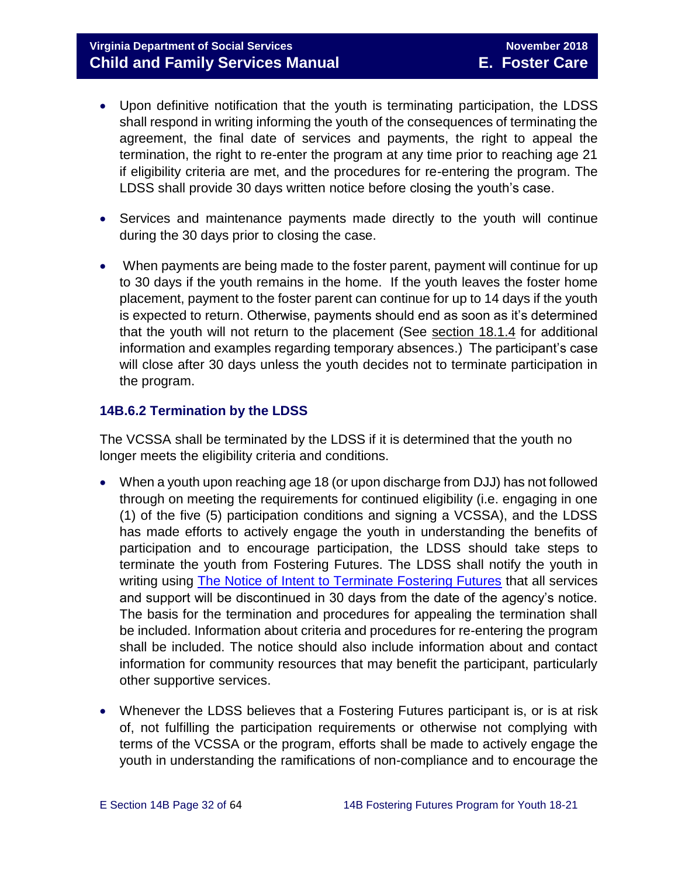# **Virginia Department of Social Services November 2018 Child and Family Services Manual E. Foster Care**

- Upon definitive notification that the youth is terminating participation, the LDSS shall respond in writing informing the youth of the consequences of terminating the agreement, the final date of services and payments, the right to appeal the termination, the right to re-enter the program at any time prior to reaching age 21 if eligibility criteria are met, and the procedures for re-entering the program. The LDSS shall provide 30 days written notice before closing the youth's case.
- Services and maintenance payments made directly to the youth will continue during the 30 days prior to closing the case.
- When payments are being made to the foster parent, payment will continue for up to 30 days if the youth remains in the home. If the youth leaves the foster home placement, payment to the foster parent can continue for up to 14 days if the youth is expected to return. Otherwise, payments should end as soon as it's determined that the youth will not return to the placement (See section 18.1.4 for additional information and examples regarding temporary absences.) The participant's case will close after 30 days unless the youth decides not to terminate participation in the program.

## <span id="page-31-0"></span>**14B.6.2 Termination by the LDSS**

The VCSSA shall be terminated by the LDSS if it is determined that the youth no longer meets the eligibility criteria and conditions.

- When a youth upon reaching age 18 (or upon discharge from DJJ) has not followed through on meeting the requirements for continued eligibility (i.e. engaging in one (1) of the five (5) participation conditions and signing a VCSSA), and the LDSS has made efforts to actively engage the youth in understanding the benefits of participation and to encourage participation, the LDSS should take steps to terminate the youth from Fostering Futures. The LDSS shall notify the youth in writing using The Notice [of Intent to Terminate Fostering Futures](http://spark.dss.virginia.gov/divisions/dfs/fc/files/foster_future_forms/032-25-005-00-eng.pdf) that all services and support will be discontinued in 30 days from the date of the agency's notice. The basis for the termination and procedures for appealing the termination shall be included. Information about criteria and procedures for re-entering the program shall be included. The notice should also include information about and contact information for community resources that may benefit the participant, particularly other supportive services.
- Whenever the LDSS believes that a Fostering Futures participant is, or is at risk of, not fulfilling the participation requirements or otherwise not complying with terms of the VCSSA or the program, efforts shall be made to actively engage the youth in understanding the ramifications of non-compliance and to encourage the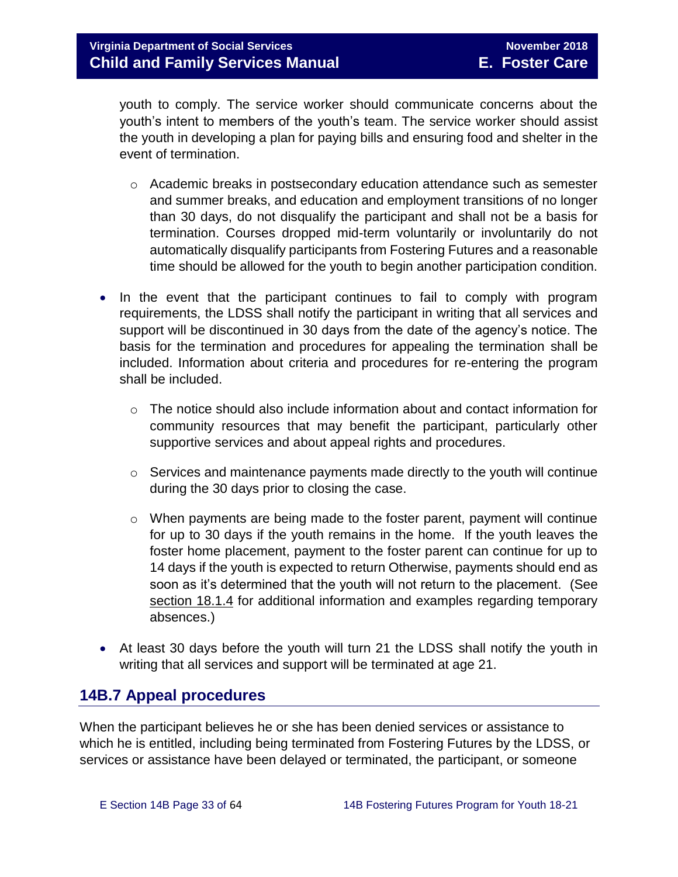youth to comply. The service worker should communicate concerns about the youth's intent to members of the youth's team. The service worker should assist the youth in developing a plan for paying bills and ensuring food and shelter in the event of termination.

- $\circ$  Academic breaks in postsecondary education attendance such as semester and summer breaks, and education and employment transitions of no longer than 30 days, do not disqualify the participant and shall not be a basis for termination. Courses dropped mid-term voluntarily or involuntarily do not automatically disqualify participants from Fostering Futures and a reasonable time should be allowed for the youth to begin another participation condition.
- In the event that the participant continues to fail to comply with program requirements, the LDSS shall notify the participant in writing that all services and support will be discontinued in 30 days from the date of the agency's notice. The basis for the termination and procedures for appealing the termination shall be included. Information about criteria and procedures for re-entering the program shall be included.
	- $\circ$  The notice should also include information about and contact information for community resources that may benefit the participant, particularly other supportive services and about appeal rights and procedures.
	- o Services and maintenance payments made directly to the youth will continue during the 30 days prior to closing the case.
	- $\circ$  When payments are being made to the foster parent, payment will continue for up to 30 days if the youth remains in the home. If the youth leaves the foster home placement, payment to the foster parent can continue for up to 14 days if the youth is expected to return Otherwise, payments should end as soon as it's determined that the youth will not return to the placement. (See section 18.1.4 for additional information and examples regarding temporary absences.)
- At least 30 days before the youth will turn 21 the LDSS shall notify the youth in writing that all services and support will be terminated at age 21.

# <span id="page-32-0"></span>**14B.7 Appeal procedures**

When the participant believes he or she has been denied services or assistance to which he is entitled, including being terminated from Fostering Futures by the LDSS, or services or assistance have been delayed or terminated, the participant, or someone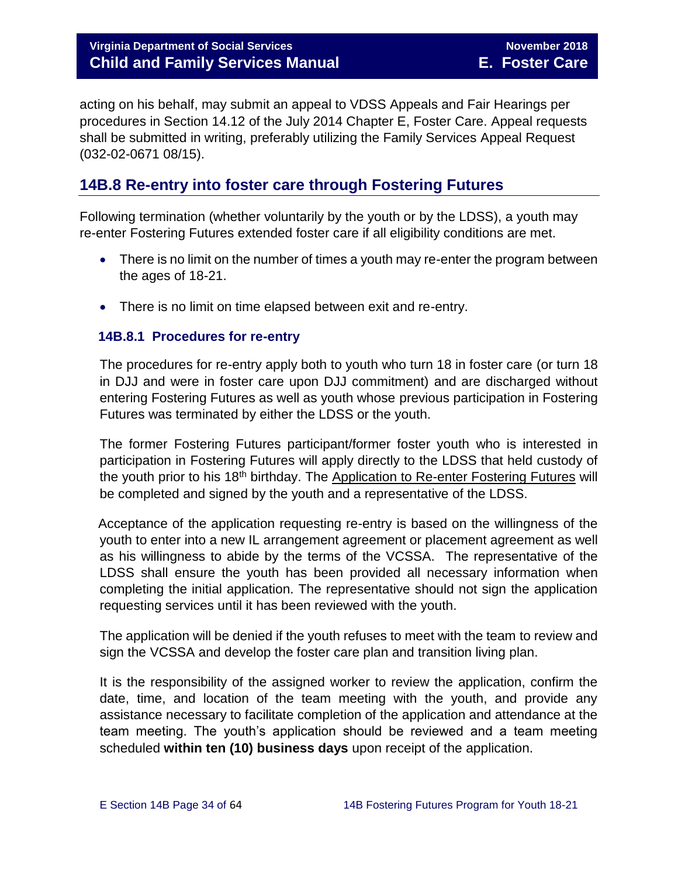# **Virginia Department of Social Services November 2018 Child and Family Services Manual E. Foster Care**

acting on his behalf, may submit an appeal to VDSS Appeals and Fair Hearings per procedures in Section 14.12 of the July 2014 Chapter E, Foster Care. Appeal requests shall be submitted in writing, preferably utilizing the Family Services Appeal Request (032-02-0671 08/15).

# <span id="page-33-0"></span>**14B.8 Re-entry into foster care through Fostering Futures**

Following termination (whether voluntarily by the youth or by the LDSS), a youth may re-enter Fostering Futures extended foster care if all eligibility conditions are met.

- There is no limit on the number of times a youth may re-enter the program between the ages of 18-21.
- There is no limit on time elapsed between exit and re-entry.

#### <span id="page-33-1"></span> **14B.8.1 Procedures for re-entry**

The procedures for re-entry apply both to youth who turn 18 in foster care (or turn 18 in DJJ and were in foster care upon DJJ commitment) and are discharged without entering Fostering Futures as well as youth whose previous participation in Fostering Futures was terminated by either the LDSS or the youth.

The former Fostering Futures participant/former foster youth who is interested in participation in Fostering Futures will apply directly to the LDSS that held custody of the youth prior to his 18<sup>th</sup> birthday. The Application to Re-enter Fostering Futures will be completed and signed by the youth and a representative of the LDSS.

 Acceptance of the application requesting re-entry is based on the willingness of the youth to enter into a new IL arrangement agreement or placement agreement as well as his willingness to abide by the terms of the VCSSA. The representative of the LDSS shall ensure the youth has been provided all necessary information when completing the initial application. The representative should not sign the application requesting services until it has been reviewed with the youth.

The application will be denied if the youth refuses to meet with the team to review and sign the VCSSA and develop the foster care plan and transition living plan.

It is the responsibility of the assigned worker to review the application, confirm the date, time, and location of the team meeting with the youth, and provide any assistance necessary to facilitate completion of the application and attendance at the team meeting. The youth's application should be reviewed and a team meeting scheduled **within ten (10) business days** upon receipt of the application.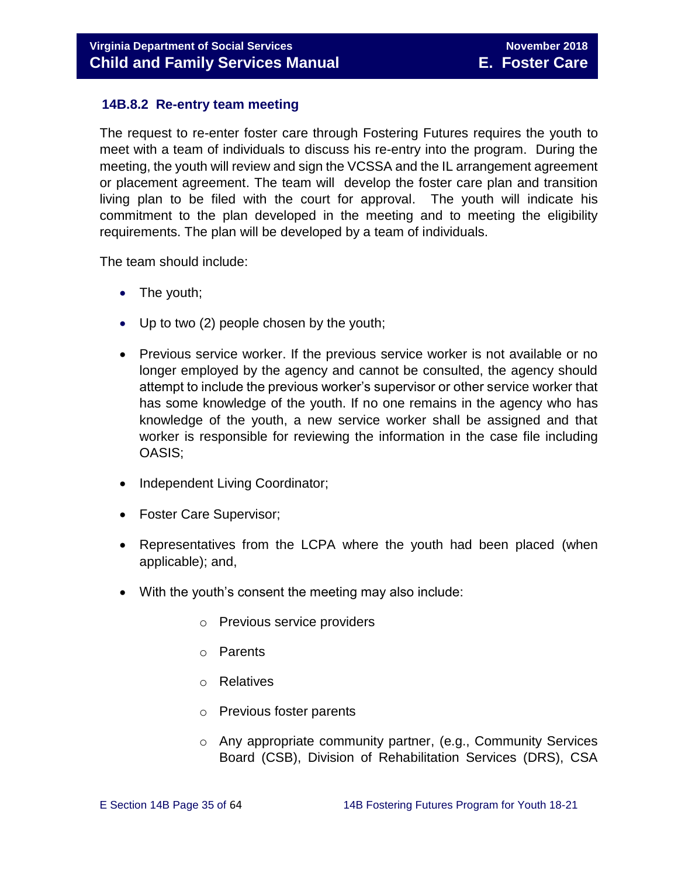## <span id="page-34-0"></span> **14B.8.2 Re-entry team meeting**

The request to re-enter foster care through Fostering Futures requires the youth to meet with a team of individuals to discuss his re-entry into the program. During the meeting, the youth will review and sign the VCSSA and the IL arrangement agreement or placement agreement. The team will develop the foster care plan and transition living plan to be filed with the court for approval. The youth will indicate his commitment to the plan developed in the meeting and to meeting the eligibility requirements. The plan will be developed by a team of individuals.

The team should include:

- The youth;
- Up to two (2) people chosen by the youth;
- Previous service worker. If the previous service worker is not available or no longer employed by the agency and cannot be consulted, the agency should attempt to include the previous worker's supervisor or other service worker that has some knowledge of the youth. If no one remains in the agency who has knowledge of the youth, a new service worker shall be assigned and that worker is responsible for reviewing the information in the case file including OASIS;
- Independent Living Coordinator;
- Foster Care Supervisor;
- Representatives from the LCPA where the youth had been placed (when applicable); and,
- With the youth's consent the meeting may also include:
	- o Previous service providers
	- o Parents
	- o Relatives
	- o Previous foster parents
	- o Any appropriate community partner, (e.g., Community Services Board (CSB), Division of Rehabilitation Services (DRS), CSA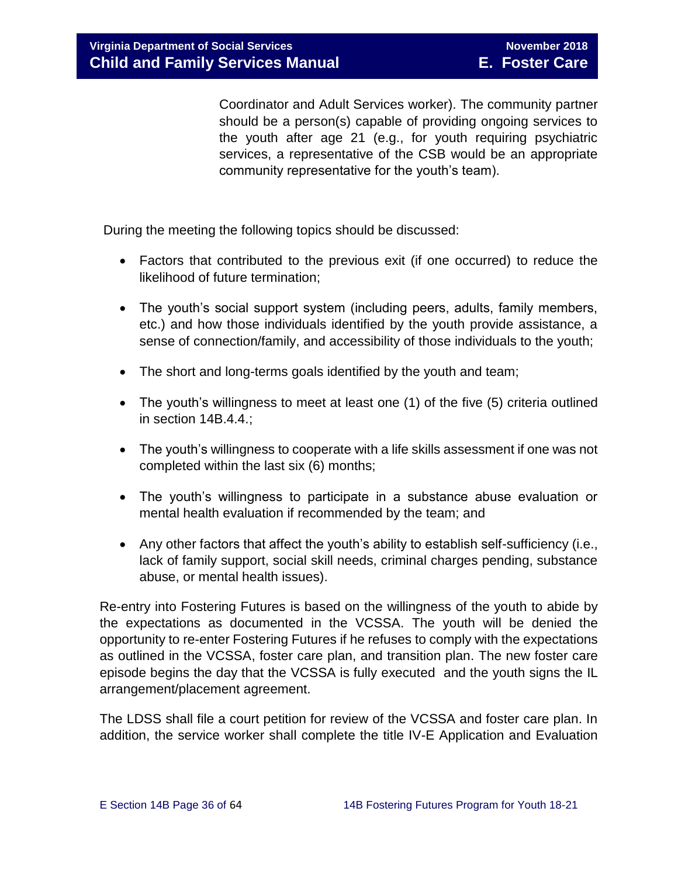Coordinator and Adult Services worker). The community partner should be a person(s) capable of providing ongoing services to the youth after age 21 (e.g., for youth requiring psychiatric services, a representative of the CSB would be an appropriate community representative for the youth's team).

During the meeting the following topics should be discussed:

- Factors that contributed to the previous exit (if one occurred) to reduce the likelihood of future termination;
- The youth's social support system (including peers, adults, family members, etc.) and how those individuals identified by the youth provide assistance, a sense of connection/family, and accessibility of those individuals to the youth;
- The short and long-terms goals identified by the youth and team;
- The youth's willingness to meet at least one (1) of the five (5) criteria outlined in section 14B.4.4.;
- The youth's willingness to cooperate with a life skills assessment if one was not completed within the last six (6) months;
- The youth's willingness to participate in a substance abuse evaluation or mental health evaluation if recommended by the team; and
- Any other factors that affect the youth's ability to establish self-sufficiency (i.e., lack of family support, social skill needs, criminal charges pending, substance abuse, or mental health issues).

Re-entry into Fostering Futures is based on the willingness of the youth to abide by the expectations as documented in the VCSSA. The youth will be denied the opportunity to re-enter Fostering Futures if he refuses to comply with the expectations as outlined in the VCSSA, foster care plan, and transition plan. The new foster care episode begins the day that the VCSSA is fully executed and the youth signs the IL arrangement/placement agreement.

The LDSS shall file a court petition for review of the VCSSA and foster care plan. In addition, the service worker shall complete the title IV-E Application and Evaluation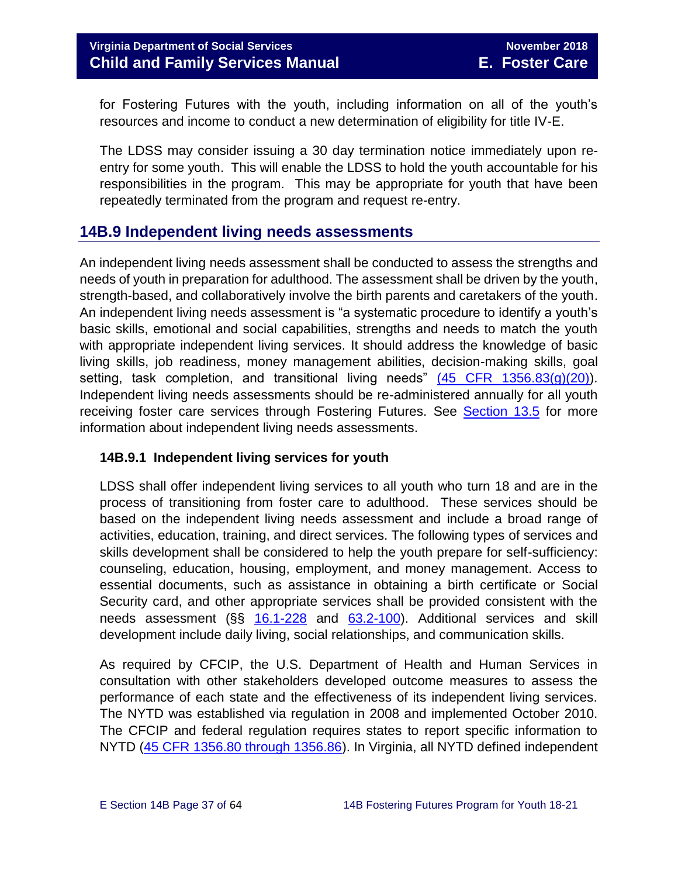for Fostering Futures with the youth, including information on all of the youth's resources and income to conduct a new determination of eligibility for title IV-E.

The LDSS may consider issuing a 30 day termination notice immediately upon reentry for some youth. This will enable the LDSS to hold the youth accountable for his responsibilities in the program. This may be appropriate for youth that have been repeatedly terminated from the program and request re-entry.

# <span id="page-36-0"></span>**14B.9 Independent living needs assessments**

An independent living needs assessment shall be conducted to assess the strengths and needs of youth in preparation for adulthood. The assessment shall be driven by the youth, strength-based, and collaboratively involve the birth parents and caretakers of the youth. An independent living needs assessment is "a systematic procedure to identify a youth's basic skills, emotional and social capabilities, strengths and needs to match the youth with appropriate independent living services. It should address the knowledge of basic living skills, job readiness, money management abilities, decision-making skills, goal setting, task completion, and transitional living needs"  $(45$  CFR  $1356.83(q)(20)$ ). Independent living needs assessments should be re-administered annually for all youth receiving foster care services through Fostering Futures. See [Section 13.5](http://www.dss.virginia.gov/files/division/dfs/fc/intro_page/guidance_manuals/fc/07_2015/Section_13_Achieving_Permanency_for_Older_Youth.pdf) for more information about independent living needs assessments.

## <span id="page-36-1"></span>**14B.9.1 Independent living services for youth**

LDSS shall offer independent living services to all youth who turn 18 and are in the process of transitioning from foster care to adulthood. These services should be based on the independent living needs assessment and include a broad range of activities, education, training, and direct services. The following types of services and skills development shall be considered to help the youth prepare for self-sufficiency: counseling, education, housing, employment, and money management. Access to essential documents, such as assistance in obtaining a birth certificate or Social Security card, and other appropriate services shall be provided consistent with the needs assessment (§§ [16.1-228](http://law.lis.virginia.gov/vacode/16.1-228/) and [63.2-100\)](http://law.lis.virginia.gov/vacode/title63.2/chapter1/section63.2-100/). Additional services and skill development include daily living, social relationships, and communication skills.

As required by CFCIP, the U.S. Department of Health and Human Services in consultation with other stakeholders developed outcome measures to assess the performance of each state and the effectiveness of its independent living services. The NYTD was established via regulation in 2008 and implemented October 2010. The CFCIP and federal regulation requires states to report specific information to NYTD [\(45 CFR 1356.80 through 1356.86\)](https://www.law.cornell.edu/cfr/text/45/1356.83). In Virginia, all NYTD defined independent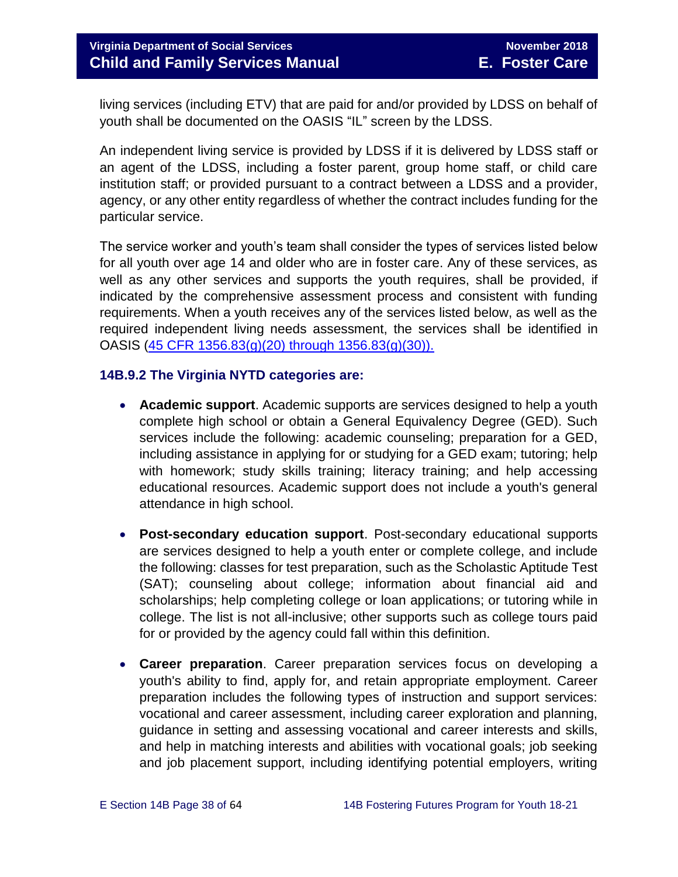**Virginia Department of Social Services** November 2018 **Child and Family Services Manual E. Foster Care**

living services (including ETV) that are paid for and/or provided by LDSS on behalf of youth shall be documented on the OASIS "IL" screen by the LDSS.

An independent living service is provided by LDSS if it is delivered by LDSS staff or an agent of the LDSS, including a foster parent, group home staff, or child care institution staff; or provided pursuant to a contract between a LDSS and a provider, agency, or any other entity regardless of whether the contract includes funding for the particular service.

The service worker and youth's team shall consider the types of services listed below for all youth over age 14 and older who are in foster care. Any of these services, as well as any other services and supports the youth requires, shall be provided, if indicated by the comprehensive assessment process and consistent with funding requirements. When a youth receives any of the services listed below, as well as the required independent living needs assessment, the services shall be identified in OASIS [\(45 CFR 1356.83\(g\)\(20\) through 1356.83\(g\)\(30\)\).](https://www.law.cornell.edu/cfr/text/45/1356.83)

#### <span id="page-37-0"></span>**14B.9.2 The Virginia NYTD categories are:**

- **Academic support**. Academic supports are services designed to help a youth complete high school or obtain a General Equivalency Degree (GED). Such services include the following: academic counseling; preparation for a GED, including assistance in applying for or studying for a GED exam; tutoring; help with homework; study skills training; literacy training; and help accessing educational resources. Academic support does not include a youth's general attendance in high school.
- **Post-secondary education support**. Post-secondary educational supports are services designed to help a youth enter or complete college, and include the following: classes for test preparation, such as the Scholastic Aptitude Test (SAT); counseling about college; information about financial aid and scholarships; help completing college or loan applications; or tutoring while in college. The list is not all-inclusive; other supports such as college tours paid for or provided by the agency could fall within this definition.
- **Career preparation**. Career preparation services focus on developing a youth's ability to find, apply for, and retain appropriate employment. Career preparation includes the following types of instruction and support services: vocational and career assessment, including career exploration and planning, guidance in setting and assessing vocational and career interests and skills, and help in matching interests and abilities with vocational goals; job seeking and job placement support, including identifying potential employers, writing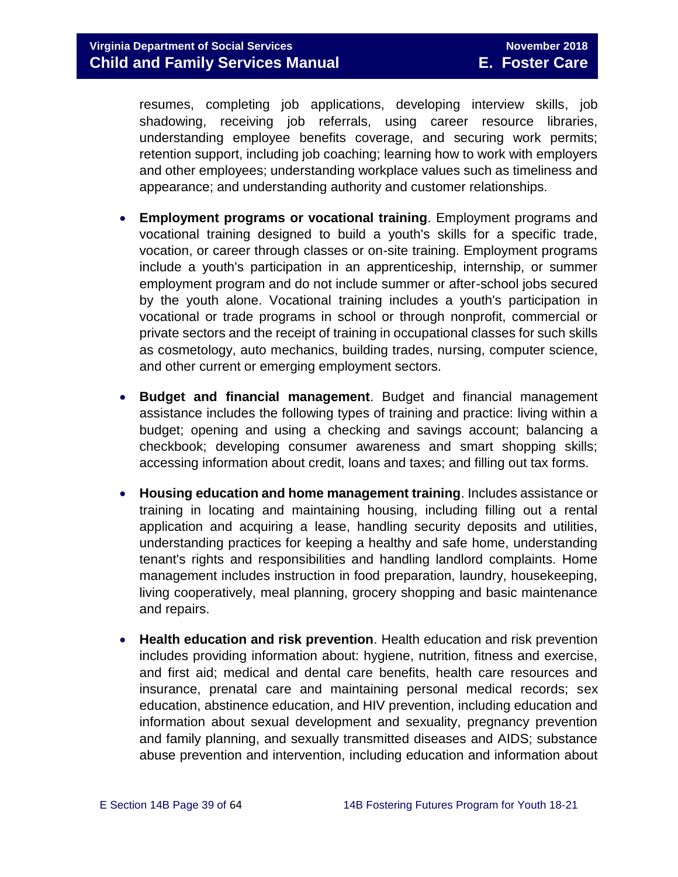resumes, completing job applications, developing interview skills, job shadowing, receiving job referrals, using career resource libraries, understanding employee benefits coverage, and securing work permits; retention support, including job coaching; learning how to work with employers and other employees; understanding workplace values such as timeliness and appearance; and understanding authority and customer relationships.

- **Employment programs or vocational training**. Employment programs and vocational training designed to build a youth's skills for a specific trade, vocation, or career through classes or on-site training. Employment programs include a youth's participation in an apprenticeship, internship, or summer employment program and do not include summer or after-school jobs secured by the youth alone. Vocational training includes a youth's participation in vocational or trade programs in school or through nonprofit, commercial or private sectors and the receipt of training in occupational classes for such skills as cosmetology, auto mechanics, building trades, nursing, computer science, and other current or emerging employment sectors.
- **Budget and financial management**. Budget and financial management assistance includes the following types of training and practice: living within a budget; opening and using a checking and savings account; balancing a checkbook; developing consumer awareness and smart shopping skills; accessing information about credit, loans and taxes; and filling out tax forms.
- **Housing education and home management training**. Includes assistance or training in locating and maintaining housing, including filling out a rental application and acquiring a lease, handling security deposits and utilities, understanding practices for keeping a healthy and safe home, understanding tenant's rights and responsibilities and handling landlord complaints. Home management includes instruction in food preparation, laundry, housekeeping, living cooperatively, meal planning, grocery shopping and basic maintenance and repairs.
- **Health education and risk prevention**. Health education and risk prevention includes providing information about: hygiene, nutrition, fitness and exercise, and first aid; medical and dental care benefits, health care resources and insurance, prenatal care and maintaining personal medical records; sex education, abstinence education, and HIV prevention, including education and information about sexual development and sexuality, pregnancy prevention and family planning, and sexually transmitted diseases and AIDS; substance abuse prevention and intervention, including education and information about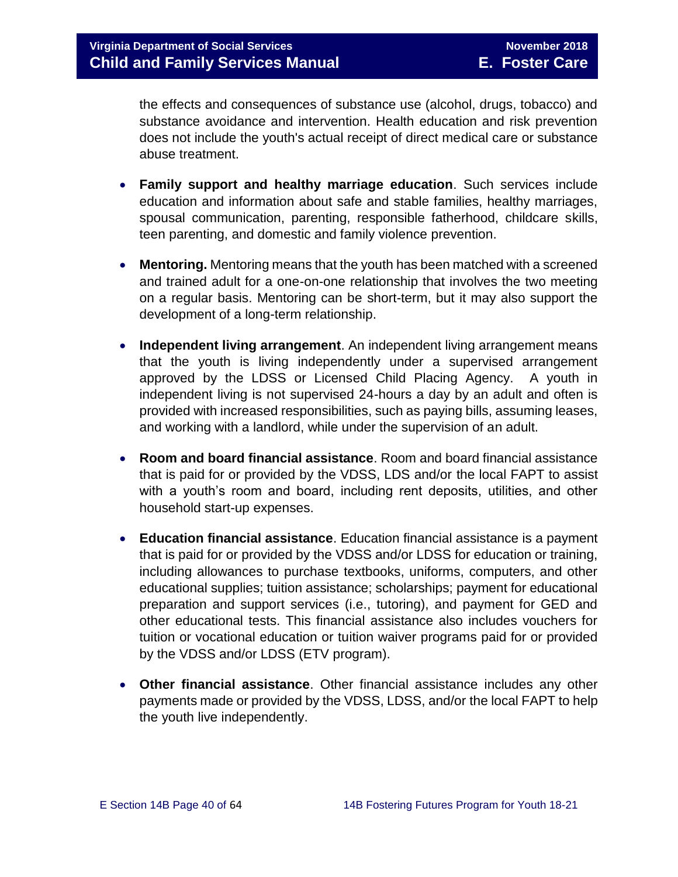the effects and consequences of substance use (alcohol, drugs, tobacco) and substance avoidance and intervention. Health education and risk prevention does not include the youth's actual receipt of direct medical care or substance abuse treatment.

- **Family support and healthy marriage education**. Such services include education and information about safe and stable families, healthy marriages, spousal communication, parenting, responsible fatherhood, childcare skills, teen parenting, and domestic and family violence prevention.
- **Mentoring.** Mentoring means that the youth has been matched with a screened and trained adult for a one-on-one relationship that involves the two meeting on a regular basis. Mentoring can be short-term, but it may also support the development of a long-term relationship.
- **Independent living arrangement**. An independent living arrangement means that the youth is living independently under a supervised arrangement approved by the LDSS or Licensed Child Placing Agency. A youth in independent living is not supervised 24-hours a day by an adult and often is provided with increased responsibilities, such as paying bills, assuming leases, and working with a landlord, while under the supervision of an adult.
- **Room and board financial assistance**. Room and board financial assistance that is paid for or provided by the VDSS, LDS and/or the local FAPT to assist with a youth's room and board, including rent deposits, utilities, and other household start-up expenses.
- **Education financial assistance**. Education financial assistance is a payment that is paid for or provided by the VDSS and/or LDSS for education or training, including allowances to purchase textbooks, uniforms, computers, and other educational supplies; tuition assistance; scholarships; payment for educational preparation and support services (i.e., tutoring), and payment for GED and other educational tests. This financial assistance also includes vouchers for tuition or vocational education or tuition waiver programs paid for or provided by the VDSS and/or LDSS (ETV program).
- **Other financial assistance**. Other financial assistance includes any other payments made or provided by the VDSS, LDSS, and/or the local FAPT to help the youth live independently.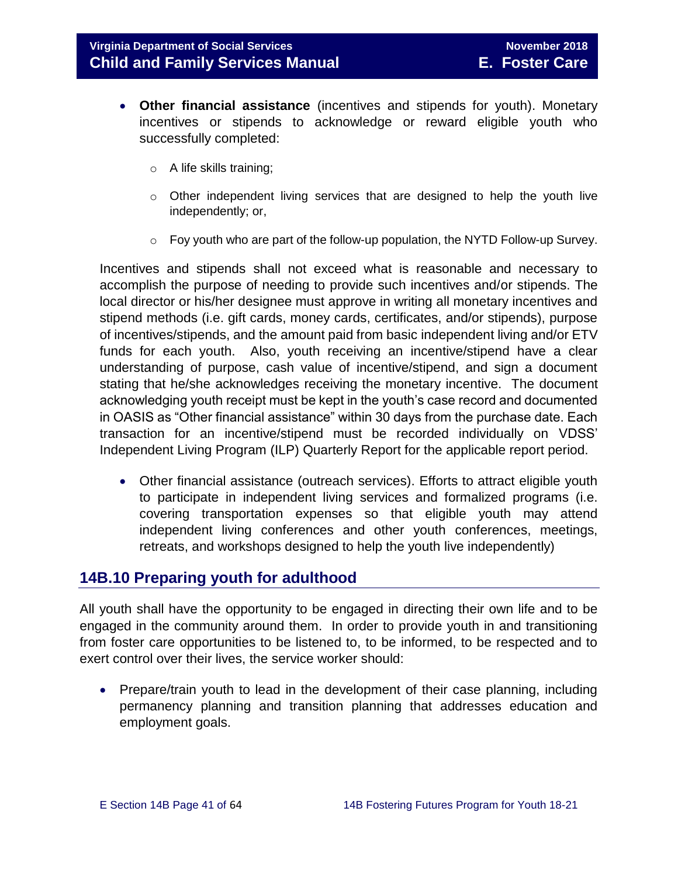- **Other financial assistance** (incentives and stipends for youth). Monetary incentives or stipends to acknowledge or reward eligible youth who successfully completed:
	- o A life skills training;
	- $\circ$  Other independent living services that are designed to help the youth live independently; or,
	- $\circ$  Foy youth who are part of the follow-up population, the NYTD Follow-up Survey.

Incentives and stipends shall not exceed what is reasonable and necessary to accomplish the purpose of needing to provide such incentives and/or stipends. The local director or his/her designee must approve in writing all monetary incentives and stipend methods (i.e. gift cards, money cards, certificates, and/or stipends), purpose of incentives/stipends, and the amount paid from basic independent living and/or ETV funds for each youth. Also, youth receiving an incentive/stipend have a clear understanding of purpose, cash value of incentive/stipend, and sign a document stating that he/she acknowledges receiving the monetary incentive. The document acknowledging youth receipt must be kept in the youth's case record and documented in OASIS as "Other financial assistance" within 30 days from the purchase date. Each transaction for an incentive/stipend must be recorded individually on VDSS' Independent Living Program (ILP) Quarterly Report for the applicable report period.

 Other financial assistance (outreach services). Efforts to attract eligible youth to participate in independent living services and formalized programs (i.e. covering transportation expenses so that eligible youth may attend independent living conferences and other youth conferences, meetings, retreats, and workshops designed to help the youth live independently)

# <span id="page-40-0"></span>**14B.10 Preparing youth for adulthood**

All youth shall have the opportunity to be engaged in directing their own life and to be engaged in the community around them. In order to provide youth in and transitioning from foster care opportunities to be listened to, to be informed, to be respected and to exert control over their lives, the service worker should:

• Prepare/train youth to lead in the development of their case planning, including permanency planning and transition planning that addresses education and employment goals.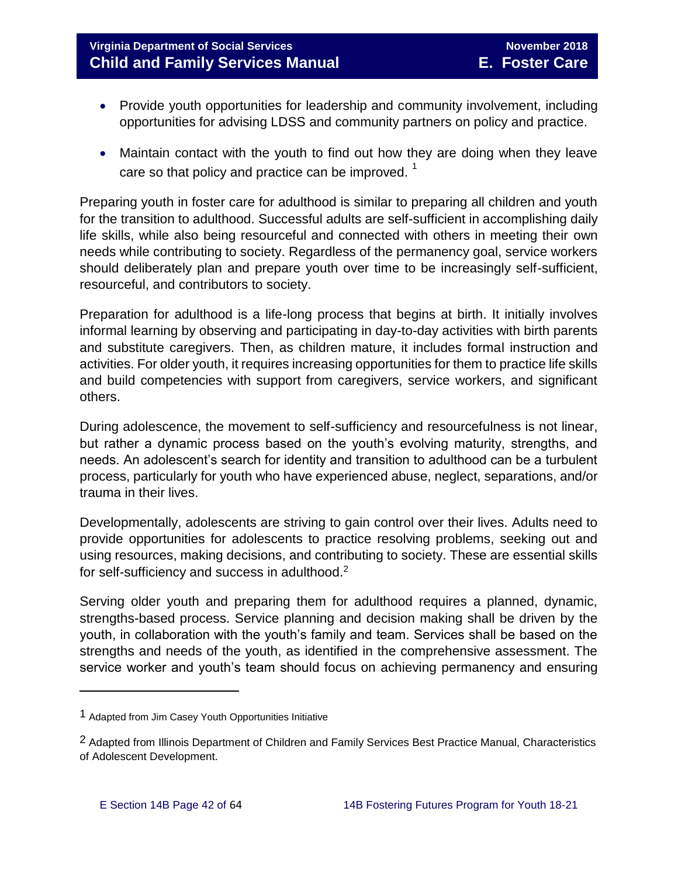# **Virginia Department of Social Services November 2018 Child and Family Services Manual E. Foster Care**

- Provide youth opportunities for leadership and community involvement, including opportunities for advising LDSS and community partners on policy and practice.
- Maintain contact with the youth to find out how they are doing when they leave care so that policy and practice can be improved.  $1$

Preparing youth in foster care for adulthood is similar to preparing all children and youth for the transition to adulthood. Successful adults are self-sufficient in accomplishing daily life skills, while also being resourceful and connected with others in meeting their own needs while contributing to society. Regardless of the permanency goal, service workers should deliberately plan and prepare youth over time to be increasingly self-sufficient, resourceful, and contributors to society.

Preparation for adulthood is a life-long process that begins at birth. It initially involves informal learning by observing and participating in day-to-day activities with birth parents and substitute caregivers. Then, as children mature, it includes formal instruction and activities. For older youth, it requires increasing opportunities for them to practice life skills and build competencies with support from caregivers, service workers, and significant others.

During adolescence, the movement to self-sufficiency and resourcefulness is not linear, but rather a dynamic process based on the youth's evolving maturity, strengths, and needs. An adolescent's search for identity and transition to adulthood can be a turbulent process, particularly for youth who have experienced abuse, neglect, separations, and/or trauma in their lives.

Developmentally, adolescents are striving to gain control over their lives. Adults need to provide opportunities for adolescents to practice resolving problems, seeking out and using resources, making decisions, and contributing to society. These are essential skills for self-sufficiency and success in adulthood.<sup>2</sup>

Serving older youth and preparing them for adulthood requires a planned, dynamic, strengths-based process. Service planning and decision making shall be driven by the youth, in collaboration with the youth's family and team. Services shall be based on the strengths and needs of the youth, as identified in the comprehensive assessment. The service worker and youth's team should focus on achieving permanency and ensuring

 $\overline{a}$ 

<sup>1</sup> Adapted from Jim Casey Youth Opportunities Initiative

<sup>2</sup> Adapted from Illinois Department of Children and Family Services Best Practice Manual, Characteristics of Adolescent Development.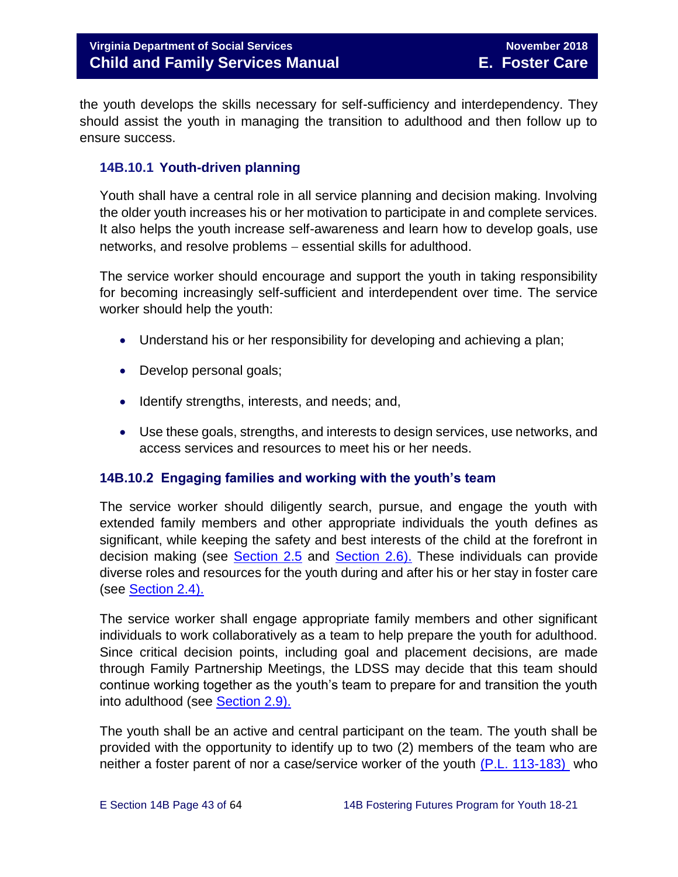the youth develops the skills necessary for self-sufficiency and interdependency. They should assist the youth in managing the transition to adulthood and then follow up to ensure success.

## <span id="page-42-0"></span>**14B.10.1 Youth-driven planning**

Youth shall have a central role in all service planning and decision making. Involving the older youth increases his or her motivation to participate in and complete services. It also helps the youth increase self-awareness and learn how to develop goals, use networks, and resolve problems - essential skills for adulthood.

The service worker should encourage and support the youth in taking responsibility for becoming increasingly self-sufficient and interdependent over time. The service worker should help the youth:

- Understand his or her responsibility for developing and achieving a plan;
- Develop personal goals;
- Identify strengths, interests, and needs; and,
- Use these goals, strengths, and interests to design services, use networks, and access services and resources to meet his or her needs.

## <span id="page-42-1"></span>**14B.10.2 Engaging families and working with the youth's team**

The service worker should diligently search, pursue, and engage the youth with extended family members and other appropriate individuals the youth defines as significant, while keeping the safety and best interests of the child at the forefront in decision making (see [Section 2.5](http://www.dss.virginia.gov/files/division/dfs/fc/intro_page/guidance_manuals/fc/07_2015/Section_02_Engaging_the_Child_Family_and_Significant_Adults.pdf) and [Section 2.6\).](http://www.dss.virginia.gov/files/division/dfs/fc/intro_page/guidance_manuals/fc/07_2015/Section_02_Engaging_the_Child_Family_and_Significant_Adults.pdf) These individuals can provide diverse roles and resources for the youth during and after his or her stay in foster care (see [Section 2.4\).](http://www.dss.virginia.gov/files/division/dfs/fc/intro_page/guidance_manuals/fc/07_2015/Section_02_Engaging_the_Child_Family_and_Significant_Adults.pdf)

The service worker shall engage appropriate family members and other significant individuals to work collaboratively as a team to help prepare the youth for adulthood. Since critical decision points, including goal and placement decisions, are made through Family Partnership Meetings, the LDSS may decide that this team should continue working together as the youth's team to prepare for and transition the youth into adulthood (see [Section 2.9\).](http://www.dss.virginia.gov/files/division/dfs/fc/intro_page/guidance_manuals/fc/07_2015/Section_02_Engaging_the_Child_Family_and_Significant_Adults.pdf)

The youth shall be an active and central participant on the team. The youth shall be provided with the opportunity to identify up to two (2) members of the team who are neither a foster parent of nor a case/service worker of the youth [\(P.L. 113-183\)](https://www.congress.gov/113/plaws/publ183/PLAW-113publ183.pdf) who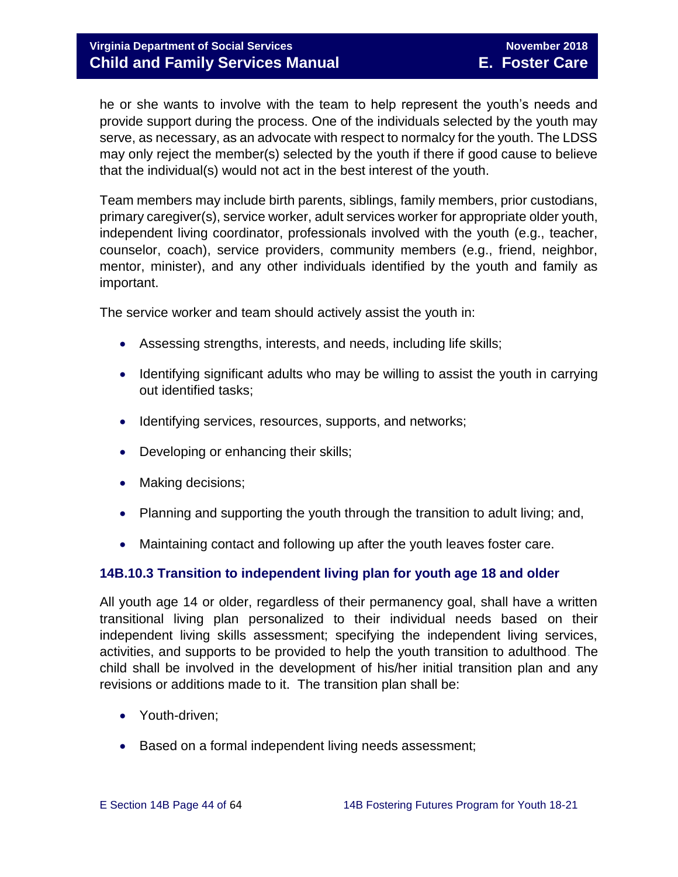he or she wants to involve with the team to help represent the youth's needs and provide support during the process. One of the individuals selected by the youth may serve, as necessary, as an advocate with respect to normalcy for the youth. The LDSS may only reject the member(s) selected by the youth if there if good cause to believe that the individual(s) would not act in the best interest of the youth.

Team members may include birth parents, siblings, family members, prior custodians, primary caregiver(s), service worker, adult services worker for appropriate older youth, independent living coordinator, professionals involved with the youth (e.g., teacher, counselor, coach), service providers, community members (e.g., friend, neighbor, mentor, minister), and any other individuals identified by the youth and family as important.

The service worker and team should actively assist the youth in:

- Assessing strengths, interests, and needs, including life skills;
- Identifying significant adults who may be willing to assist the youth in carrying out identified tasks;
- Identifying services, resources, supports, and networks;
- Developing or enhancing their skills;
- Making decisions;
- Planning and supporting the youth through the transition to adult living; and,
- Maintaining contact and following up after the youth leaves foster care.

## <span id="page-43-0"></span>**14B.10.3 Transition to independent living plan for youth age 18 and older**

All youth age 14 or older, regardless of their permanency goal, shall have a written transitional living plan personalized to their individual needs based on their independent living skills assessment; specifying the independent living services, activities, and supports to be provided to help the youth transition to adulthood. The child shall be involved in the development of his/her initial transition plan and any revisions or additions made to it. The transition plan shall be:

- Youth-driven;
- Based on a formal independent living needs assessment;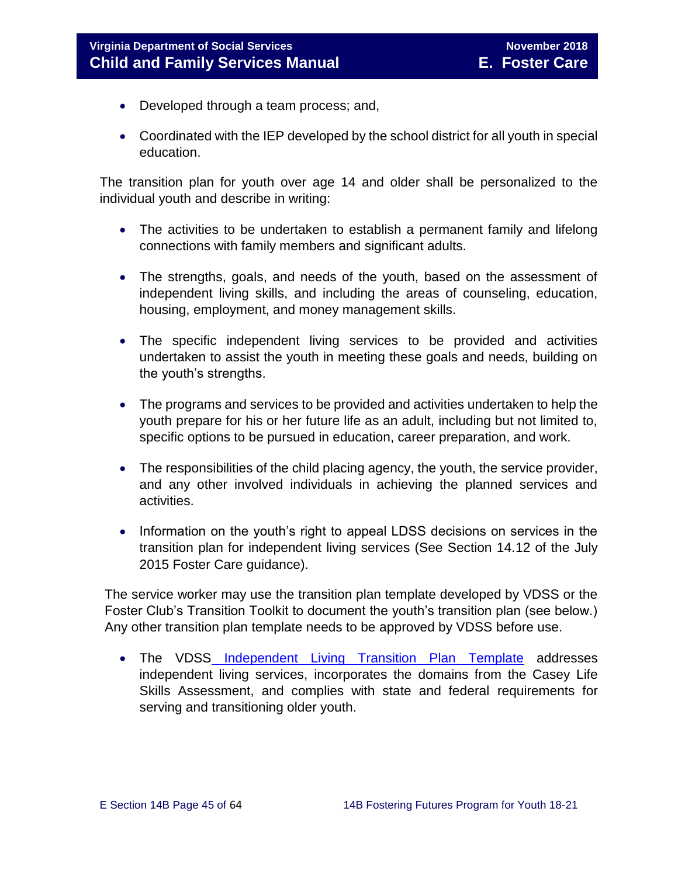- Developed through a team process; and,
- Coordinated with the IEP developed by the school district for all youth in special education.

The transition plan for youth over age 14 and older shall be personalized to the individual youth and describe in writing:

- The activities to be undertaken to establish a permanent family and lifelong connections with family members and significant adults.
- The strengths, goals, and needs of the youth, based on the assessment of independent living skills, and including the areas of counseling, education, housing, employment, and money management skills.
- The specific independent living services to be provided and activities undertaken to assist the youth in meeting these goals and needs, building on the youth's strengths.
- The programs and services to be provided and activities undertaken to help the youth prepare for his or her future life as an adult, including but not limited to, specific options to be pursued in education, career preparation, and work.
- The responsibilities of the child placing agency, the youth, the service provider, and any other involved individuals in achieving the planned services and activities.
- Information on the youth's right to appeal LDSS decisions on services in the transition plan for independent living services (See Section 14.12 of the July 2015 Foster Care guidance).

The service worker may use the transition plan template developed by VDSS or the Foster Club's Transition Toolkit to document the youth's transition plan (see below.) Any other transition plan template needs to be approved by VDSS before use.

• The VDSS [Independent Living Transition Plan Template](http://www.dss.virginia.gov/files/division/dfs/fc/intro_page/forms/032-04-0076-02-eng.pdf) addresses independent living services, incorporates the domains from the Casey Life Skills Assessment, and complies with state and federal requirements for serving and transitioning older youth.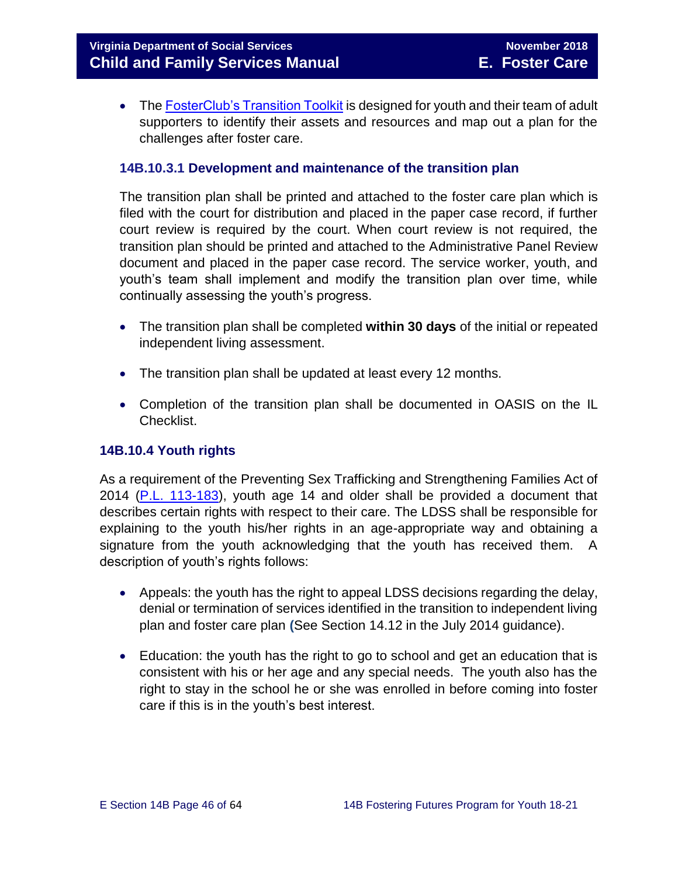• The [FosterClub's Transition Toolkit](https://www.fosterclub.com/_transition/article/transition-toolkit) is designed for youth and their team of adult supporters to identify their assets and resources and map out a plan for the challenges after foster care.

### **14B.10.3.1 Development and maintenance of the transition plan**

The transition plan shall be printed and attached to the foster care plan which is filed with the court for distribution and placed in the paper case record, if further court review is required by the court. When court review is not required, the transition plan should be printed and attached to the Administrative Panel Review document and placed in the paper case record. The service worker, youth, and youth's team shall implement and modify the transition plan over time, while continually assessing the youth's progress.

- The transition plan shall be completed **within 30 days** of the initial or repeated independent living assessment.
- The transition plan shall be updated at least every 12 months.
- Completion of the transition plan shall be documented in OASIS on the IL Checklist.

## <span id="page-45-0"></span>**14B.10.4 Youth rights**

As a requirement of the Preventing Sex Trafficking and Strengthening Families Act of 2014 [\(P.L. 113-183\)](https://www.congress.gov/113/plaws/publ183/PLAW-113publ183.pdf), youth age 14 and older shall be provided a document that describes certain rights with respect to their care. The LDSS shall be responsible for explaining to the youth his/her rights in an age-appropriate way and obtaining a signature from the youth acknowledging that the youth has received them. A description of youth's rights follows:

- Appeals: the youth has the right to appeal LDSS decisions regarding the delay, denial or termination of services identified in the transition to independent living plan and foster care plan **(**See Section 14.12 in the July 2014 guidance).
- Education: the youth has the right to go to school and get an education that is consistent with his or her age and any special needs. The youth also has the right to stay in the school he or she was enrolled in before coming into foster care if this is in the youth's best interest.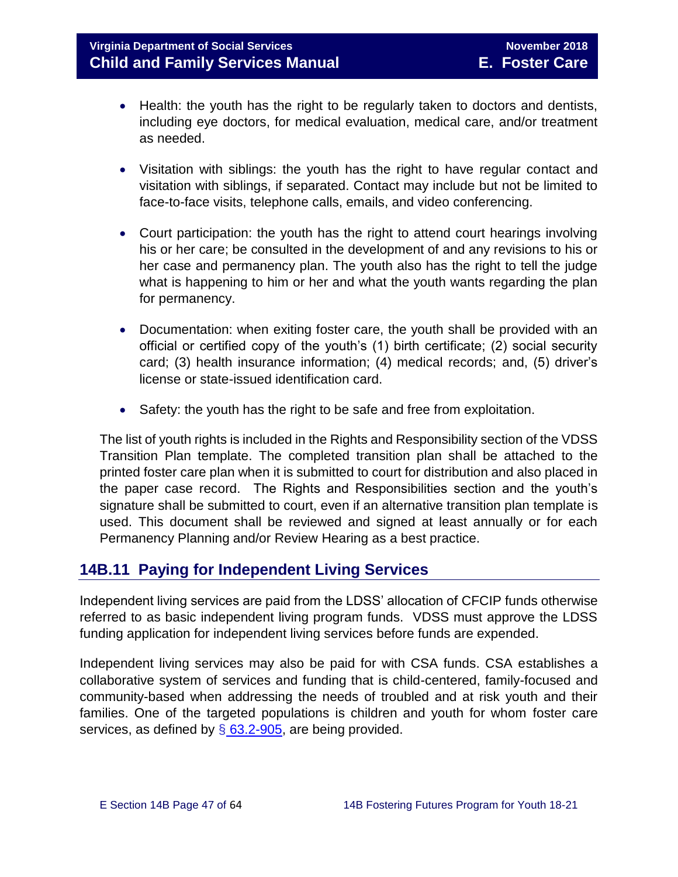- Health: the youth has the right to be regularly taken to doctors and dentists, including eye doctors, for medical evaluation, medical care, and/or treatment as needed.
- Visitation with siblings: the youth has the right to have regular contact and visitation with siblings, if separated. Contact may include but not be limited to face-to-face visits, telephone calls, emails, and video conferencing.
- Court participation: the youth has the right to attend court hearings involving his or her care; be consulted in the development of and any revisions to his or her case and permanency plan. The youth also has the right to tell the judge what is happening to him or her and what the youth wants regarding the plan for permanency.
- Documentation: when exiting foster care, the youth shall be provided with an official or certified copy of the youth's (1) birth certificate; (2) social security card; (3) health insurance information; (4) medical records; and, (5) driver's license or state-issued identification card.
- Safety: the youth has the right to be safe and free from exploitation.

The list of youth rights is included in the Rights and Responsibility section of the VDSS Transition Plan template. The completed transition plan shall be attached to the printed foster care plan when it is submitted to court for distribution and also placed in the paper case record. The Rights and Responsibilities section and the youth's signature shall be submitted to court, even if an alternative transition plan template is used. This document shall be reviewed and signed at least annually or for each Permanency Planning and/or Review Hearing as a best practice.

# <span id="page-46-0"></span>**14B.11 Paying for Independent Living Services**

Independent living services are paid from the LDSS' allocation of CFCIP funds otherwise referred to as basic independent living program funds. VDSS must approve the LDSS funding application for independent living services before funds are expended.

Independent living services may also be paid for with CSA funds. CSA establishes a collaborative system of services and funding that is child-centered, family-focused and community-based when addressing the needs of troubled and at risk youth and their families. One of the targeted populations is children and youth for whom foster care services, as defined by  $\S$  [63.2-905,](http://law.lis.virginia.gov/vacode/title63.2/chapter9/section63.2-905/) are being provided.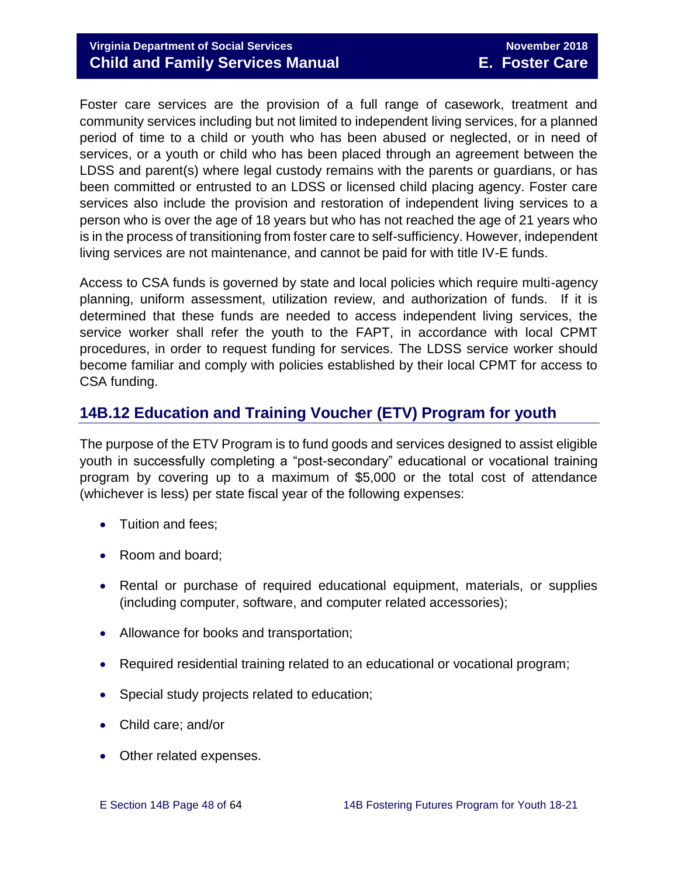# **Virginia Department of Social Services** November 2018 **Child and Family Services Manual E. Foster Care**

Foster care services are the provision of a full range of casework, treatment and community services including but not limited to independent living services, for a planned period of time to a child or youth who has been abused or neglected, or in need of services, or a youth or child who has been placed through an agreement between the LDSS and parent(s) where legal custody remains with the parents or guardians, or has been committed or entrusted to an LDSS or licensed child placing agency. Foster care services also include the provision and restoration of independent living services to a person who is over the age of 18 years but who has not reached the age of 21 years who is in the process of transitioning from foster care to self-sufficiency. However, independent living services are not maintenance, and cannot be paid for with title IV-E funds.

Access to CSA funds is governed by state and local policies which require multi-agency planning, uniform assessment, utilization review, and authorization of funds. If it is determined that these funds are needed to access independent living services, the service worker shall refer the youth to the FAPT, in accordance with local CPMT procedures, in order to request funding for services. The LDSS service worker should become familiar and comply with policies established by their local CPMT for access to CSA funding.

# <span id="page-47-0"></span>**14B.12 Education and Training Voucher (ETV) Program for youth**

The purpose of the ETV Program is to fund goods and services designed to assist eligible youth in successfully completing a "post-secondary" educational or vocational training program by covering up to a maximum of \$5,000 or the total cost of attendance (whichever is less) per state fiscal year of the following expenses:

- Tuition and fees;
- Room and board;
- Rental or purchase of required educational equipment, materials, or supplies (including computer, software, and computer related accessories);
- Allowance for books and transportation;
- Required residential training related to an educational or vocational program;
- Special study projects related to education;
- Child care; and/or
- Other related expenses.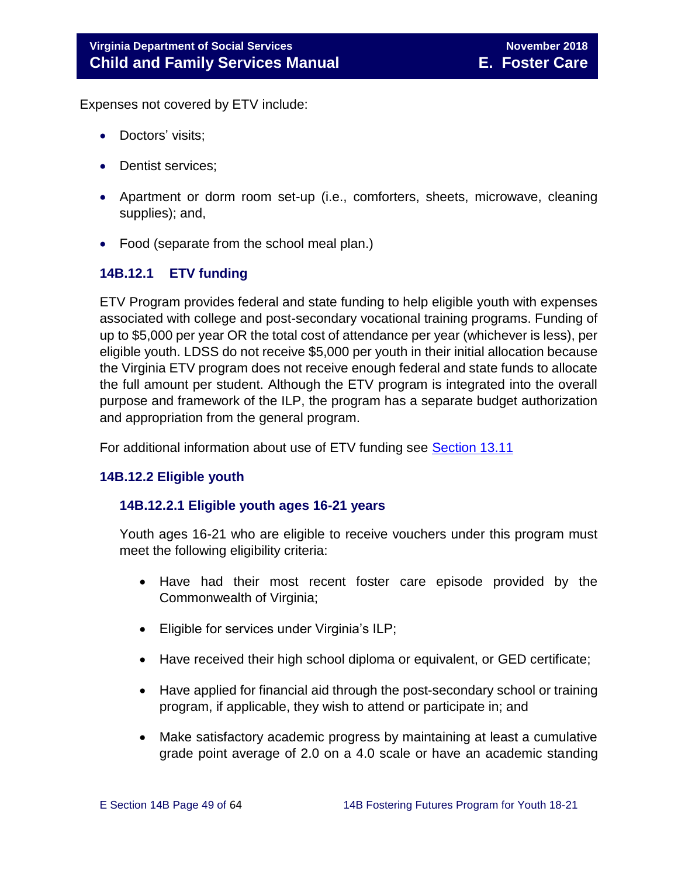Expenses not covered by ETV include:

- Doctors' visits;
- Dentist services:
- Apartment or dorm room set-up (i.e., comforters, sheets, microwave, cleaning supplies); and,
- Food (separate from the school meal plan.)

## <span id="page-48-0"></span>**14B.12.1 ETV funding**

ETV Program provides federal and state funding to help eligible youth with expenses associated with college and post-secondary vocational training programs. Funding of up to \$5,000 per year OR the total cost of attendance per year (whichever is less), per eligible youth. LDSS do not receive \$5,000 per youth in their initial allocation because the Virginia ETV program does not receive enough federal and state funds to allocate the full amount per student. Although the ETV program is integrated into the overall purpose and framework of the ILP, the program has a separate budget authorization and appropriation from the general program.

For additional information about use of ETV funding see [Section 13.11](http://www.dss.virginia.gov/files/division/dfs/fc/intro_page/guidance_manuals/fc/07_2015/Section_13_Achieving_Permanency_for_Older_Youth.pdf)

## <span id="page-48-1"></span>**14B.12.2 Eligible youth**

## **14B.12.2.1 Eligible youth ages 16-21 years**

Youth ages 16-21 who are eligible to receive vouchers under this program must meet the following eligibility criteria:

- Have had their most recent foster care episode provided by the Commonwealth of Virginia;
- Eligible for services under Virginia's ILP;
- Have received their high school diploma or equivalent, or GED certificate;
- Have applied for financial aid through the post-secondary school or training program, if applicable, they wish to attend or participate in; and
- Make satisfactory academic progress by maintaining at least a cumulative grade point average of 2.0 on a 4.0 scale or have an academic standing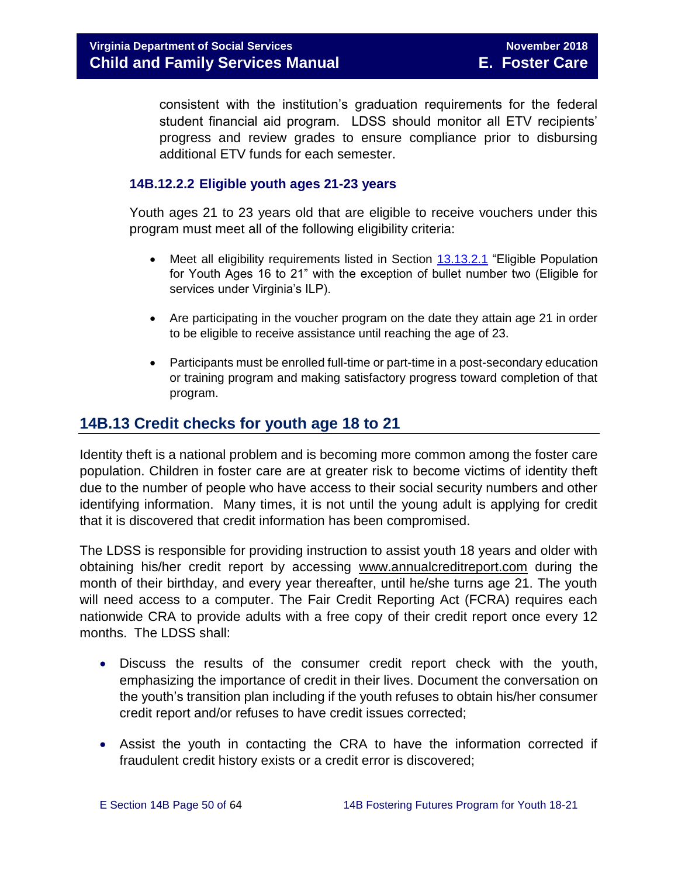consistent with the institution's graduation requirements for the federal student financial aid program. LDSS should monitor all ETV recipients' progress and review grades to ensure compliance prior to disbursing additional ETV funds for each semester.

## **14B.12.2.2 Eligible youth ages 21-23 years**

Youth ages 21 to 23 years old that are eligible to receive vouchers under this program must meet all of the following eligibility criteria:

- Meet all eligibility requirements listed in Section [13.13.2.1](http://www.dss.virginia.gov/files/division/dfs/fc/intro_page/guidance_manuals/fc/07_2015/Section_13_Achieving_Permanency_for_Older_Youth.pdf) "Eligible Population for Youth Ages 16 to 21" with the exception of bullet number two (Eligible for services under Virginia's ILP).
- Are participating in the voucher program on the date they attain age 21 in order to be eligible to receive assistance until reaching the age of 23.
- Participants must be enrolled full-time or part-time in a post-secondary education or training program and making satisfactory progress toward completion of that program.

# <span id="page-49-0"></span>**14B.13 Credit checks for youth age 18 to 21**

Identity theft is a national problem and is becoming more common among the foster care population. Children in foster care are at greater risk to become victims of identity theft due to the number of people who have access to their social security numbers and other identifying information. Many times, it is not until the young adult is applying for credit that it is discovered that credit information has been compromised.

The LDSS is responsible for providing instruction to assist youth 18 years and older with obtaining his/her credit report by accessing [www.annualcreditreport.com](https://www.annualcreditreport.com/index.action) during the month of their birthday, and every year thereafter, until he/she turns age 21. The youth will need access to a computer. The Fair Credit Reporting Act (FCRA) requires each nationwide CRA to provide adults with a free copy of their credit report once every 12 months. The LDSS shall:

- Discuss the results of the consumer credit report check with the youth, emphasizing the importance of credit in their lives. Document the conversation on the youth's transition plan including if the youth refuses to obtain his/her consumer credit report and/or refuses to have credit issues corrected;
- Assist the youth in contacting the CRA to have the information corrected if fraudulent credit history exists or a credit error is discovered;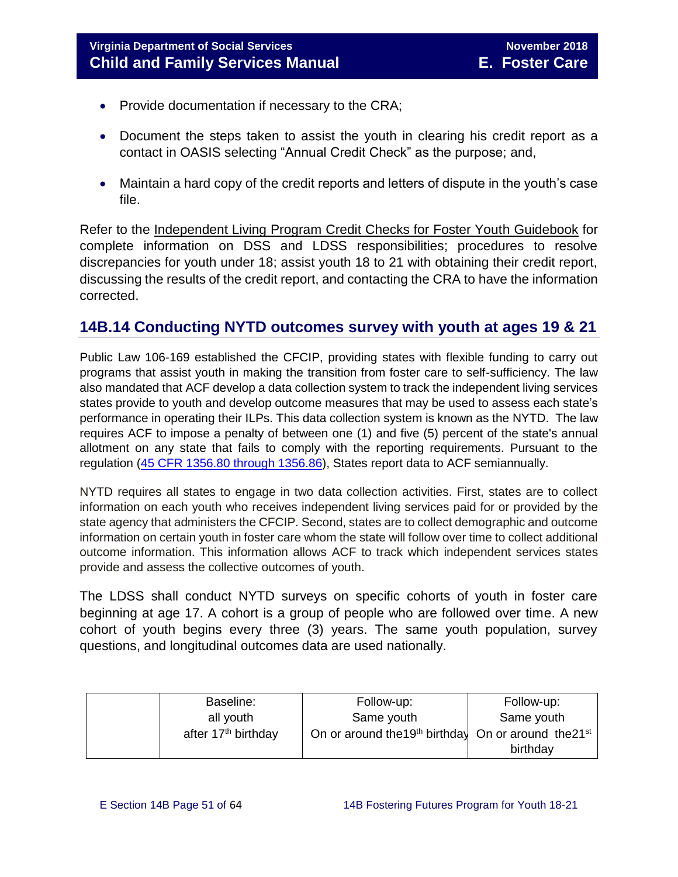- Provide documentation if necessary to the CRA;
- Document the steps taken to assist the youth in clearing his credit report as a contact in OASIS selecting "Annual Credit Check" as the purpose; and,
- Maintain a hard copy of the credit reports and letters of dispute in the youth's case file.

Refer to the [Independent Living Program Credit Checks for Foster Youth Guidebook](http://spark.dss.virginia.gov/divisions/dfs/fc/files/ilp/services/tools_templates/Credit_Checks_Guidebook_.pdf) for complete information on DSS and LDSS responsibilities; procedures to resolve discrepancies for youth under 18; assist youth 18 to 21 with obtaining their credit report, discussing the results of the credit report, and contacting the CRA to have the information corrected.

# <span id="page-50-0"></span>**14B.14 Conducting NYTD outcomes survey with youth at ages 19 & 21**

Public Law 106-169 established the CFCIP, providing states with flexible funding to carry out programs that assist youth in making the transition from foster care to self-sufficiency. The law also mandated that ACF develop a data collection system to track the independent living services states provide to youth and develop outcome measures that may be used to assess each state's performance in operating their ILPs. This data collection system is known as the NYTD. The law requires ACF to impose a penalty of between one (1) and five (5) percent of the state's annual allotment on any state that fails to comply with the reporting requirements. Pursuant to the regulation [\(45 CFR 1356.80 through 1356.86\)](http://www.ecfr.gov/cgi-bin/retrieveECFR?gp=1&SID=3d9be8b33d08994a45cff8aaff9f9476&ty=HTML&h=L&mc=true&r=PART&n=pt45.4.1356), States report data to ACF semiannually.

NYTD requires all states to engage in two data collection activities. First, states are to collect information on each youth who receives independent living services paid for or provided by the state agency that administers the CFCIP. Second, states are to collect demographic and outcome information on certain youth in foster care whom the state will follow over time to collect additional outcome information. This information allows ACF to track which independent services states provide and assess the collective outcomes of youth.

The LDSS shall conduct NYTD surveys on specific cohorts of youth in foster care beginning at age 17. A cohort is a group of people who are followed over time. A new cohort of youth begins every three (3) years. The same youth population, survey questions, and longitudinal outcomes data are used nationally.

| Baseline:                       | Follow-up:                                                                   | Follow-up: |
|---------------------------------|------------------------------------------------------------------------------|------------|
| all youth                       | Same youth                                                                   | Same youth |
| after 17 <sup>th</sup> birthday | On or around the 19 <sup>th</sup> birthday On or around the 21 <sup>st</sup> |            |
|                                 |                                                                              | birthday   |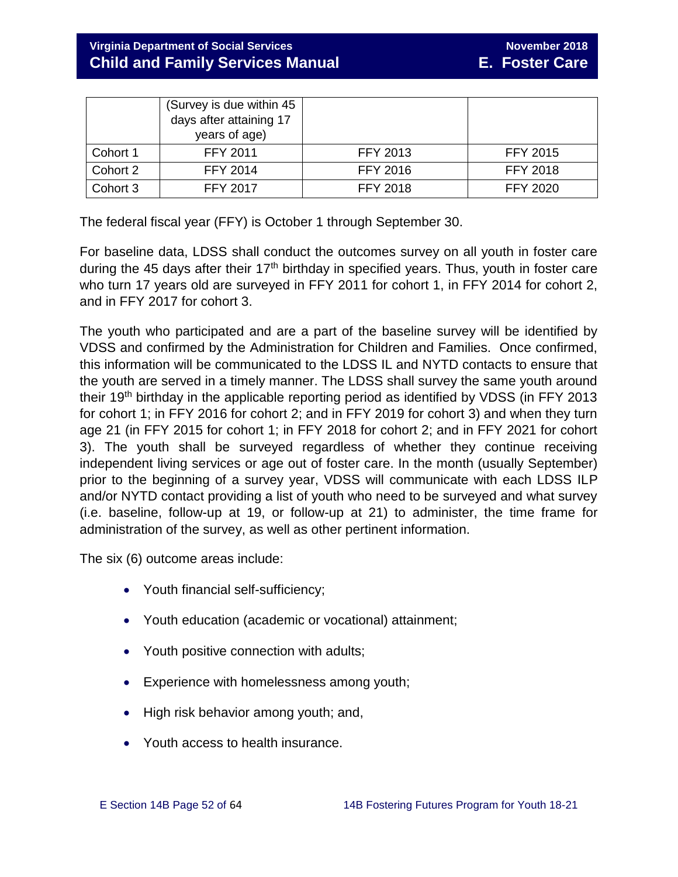# **Virginia Department of Social Services** November 2018<br> **Virginia Department of Social Services Child and Family Services Manual E. Foster Care**

|          | (Survey is due within 45)<br>days after attaining 17<br>years of age) |                 |                 |
|----------|-----------------------------------------------------------------------|-----------------|-----------------|
| Cohort 1 | FFY 2011                                                              | <b>FFY 2013</b> | <b>FFY 2015</b> |
| Cohort 2 | <b>FFY 2014</b>                                                       | <b>FFY 2016</b> | <b>FFY 2018</b> |
| Cohort 3 | <b>FFY 2017</b>                                                       | <b>FFY 2018</b> | <b>FFY 2020</b> |

The federal fiscal year (FFY) is October 1 through September 30.

For baseline data, LDSS shall conduct the outcomes survey on all youth in foster care during the 45 days after their  $17<sup>th</sup>$  birthday in specified years. Thus, youth in foster care who turn 17 years old are surveyed in FFY 2011 for cohort 1, in FFY 2014 for cohort 2, and in FFY 2017 for cohort 3.

The youth who participated and are a part of the baseline survey will be identified by VDSS and confirmed by the Administration for Children and Families. Once confirmed, this information will be communicated to the LDSS IL and NYTD contacts to ensure that the youth are served in a timely manner. The LDSS shall survey the same youth around their 19<sup>th</sup> birthday in the applicable reporting period as identified by VDSS (in FFY 2013 for cohort 1; in FFY 2016 for cohort 2; and in FFY 2019 for cohort 3) and when they turn age 21 (in FFY 2015 for cohort 1; in FFY 2018 for cohort 2; and in FFY 2021 for cohort 3). The youth shall be surveyed regardless of whether they continue receiving independent living services or age out of foster care. In the month (usually September) prior to the beginning of a survey year, VDSS will communicate with each LDSS ILP and/or NYTD contact providing a list of youth who need to be surveyed and what survey (i.e. baseline, follow-up at 19, or follow-up at 21) to administer, the time frame for administration of the survey, as well as other pertinent information.

The six (6) outcome areas include:

- Youth financial self-sufficiency;
- Youth education (academic or vocational) attainment;
- Youth positive connection with adults;
- Experience with homelessness among youth;
- High risk behavior among youth; and,
- Youth access to health insurance.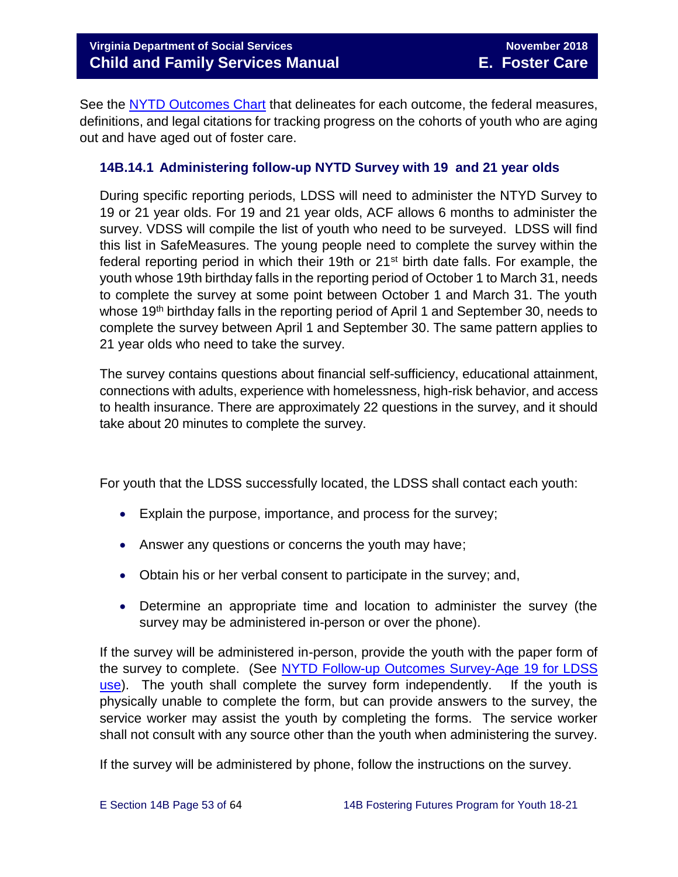See the [NYTD Outcomes Chart](http://spark.dss.virginia.gov/divisions/dfs/fc/files/ilp/nytd/guidance_procedures/outcomes_measures.pdf) that delineates for each outcome, the federal measures, definitions, and legal citations for tracking progress on the cohorts of youth who are aging out and have aged out of foster care.

## <span id="page-52-0"></span>**14B.14.1 Administering follow-up NYTD Survey with 19 and 21 year olds**

During specific reporting periods, LDSS will need to administer the NTYD Survey to 19 or 21 year olds. For 19 and 21 year olds, ACF allows 6 months to administer the survey. VDSS will compile the list of youth who need to be surveyed. LDSS will find this list in SafeMeasures. The young people need to complete the survey within the federal reporting period in which their 19th or 21<sup>st</sup> birth date falls. For example, the youth whose 19th birthday falls in the reporting period of October 1 to March 31, needs to complete the survey at some point between October 1 and March 31. The youth whose 19<sup>th</sup> birthday falls in the reporting period of April 1 and September 30, needs to complete the survey between April 1 and September 30. The same pattern applies to 21 year olds who need to take the survey.

The survey contains questions about financial self-sufficiency, educational attainment, connections with adults, experience with homelessness, high-risk behavior, and access to health insurance. There are approximately 22 questions in the survey, and it should take about 20 minutes to complete the survey.

For youth that the LDSS successfully located, the LDSS shall contact each youth:

- Explain the purpose, importance, and process for the survey;
- Answer any questions or concerns the youth may have;
- Obtain his or her verbal consent to participate in the survey; and,
- Determine an appropriate time and location to administer the survey (the survey may be administered in-person or over the phone).

If the survey will be administered in-person, provide the youth with the paper form of the survey to complete. (See [NYTD Follow-up Outcomes Survey-Age 19 for LDSS](http://spark.dss.virginia.gov/divisions/dfs/fc/files/ilp/nytd/surveys/Survey_-_Outcomes_-_age_19.pdf)  [use\)](http://spark.dss.virginia.gov/divisions/dfs/fc/files/ilp/nytd/surveys/Survey_-_Outcomes_-_age_19.pdf). The youth shall complete the survey form independently. If the youth is physically unable to complete the form, but can provide answers to the survey, the service worker may assist the youth by completing the forms. The service worker shall not consult with any source other than the youth when administering the survey.

If the survey will be administered by phone, follow the instructions on the survey.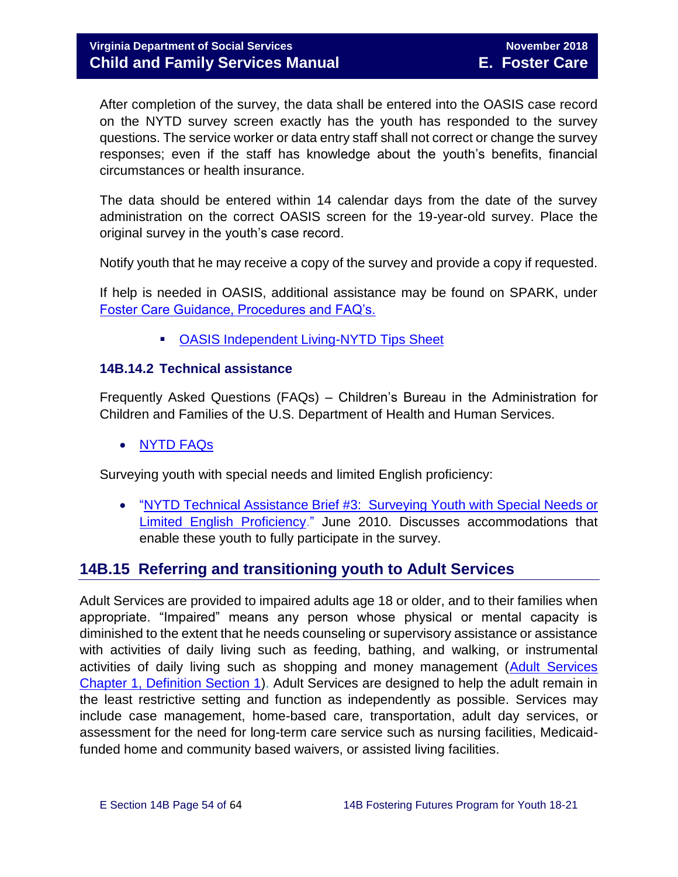After completion of the survey, the data shall be entered into the OASIS case record on the NYTD survey screen exactly has the youth has responded to the survey questions. The service worker or data entry staff shall not correct or change the survey responses; even if the staff has knowledge about the youth's benefits, financial circumstances or health insurance.

The data should be entered within 14 calendar days from the date of the survey administration on the correct OASIS screen for the 19-year-old survey. Place the original survey in the youth's case record.

Notify youth that he may receive a copy of the survey and provide a copy if requested.

If help is needed in OASIS, additional assistance may be found on SPARK, under [Foster Care Guidance, Procedures and FAQ's.](http://spark.dss.virginia.gov/divisions/dfs/fc/guidance.cgi)

**DASIS Independent Living-NYTD Tips Sheet** 

## <span id="page-53-0"></span>**14B.14.2 Technical assistance**

Frequently Asked Questions (FAQs) – Children's Bureau in the Administration for Children and Families of the U.S. Department of Health and Human Services.

[NYTD](https://www.childwelfare.gov/cb/research-data-technology/reporting-systems/nytd/faq/) FAQs

Surveying youth with special needs and limited English proficiency:

 ["NYTD Technical Assistance Brief #3: Surveying Youth with Special Needs or](http://www.acf.hhs.gov/programs/cb/resource/nytd-data-brief-3)  [Limited English Proficiency.](http://www.acf.hhs.gov/programs/cb/resource/nytd-data-brief-3)" June 2010. Discusses accommodations that enable these youth to fully participate in the survey.

# <span id="page-53-1"></span>**14B.15 Referring and transitioning youth to Adult Services**

Adult Services are provided to impaired adults age 18 or older, and to their families when appropriate. "Impaired" means any person whose physical or mental capacity is diminished to the extent that he needs counseling or supervisory assistance or assistance with activities of daily living such as feeding, bathing, and walking, or instrumental activities of daily living such as shopping and money management [\(Adult Services](http://www.dss.virginia.gov/files/division/dfs/as/as_intro_page/manuals/as/chapter_1_introduction_2016.pdf)  [Chapter 1, Definition Section 1\)](http://www.dss.virginia.gov/files/division/dfs/as/as_intro_page/manuals/as/chapter_1_introduction_2016.pdf). Adult Services are designed to help the adult remain in the least restrictive setting and function as independently as possible. Services may include case management, home-based care, transportation, adult day services, or assessment for the need for long-term care service such as nursing facilities, Medicaidfunded home and community based waivers, or assisted living facilities.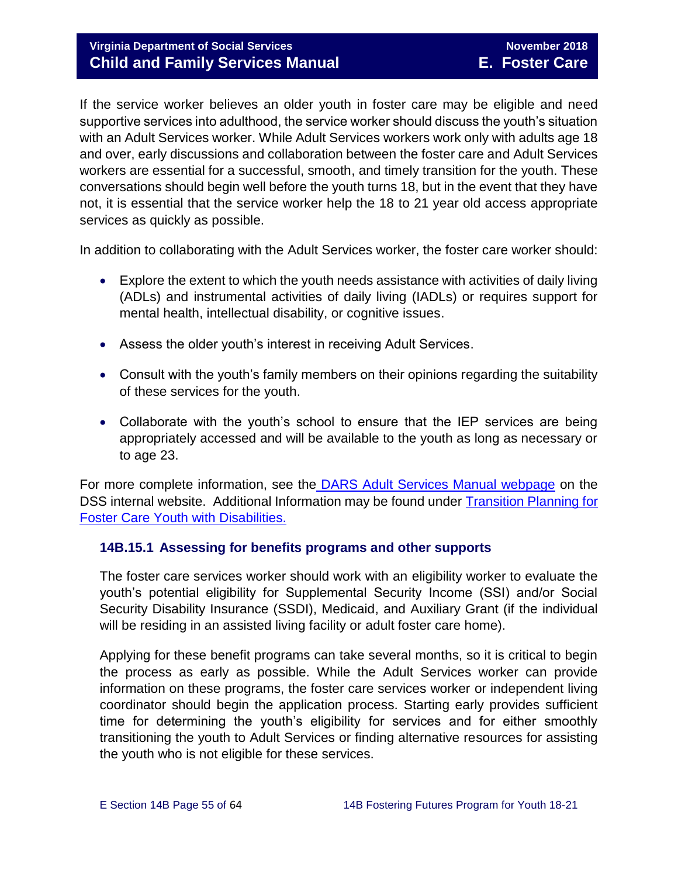# **Virginia Department of Social Services** November 2018 **Child and Family Services Manual E. Foster Care**

If the service worker believes an older youth in foster care may be eligible and need supportive services into adulthood, the service worker should discuss the youth's situation with an Adult Services worker. While Adult Services workers work only with adults age 18 and over, early discussions and collaboration between the foster care and Adult Services workers are essential for a successful, smooth, and timely transition for the youth. These conversations should begin well before the youth turns 18, but in the event that they have not, it is essential that the service worker help the 18 to 21 year old access appropriate services as quickly as possible.

In addition to collaborating with the Adult Services worker, the foster care worker should:

- Explore the extent to which the youth needs assistance with activities of daily living (ADLs) and instrumental activities of daily living (IADLs) or requires support for mental health, intellectual disability, or cognitive issues.
- Assess the older youth's interest in receiving Adult Services.
- Consult with the youth's family members on their opinions regarding the suitability of these services for the youth.
- Collaborate with the youth's school to ensure that the IEP services are being appropriately accessed and will be available to the youth as long as necessary or to age 23.

For more complete information, see the [DARS Adult Services Manual webpage](http://spark.dss.virginia.gov/divisions/dfs/as/manual.cgi) on the DSS internal website. Additional Information may be found under [Transition Planning for](http://spark.dss.virginia.gov/divisions/dfs/fc/files/guidance_procedures_faq/guidance_procedures/tranistion_plan_disabilities.pdf)  [Foster Care Youth with Disabilities.](http://spark.dss.virginia.gov/divisions/dfs/fc/files/guidance_procedures_faq/guidance_procedures/tranistion_plan_disabilities.pdf) 

#### <span id="page-54-0"></span>**14B.15.1 Assessing for benefits programs and other supports**

The foster care services worker should work with an eligibility worker to evaluate the youth's potential eligibility for Supplemental Security Income (SSI) and/or Social Security Disability Insurance (SSDI), Medicaid, and Auxiliary Grant (if the individual will be residing in an assisted living facility or adult foster care home).

Applying for these benefit programs can take several months, so it is critical to begin the process as early as possible. While the Adult Services worker can provide information on these programs, the foster care services worker or independent living coordinator should begin the application process. Starting early provides sufficient time for determining the youth's eligibility for services and for either smoothly transitioning the youth to Adult Services or finding alternative resources for assisting the youth who is not eligible for these services.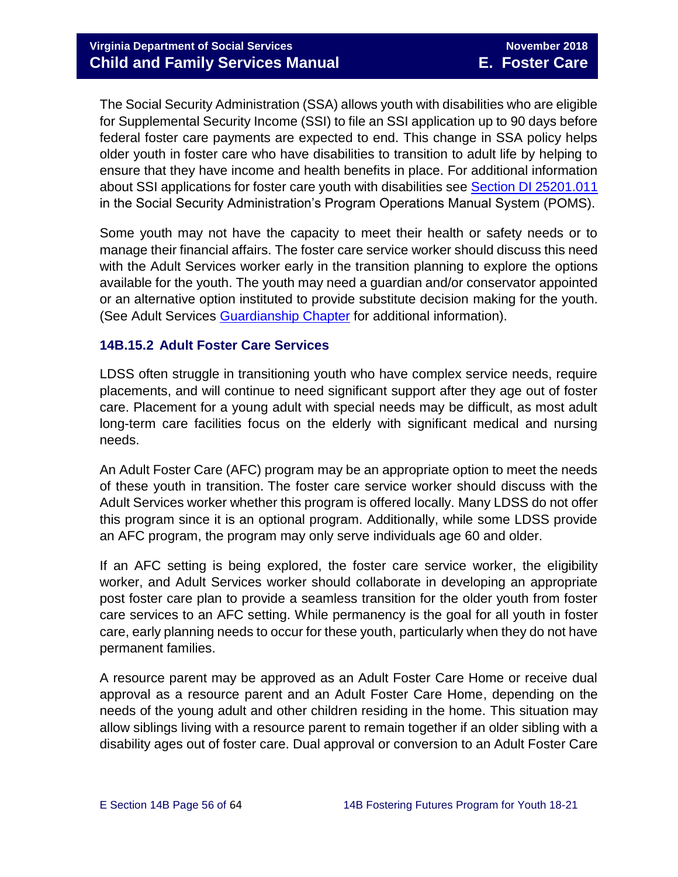The Social Security Administration (SSA) allows youth with disabilities who are eligible for Supplemental Security Income (SSI) to file an SSI application up to 90 days before federal foster care payments are expected to end. This change in SSA policy helps older youth in foster care who have disabilities to transition to adult life by helping to ensure that they have income and health benefits in place. For additional information about SSI applications for foster care youth with disabilities see [Section DI 25201.011](https://secure.ssa.gov/apps10/poms.nsf/subchapterlist!openview&restricttocategory=04252) in the Social Security Administration's Program Operations Manual System (POMS).

Some youth may not have the capacity to meet their health or safety needs or to manage their financial affairs. The foster care service worker should discuss this need with the Adult Services worker early in the transition planning to explore the options available for the youth. The youth may need a guardian and/or conservator appointed or an alternative option instituted to provide substitute decision making for the youth. (See Adult Services [Guardianship Chapter](http://spark.dss.virginia.gov/divisions/dfs/as/files/manuals/adult_services/chapter_7_guardianship_2016_July.pdf) for additional information).

#### <span id="page-55-0"></span>**14B.15.2 Adult Foster Care Services**

LDSS often struggle in transitioning youth who have complex service needs, require placements, and will continue to need significant support after they age out of foster care. Placement for a young adult with special needs may be difficult, as most adult long-term care facilities focus on the elderly with significant medical and nursing needs.

An Adult Foster Care (AFC) program may be an appropriate option to meet the needs of these youth in transition. The foster care service worker should discuss with the Adult Services worker whether this program is offered locally. Many LDSS do not offer this program since it is an optional program. Additionally, while some LDSS provide an AFC program, the program may only serve individuals age 60 and older.

If an AFC setting is being explored, the foster care service worker, the eligibility worker, and Adult Services worker should collaborate in developing an appropriate post foster care plan to provide a seamless transition for the older youth from foster care services to an AFC setting. While permanency is the goal for all youth in foster care, early planning needs to occur for these youth, particularly when they do not have permanent families.

A resource parent may be approved as an Adult Foster Care Home or receive dual approval as a resource parent and an Adult Foster Care Home, depending on the needs of the young adult and other children residing in the home. This situation may allow siblings living with a resource parent to remain together if an older sibling with a disability ages out of foster care. Dual approval or conversion to an Adult Foster Care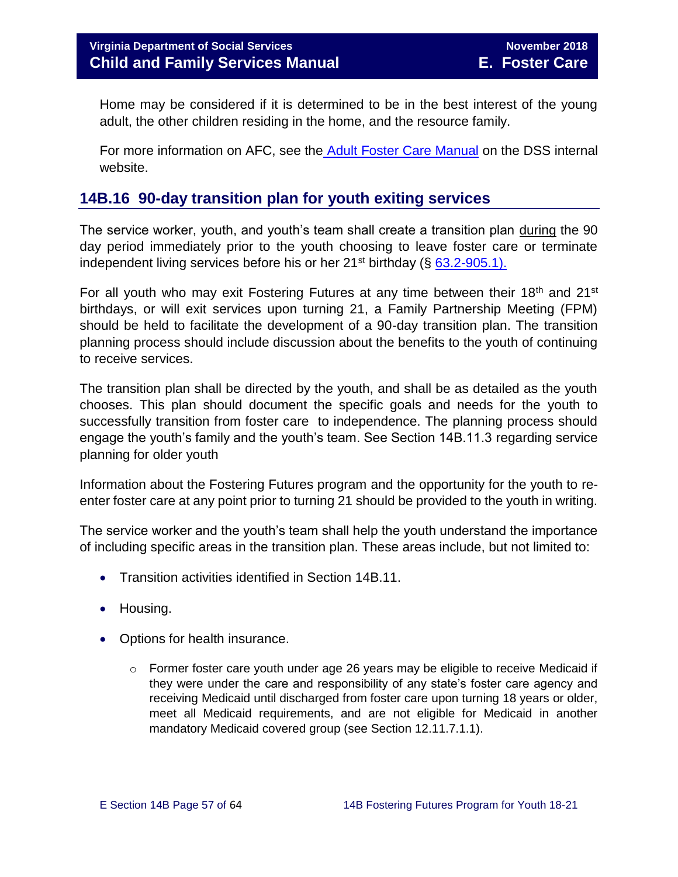Home may be considered if it is determined to be in the best interest of the young adult, the other children residing in the home, and the resource family.

For more information on AFC, see the [Adult Foster Care Manual](http://spark.dss.virginia.gov/divisions/dfs/as/manual.cgi) on the DSS internal website.

# <span id="page-56-0"></span>**14B.16 90-day transition plan for youth exiting services**

The service worker, youth, and youth's team shall create a transition plan during the 90 day period immediately prior to the youth choosing to leave foster care or terminate independent living services before his or her  $21^{st}$  birthday (§ 63.2-905.1).

For all youth who may exit Fostering Futures at any time between their 18<sup>th</sup> and 21<sup>st</sup> birthdays, or will exit services upon turning 21, a Family Partnership Meeting (FPM) should be held to facilitate the development of a 90-day transition plan. The transition planning process should include discussion about the benefits to the youth of continuing to receive services.

The transition plan shall be directed by the youth, and shall be as detailed as the youth chooses. This plan should document the specific goals and needs for the youth to successfully transition from foster care to independence. The planning process should engage the youth's family and the youth's team. See Section 14B.11.3 regarding service planning for older youth

Information about the Fostering Futures program and the opportunity for the youth to reenter foster care at any point prior to turning 21 should be provided to the youth in writing.

The service worker and the youth's team shall help the youth understand the importance of including specific areas in the transition plan. These areas include, but not limited to:

- Transition activities identified in Section 14B.11.
- Housing.
- Options for health insurance.
	- $\circ$  Former foster care youth under age 26 years may be eligible to receive Medicaid if they were under the care and responsibility of any state's foster care agency and receiving Medicaid until discharged from foster care upon turning 18 years or older, meet all Medicaid requirements, and are not eligible for Medicaid in another mandatory Medicaid covered group (see Section 12.11.7.1.1).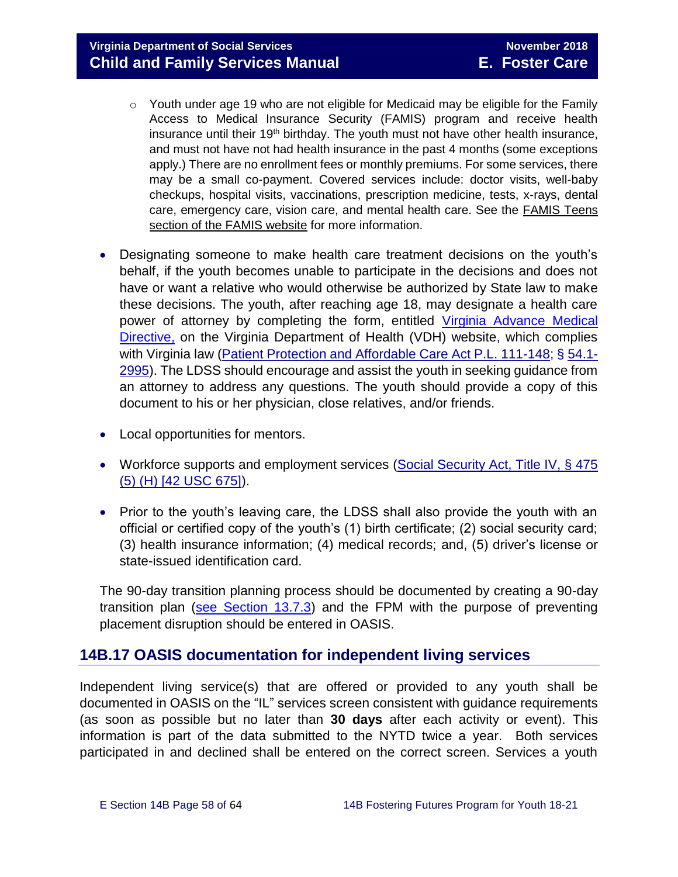**Virginia Department of Social Services** November 2018 **Child and Family Services Manual E. Foster Care**

- o Youth under age 19 who are not eligible for Medicaid may be eligible for the Family Access to Medical Insurance Security (FAMIS) program and receive health insurance until their 19<sup>th</sup> birthday. The youth must not have other health insurance, and must not have not had health insurance in the past 4 months (some exceptions apply.) There are no enrollment fees or monthly premiums. For some services, there may be a small co-payment. Covered services include: doctor visits, well-baby checkups, hospital visits, vaccinations, prescription medicine, tests, x-rays, dental care, emergency care, vision care, and mental health care. See the [FAMIS Teens](http://www.famis.org/teen.cfm?language=English)  [section of the FAMIS website](http://www.famis.org/teen.cfm?language=English) for more information.
- Designating someone to make health care treatment decisions on the youth's behalf, if the youth becomes unable to participate in the decisions and does not have or want a relative who would otherwise be authorized by State law to make these decisions. The youth, after reaching age 18, may designate a health care power of attorney by completing the form, entitled [Virginia Advance Medical](http://www.vdh.virginia.gov/OLC/documents/2008/pdfs/2005%20advanced%20directive%20form.pdf)  [Directive,](http://www.vdh.virginia.gov/OLC/documents/2008/pdfs/2005%20advanced%20directive%20form.pdf) on the Virginia Department of Health (VDH) website, which complies with Virginia law [\(Patient Protection and Affordable Care Act P.L. 111-148;](http://www.gpo.gov/fdsys/pkg/PLAW-111publ148/pdf/PLAW-111publ148.pdf) § [54.1-](http://leg1.state.va.us/cgi-bin/legp504.exe?000+cod+54.1-2995) [2995\)](http://leg1.state.va.us/cgi-bin/legp504.exe?000+cod+54.1-2995). The LDSS should encourage and assist the youth in seeking guidance from an attorney to address any questions. The youth should provide a copy of this document to his or her physician, close relatives, and/or friends.
- Local opportunities for mentors.
- Workforce supports and employment services (Social Security Act, Title IV, § 475 [\(5\) \(H\) \[42 USC 675\]\)](http://www.ssa.gov/OP_Home/ssact/title04/0475.htm).
- Prior to the youth's leaving care, the LDSS shall also provide the youth with an official or certified copy of the youth's (1) birth certificate; (2) social security card; (3) health insurance information; (4) medical records; and, (5) driver's license or state-issued identification card.

The 90-day transition planning process should be documented by creating a 90-day transition plan [\(see Section 13.7.3\)](http://www.dss.virginia.gov/files/division/dfs/fc/intro_page/guidance_manuals/fc/07_2015/Section_13_Achieving_Permanency_for_Older_Youth.pdf) and the FPM with the purpose of preventing placement disruption should be entered in OASIS.

## <span id="page-57-0"></span>**14B.17 OASIS documentation for independent living services**

Independent living service(s) that are offered or provided to any youth shall be documented in OASIS on the "IL" services screen consistent with guidance requirements (as soon as possible but no later than **30 days** after each activity or event). This information is part of the data submitted to the NYTD twice a year. Both services participated in and declined shall be entered on the correct screen. Services a youth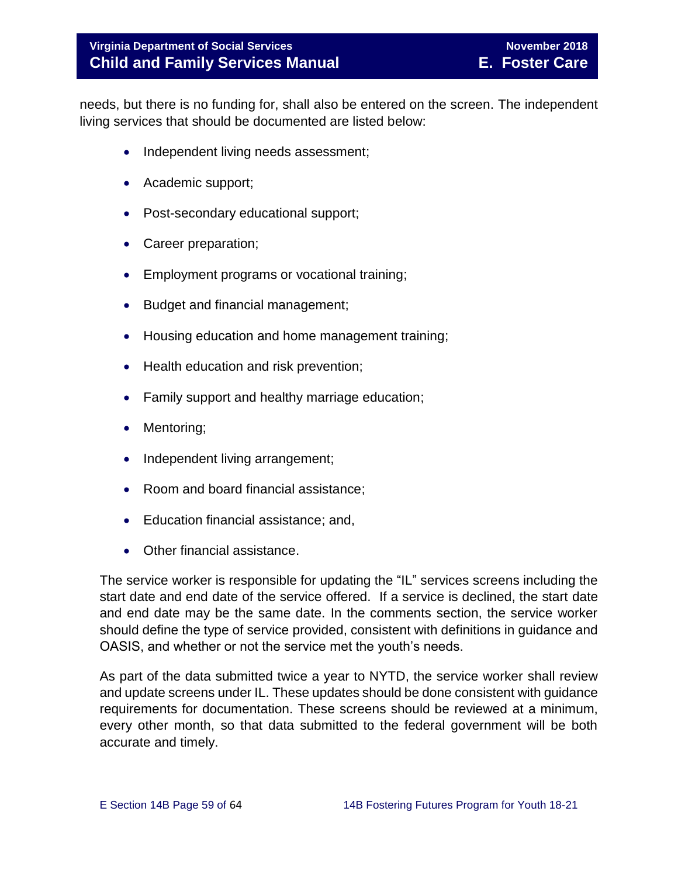## **Virginia Department of Social Services** November 2018 **Child and Family Services Manual E. Foster Care**

needs, but there is no funding for, shall also be entered on the screen. The independent living services that should be documented are listed below:

- Independent living needs assessment;
- Academic support;
- Post-secondary educational support;
- Career preparation;
- Employment programs or vocational training;
- Budget and financial management;
- Housing education and home management training;
- Health education and risk prevention;
- Family support and healthy marriage education;
- Mentoring;
- Independent living arrangement;
- Room and board financial assistance;
- Education financial assistance; and,
- Other financial assistance.

The service worker is responsible for updating the "IL" services screens including the start date and end date of the service offered. If a service is declined, the start date and end date may be the same date. In the comments section, the service worker should define the type of service provided, consistent with definitions in guidance and OASIS, and whether or not the service met the youth's needs.

As part of the data submitted twice a year to NYTD, the service worker shall review and update screens under IL. These updates should be done consistent with guidance requirements for documentation. These screens should be reviewed at a minimum, every other month, so that data submitted to the federal government will be both accurate and timely.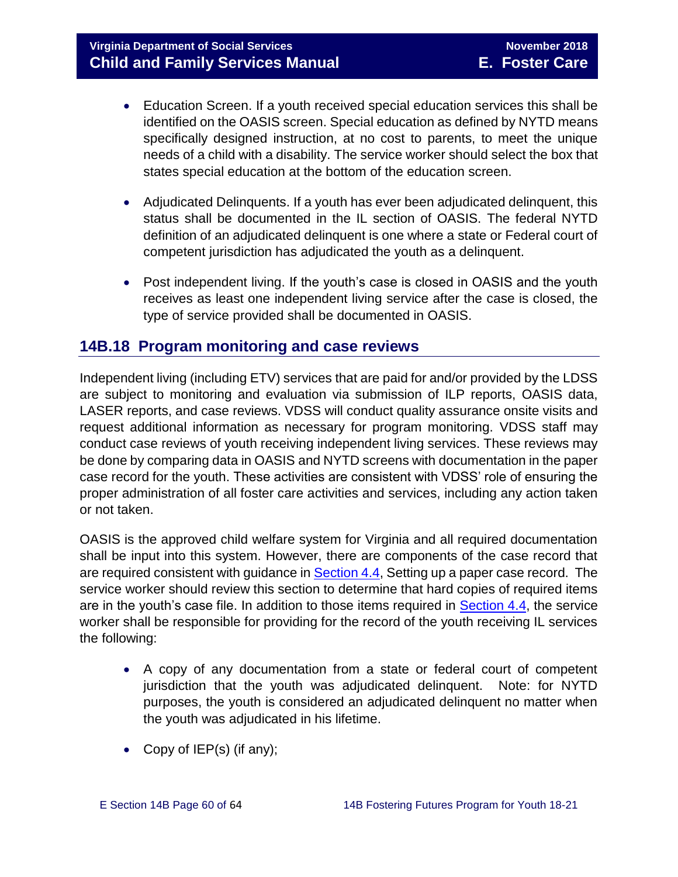- Education Screen. If a youth received special education services this shall be identified on the OASIS screen. Special education as defined by NYTD means specifically designed instruction, at no cost to parents, to meet the unique needs of a child with a disability. The service worker should select the box that states special education at the bottom of the education screen.
- Adjudicated Delinquents. If a youth has ever been adjudicated delinquent, this status shall be documented in the IL section of OASIS. The federal NYTD definition of an adjudicated delinquent is one where a state or Federal court of competent jurisdiction has adjudicated the youth as a delinquent.
- Post independent living. If the youth's case is closed in OASIS and the youth receives as least one independent living service after the case is closed, the type of service provided shall be documented in OASIS.

# <span id="page-59-0"></span>**14B.18 Program monitoring and case reviews**

Independent living (including ETV) services that are paid for and/or provided by the LDSS are subject to monitoring and evaluation via submission of ILP reports, OASIS data, LASER reports, and case reviews. VDSS will conduct quality assurance onsite visits and request additional information as necessary for program monitoring. VDSS staff may conduct case reviews of youth receiving independent living services. These reviews may be done by comparing data in OASIS and NYTD screens with documentation in the paper case record for the youth. These activities are consistent with VDSS' role of ensuring the proper administration of all foster care activities and services, including any action taken or not taken.

OASIS is the approved child welfare system for Virginia and all required documentation shall be input into this system. However, there are components of the case record that are required consistent with guidance in [Section 4.4,](http://www.dss.virginia.gov/files/division/dfs/fc/intro_page/guidance_manuals/fc/07_2015/Section_04_Opening_and_Maintaining_Case.pdf) Setting up a paper case record. The service worker should review this section to determine that hard copies of required items are in the youth's case file. In addition to those items required in [Section 4.4,](http://www.dss.virginia.gov/files/division/dfs/fc/intro_page/guidance_manuals/fc/07_2015/Section_04_Opening_and_Maintaining_Case.pdf) the service worker shall be responsible for providing for the record of the youth receiving IL services the following:

- A copy of any documentation from a state or federal court of competent jurisdiction that the youth was adjudicated delinquent. Note: for NYTD purposes, the youth is considered an adjudicated delinquent no matter when the youth was adjudicated in his lifetime.
- Copy of  $IEP(s)$  (if any);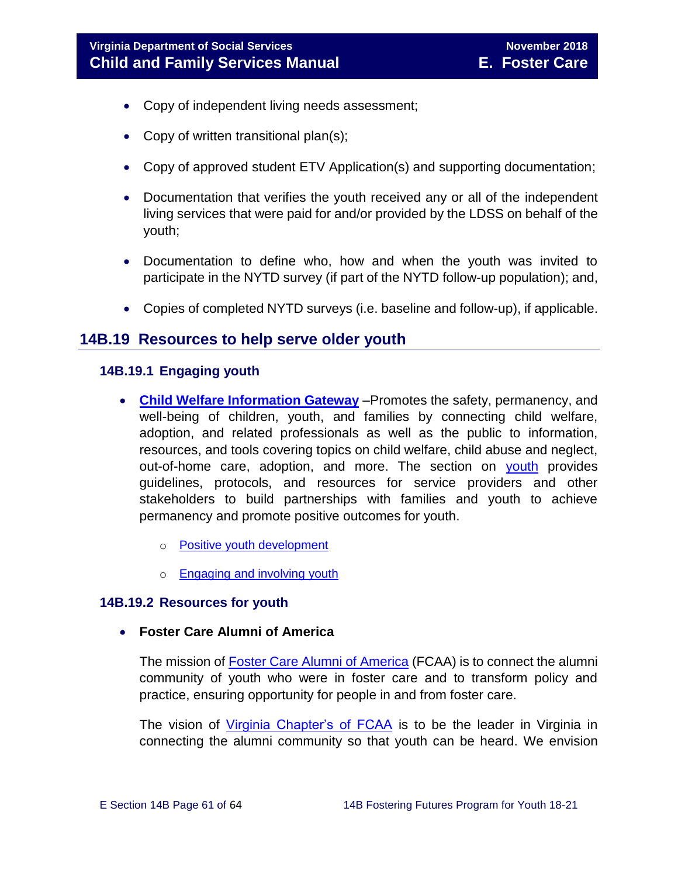- Copy of independent living needs assessment;
- Copy of written transitional plan(s);
- Copy of approved student ETV Application(s) and supporting documentation;
- Documentation that verifies the youth received any or all of the independent living services that were paid for and/or provided by the LDSS on behalf of the youth;
- Documentation to define who, how and when the youth was invited to participate in the NYTD survey (if part of the NYTD follow-up population); and,
- Copies of completed NYTD surveys (i.e. baseline and follow-up), if applicable.

# <span id="page-60-0"></span>**14B.19 Resources to help serve older youth**

#### <span id="page-60-1"></span>**14B.19.1 Engaging youth**

- **[Child Welfare Information Gateway](https://www.childwelfare.gov/)** –Promotes the safety, permanency, and well-being of children, youth, and families by connecting child welfare, adoption, and related professionals as well as the public to information, resources, and tools covering topics on child welfare, child abuse and neglect, out-of-home care, adoption, and more. The section on [youth](https://www.childwelfare.gov/topics/systemwide/youth/) provides guidelines, protocols, and resources for service providers and other stakeholders to build partnerships with families and youth to achieve permanency and promote positive outcomes for youth.
	- o [Positive youth development](https://www.childwelfare.gov/topics/systemwide/youth/development/)
	- o [Engaging and involving youth](https://www.childwelfare.gov/topics/systemwide/youth/engagingyouth/)

## <span id="page-60-2"></span>**14B.19.2 Resources for youth**

**Foster Care Alumni of America**

The mission of [Foster Care Alumni of America](http://www.fostercarealumni.org/) (FCAA) is to connect the alumni community of youth who were in foster care and to transform policy and practice, ensuring opportunity for people in and from foster care.

The vision of [Virginia Chapter's of FCAA](http://www.fostercarealumni.org/virginia-chapter/) is to be the leader in Virginia in connecting the alumni community so that youth can be heard. We envision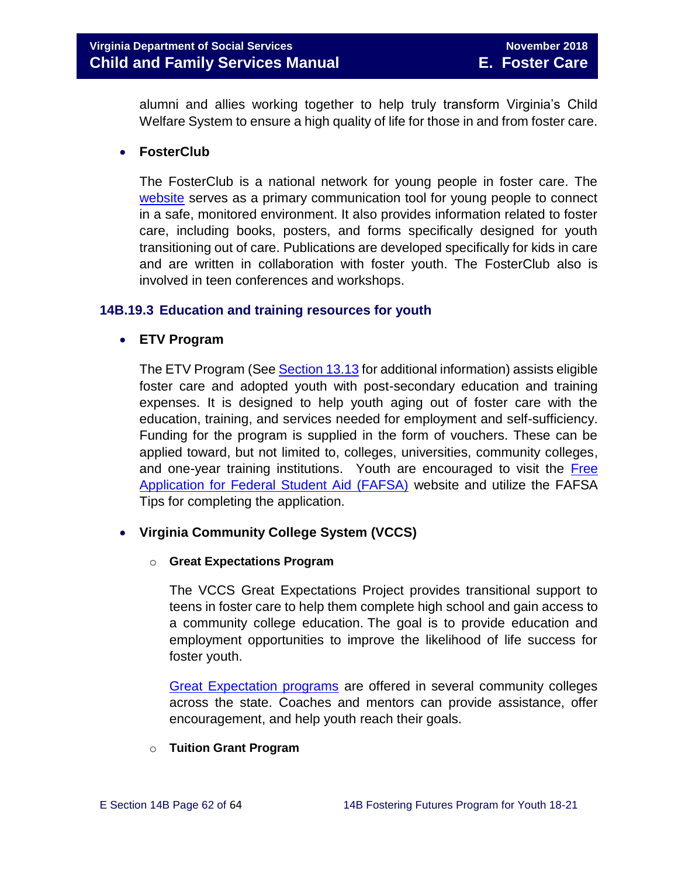alumni and allies working together to help truly transform Virginia's Child Welfare System to ensure a high quality of life for those in and from foster care.

## **FosterClub**

The FosterClub is a national network for young people in foster care. The [website](http://www.fosterclub.com/) serves as a primary communication tool for young people to connect in a safe, monitored environment. It also provides information related to foster care, including books, posters, and forms specifically designed for youth transitioning out of care. Publications are developed specifically for kids in care and are written in collaboration with foster youth. The FosterClub also is involved in teen conferences and workshops.

## <span id="page-61-0"></span>**14B.19.3 Education and training resources for youth**

## **ETV Program**

The ETV Program (Se[e Section 13.13](http://www.dss.virginia.gov/files/division/dfs/fc/intro_page/guidance_manuals/fc/07_2015/Section_13_Achieving_Permanency_for_Older_Youth.pdf) for additional information) assists eligible foster care and adopted youth with post-secondary education and training expenses. It is designed to help youth aging out of foster care with the education, training, and services needed for employment and self-sufficiency. Funding for the program is supplied in the form of vouchers. These can be applied toward, but not limited to, colleges, universities, community colleges, and one-year training institutions. Youth are encouraged to visit the Free [Application for Federal Student Aid \(FAFSA\)](http://www.fafsa.ed.gov/) website and utilize the FAFSA Tips for completing the application.

## **Virginia Community College System (VCCS)**

## o **Great Expectations Program**

The VCCS Great Expectations Project provides transitional support to teens in foster care to help them complete high school and gain access to a community college education. The goal is to provide education and employment opportunities to improve the likelihood of life success for foster youth.

[Great Expectation programs](http://greatexpectations.vccs.edu/locations/) are offered in several community colleges across the state. Coaches and mentors can provide assistance, offer encouragement, and help youth reach their goals.

## o **Tuition Grant Program**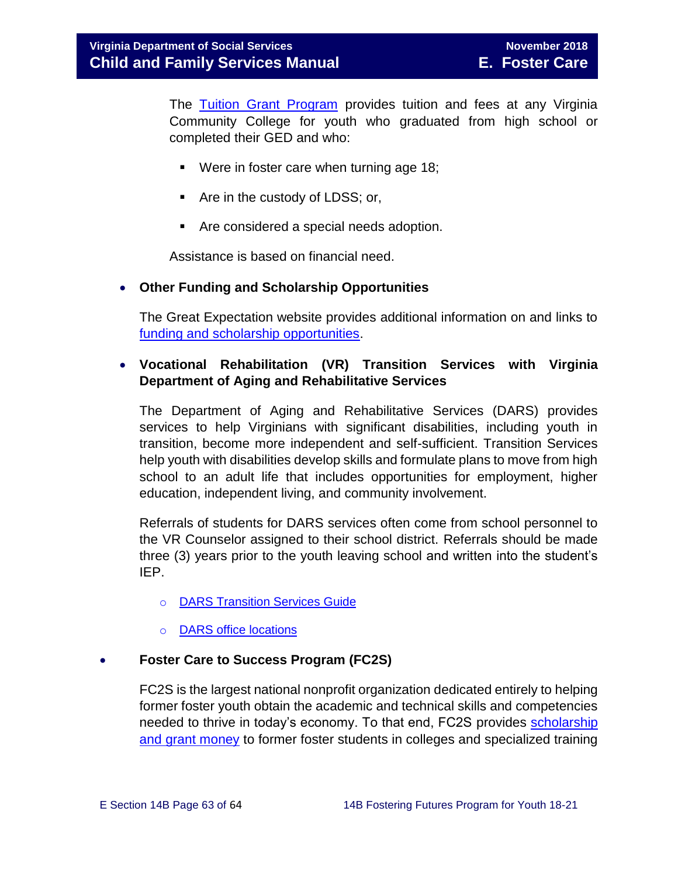The [Tuition Grant Program](http://cdn.vccs.edu/wp-content/uploads/2013/07/vatutiongrantflyer.pdf) provides tuition and fees at any Virginia Community College for youth who graduated from high school or completed their GED and who:

- Were in foster care when turning age 18;
- Are in the custody of LDSS; or,
- Are considered a special needs adoption.

Assistance is based on financial need.

## **Other Funding and Scholarship Opportunities**

The Great Expectation website provides additional information on and links to [funding and scholarship opportunities.](http://greatexpectations.vccs.edu/school/financial-aid/scholarships/)

## **Vocational Rehabilitation (VR) Transition Services with Virginia Department of Aging and Rehabilitative Services**

The Department of Aging and Rehabilitative Services (DARS) provides services to help Virginians with significant disabilities, including youth in transition, become more independent and self-sufficient. Transition Services help youth with disabilities develop skills and formulate plans to move from high school to an adult life that includes opportunities for employment, higher education, independent living, and community involvement.

Referrals of students for DARS services often come from school personnel to the VR Counselor assigned to their school district. Referrals should be made three (3) years prior to the youth leaving school and written into the student's IEP.

- o [DARS Transition Services Guide](http://www.vadrs.org/transitionservices.htm)
- o [DARS office locations](http://www.vadrs.org/offices.aspx)

## **Foster Care to Success Program (FC2S)**

FC2S is the largest national nonprofit organization dedicated entirely to helping former foster youth obtain the academic and technical skills and competencies needed to thrive in today's economy. To that end, FC2S provides [scholarship](http://www.fc2success.org/)  [and grant money](http://www.fc2success.org/) to former foster students in colleges and specialized training